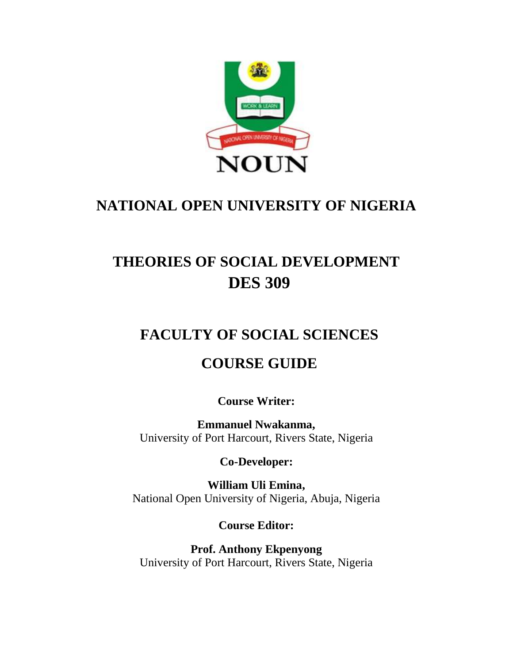

# **NATIONAL OPEN UNIVERSITY OF NIGERIA**

# **THEORIES OF SOCIAL DEVELOPMENT DES 309**

# **FACULTY OF SOCIAL SCIENCES**

# **COURSE GUIDE**

**Course Writer:**

**Emmanuel Nwakanma,** University of Port Harcourt, Rivers State, Nigeria

**Co-Developer:**

**William Uli Emina,** National Open University of Nigeria, Abuja, Nigeria

**Course Editor:**

**Prof. Anthony Ekpenyong** University of Port Harcourt, Rivers State, Nigeria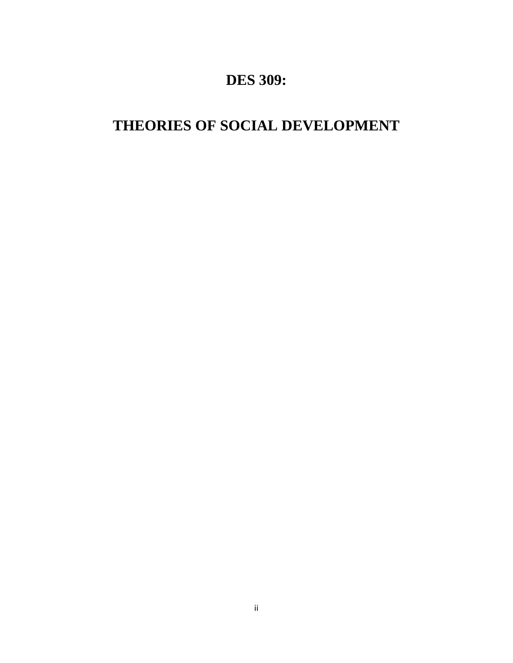# **DES 309:**

# **THEORIES OF SOCIAL DEVELOPMENT**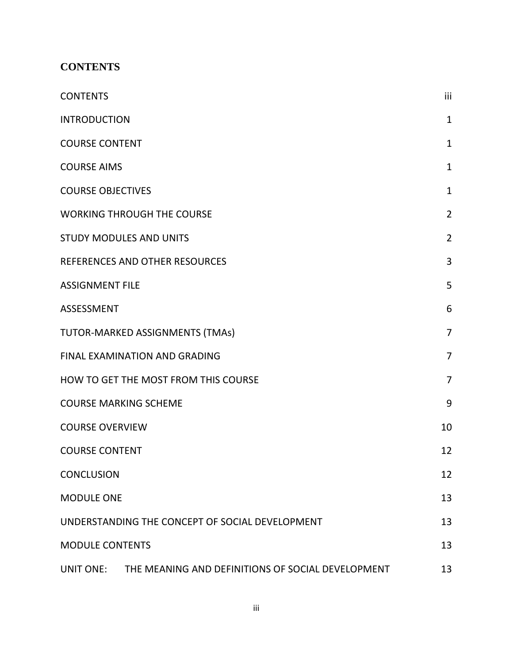# <span id="page-2-0"></span>**CONTENTS**

| <b>CONTENTS</b>                                             | iii             |
|-------------------------------------------------------------|-----------------|
| <b>INTRODUCTION</b>                                         | $\mathbf{1}$    |
| <b>COURSE CONTENT</b>                                       | $\mathbf{1}$    |
| <b>COURSE AIMS</b>                                          | $\mathbf{1}$    |
| <b>COURSE OBJECTIVES</b>                                    | $\mathbf 1$     |
| <b>WORKING THROUGH THE COURSE</b>                           | $\overline{2}$  |
| <b>STUDY MODULES AND UNITS</b>                              | $\overline{2}$  |
| REFERENCES AND OTHER RESOURCES                              | 3               |
| <b>ASSIGNMENT FILE</b>                                      | 5               |
| <b>ASSESSMENT</b>                                           | $6\phantom{1}6$ |
| TUTOR-MARKED ASSIGNMENTS (TMAs)                             | $\overline{7}$  |
| FINAL EXAMINATION AND GRADING                               | $\overline{7}$  |
| HOW TO GET THE MOST FROM THIS COURSE                        | $\overline{7}$  |
| <b>COURSE MARKING SCHEME</b>                                | 9               |
| <b>COURSE OVERVIEW</b>                                      | 10              |
| <b>COURSE CONTENT</b>                                       | 12              |
| <b>CONCLUSION</b>                                           | 12              |
| <b>MODULE ONE</b>                                           | 13              |
| UNDERSTANDING THE CONCEPT OF SOCIAL DEVELOPMENT             | 13              |
| <b>MODULE CONTENTS</b>                                      | 13              |
| UNIT ONE: THE MEANING AND DEFINITIONS OF SOCIAL DEVELOPMENT | 13              |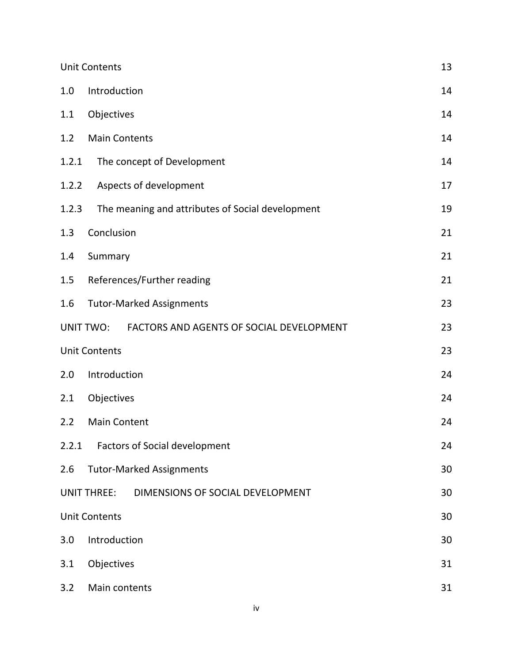|       | <b>Unit Contents</b>                                         |    |
|-------|--------------------------------------------------------------|----|
| 1.0   | Introduction                                                 | 14 |
| 1.1   | Objectives                                                   | 14 |
| 1.2   | <b>Main Contents</b>                                         | 14 |
| 1.2.1 | The concept of Development                                   | 14 |
| 1.2.2 | Aspects of development                                       | 17 |
| 1.2.3 | The meaning and attributes of Social development             | 19 |
| 1.3   | Conclusion                                                   | 21 |
| 1.4   | Summary                                                      | 21 |
| 1.5   | References/Further reading                                   | 21 |
| 1.6   | <b>Tutor-Marked Assignments</b>                              | 23 |
|       | <b>UNIT TWO:</b><br>FACTORS AND AGENTS OF SOCIAL DEVELOPMENT | 23 |
|       | <b>Unit Contents</b>                                         | 23 |
| 2.0   | Introduction                                                 | 24 |
| 2.1   | Objectives                                                   | 24 |
| 2.2   | <b>Main Content</b>                                          | 24 |
| 2.2.1 | <b>Factors of Social development</b>                         | 24 |
| 2.6   | <b>Tutor-Marked Assignments</b>                              | 30 |
|       | <b>UNIT THREE:</b><br>DIMENSIONS OF SOCIAL DEVELOPMENT       | 30 |
|       | <b>Unit Contents</b>                                         | 30 |
| 3.0   | Introduction                                                 | 30 |
| 3.1   | Objectives                                                   | 31 |
| 3.2   | Main contents                                                | 31 |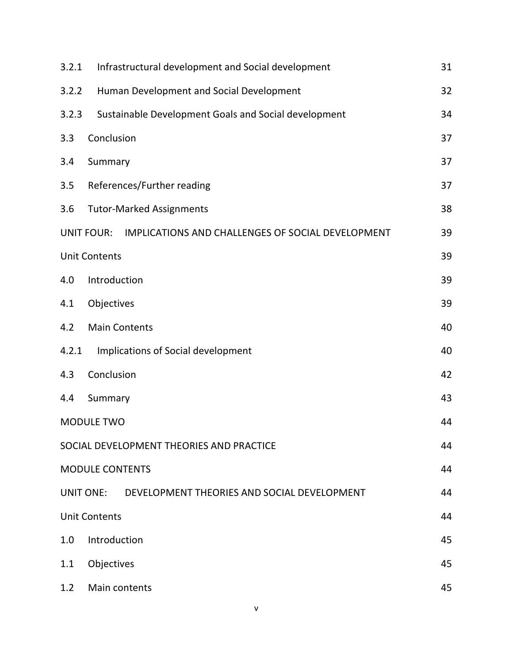| 3.2.1 | Infrastructural development and Social development                     | 31 |  |  |
|-------|------------------------------------------------------------------------|----|--|--|
| 3.2.2 | Human Development and Social Development                               |    |  |  |
| 3.2.3 | Sustainable Development Goals and Social development                   | 34 |  |  |
| 3.3   | Conclusion                                                             | 37 |  |  |
| 3.4   | Summary                                                                | 37 |  |  |
| 3.5   | References/Further reading                                             | 37 |  |  |
| 3.6   | <b>Tutor-Marked Assignments</b>                                        | 38 |  |  |
|       | <b>UNIT FOUR:</b><br>IMPLICATIONS AND CHALLENGES OF SOCIAL DEVELOPMENT | 39 |  |  |
|       | <b>Unit Contents</b>                                                   | 39 |  |  |
| 4.0   | Introduction                                                           | 39 |  |  |
| 4.1   | Objectives                                                             | 39 |  |  |
| 4.2   | <b>Main Contents</b>                                                   | 40 |  |  |
| 4.2.1 | Implications of Social development                                     | 40 |  |  |
| 4.3   | Conclusion                                                             | 42 |  |  |
| 4.4   | Summary                                                                | 43 |  |  |
|       | <b>MODULE TWO</b>                                                      | 44 |  |  |
|       | SOCIAL DEVELOPMENT THEORIES AND PRACTICE                               | 44 |  |  |
|       | <b>MODULE CONTENTS</b>                                                 | 44 |  |  |
|       | UNIT ONE: DEVELOPMENT THEORIES AND SOCIAL DEVELOPMENT                  | 44 |  |  |
|       | <b>Unit Contents</b>                                                   | 44 |  |  |
| 1.0   | Introduction                                                           | 45 |  |  |
| 1.1   | Objectives                                                             | 45 |  |  |
| 1.2   | Main contents                                                          | 45 |  |  |

v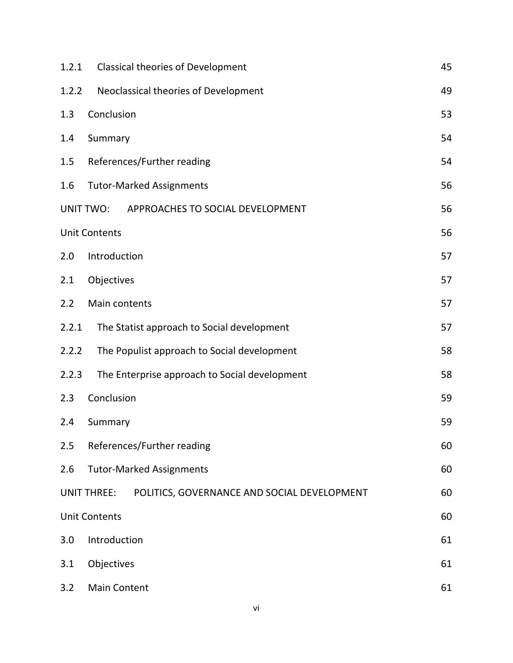| 1.2.1 | <b>Classical theories of Development</b>                          | 45 |  |  |
|-------|-------------------------------------------------------------------|----|--|--|
| 1.2.2 | Neoclassical theories of Development                              |    |  |  |
| 1.3   | Conclusion                                                        | 53 |  |  |
| 1.4   | Summary                                                           | 54 |  |  |
| 1.5   | References/Further reading                                        | 54 |  |  |
| 1.6   | <b>Tutor-Marked Assignments</b>                                   | 56 |  |  |
|       | <b>UNIT TWO:</b><br>APPROACHES TO SOCIAL DEVELOPMENT              | 56 |  |  |
|       | <b>Unit Contents</b>                                              | 56 |  |  |
| 2.0   | Introduction                                                      | 57 |  |  |
| 2.1   | Objectives                                                        | 57 |  |  |
| 2.2   | Main contents                                                     | 57 |  |  |
| 2.2.1 | The Statist approach to Social development                        | 57 |  |  |
| 2.2.2 | The Populist approach to Social development                       | 58 |  |  |
| 2.2.3 | The Enterprise approach to Social development                     | 58 |  |  |
| 2.3   | Conclusion                                                        | 59 |  |  |
| 2.4   | Summary                                                           | 59 |  |  |
| 2.5   | References/Further reading                                        | 60 |  |  |
| 2.6   | <b>Tutor-Marked Assignments</b>                                   | 60 |  |  |
|       | POLITICS, GOVERNANCE AND SOCIAL DEVELOPMENT<br><b>UNIT THREE:</b> | 60 |  |  |
|       | <b>Unit Contents</b>                                              | 60 |  |  |
| 3.0   | Introduction                                                      | 61 |  |  |
| 3.1   | Objectives                                                        | 61 |  |  |
| 3.2   | <b>Main Content</b>                                               | 61 |  |  |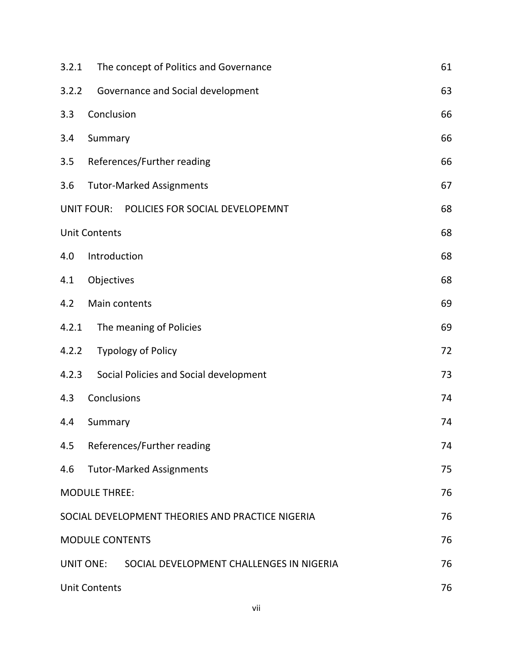| 3.2.1            | The concept of Politics and Governance               | 61 |  |
|------------------|------------------------------------------------------|----|--|
| 3.2.2            | Governance and Social development                    | 63 |  |
| 3.3              | Conclusion                                           | 66 |  |
| 3.4              | Summary                                              | 66 |  |
| 3.5              | References/Further reading                           | 66 |  |
| 3.6              | <b>Tutor-Marked Assignments</b>                      | 67 |  |
|                  | POLICIES FOR SOCIAL DEVELOPEMNT<br><b>UNIT FOUR:</b> | 68 |  |
|                  | <b>Unit Contents</b>                                 | 68 |  |
| 4.0              | Introduction                                         | 68 |  |
| 4.1              | Objectives                                           | 68 |  |
| 4.2              | Main contents                                        | 69 |  |
| 4.2.1            | The meaning of Policies                              | 69 |  |
| 4.2.2            | <b>Typology of Policy</b>                            | 72 |  |
| 4.2.3            | Social Policies and Social development               | 73 |  |
| 4.3              | Conclusions                                          | 74 |  |
| 4.4              | Summary                                              | 74 |  |
| 4.5              | References/Further reading                           | 74 |  |
| 4.6              | <b>Tutor-Marked Assignments</b>                      | 75 |  |
|                  | <b>MODULE THREE:</b>                                 | 76 |  |
|                  | SOCIAL DEVELOPMENT THEORIES AND PRACTICE NIGERIA     | 76 |  |
|                  | <b>MODULE CONTENTS</b>                               | 76 |  |
| <b>UNIT ONE:</b> | SOCIAL DEVELOPMENT CHALLENGES IN NIGERIA             | 76 |  |
|                  | 76<br><b>Unit Contents</b>                           |    |  |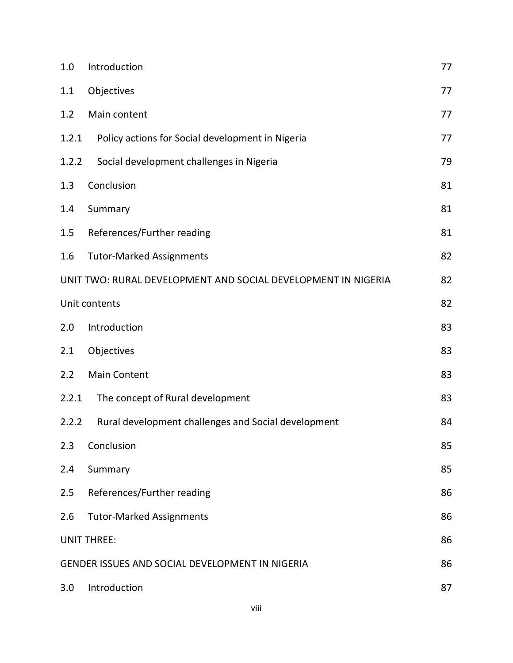| 1.0   | Introduction                                                  | 77 |
|-------|---------------------------------------------------------------|----|
| 1.1   | Objectives                                                    | 77 |
| 1.2   | Main content                                                  | 77 |
| 1.2.1 | Policy actions for Social development in Nigeria              | 77 |
| 1.2.2 | Social development challenges in Nigeria                      | 79 |
| 1.3   | Conclusion                                                    | 81 |
| 1.4   | Summary                                                       | 81 |
| 1.5   | References/Further reading                                    | 81 |
| 1.6   | <b>Tutor-Marked Assignments</b>                               | 82 |
|       | UNIT TWO: RURAL DEVELOPMENT AND SOCIAL DEVELOPMENT IN NIGERIA | 82 |
|       | Unit contents                                                 | 82 |
| 2.0   | Introduction                                                  | 83 |
| 2.1   | Objectives                                                    | 83 |
| 2.2   | <b>Main Content</b>                                           | 83 |
| 2.2.1 | The concept of Rural development                              | 83 |
| 2.2.2 | Rural development challenges and Social development           | 84 |
| 2.3   | Conclusion                                                    | 85 |
| 2.4   | Summary                                                       | 85 |
| 2.5   | References/Further reading                                    | 86 |
| 2.6   | <b>Tutor-Marked Assignments</b>                               | 86 |
|       | <b>UNIT THREE:</b>                                            | 86 |
|       | <b>GENDER ISSUES AND SOCIAL DEVELOPMENT IN NIGERIA</b>        | 86 |
| 3.0   | Introduction                                                  | 87 |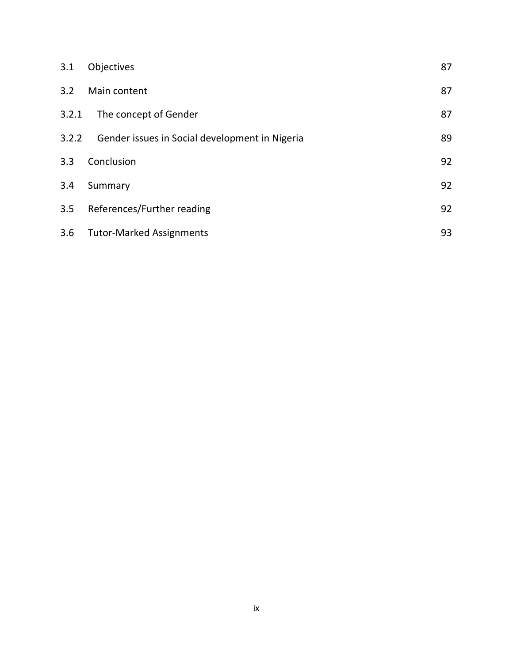| 3.1   | Objectives                                     | 87 |
|-------|------------------------------------------------|----|
| 3.2   | Main content                                   | 87 |
| 3.2.1 | The concept of Gender                          | 87 |
| 3.2.2 | Gender issues in Social development in Nigeria | 89 |
| 3.3   | Conclusion                                     | 92 |
| 3.4   | Summary                                        | 92 |
| 3.5   | References/Further reading                     | 92 |
| 3.6   | <b>Tutor-Marked Assignments</b>                | 93 |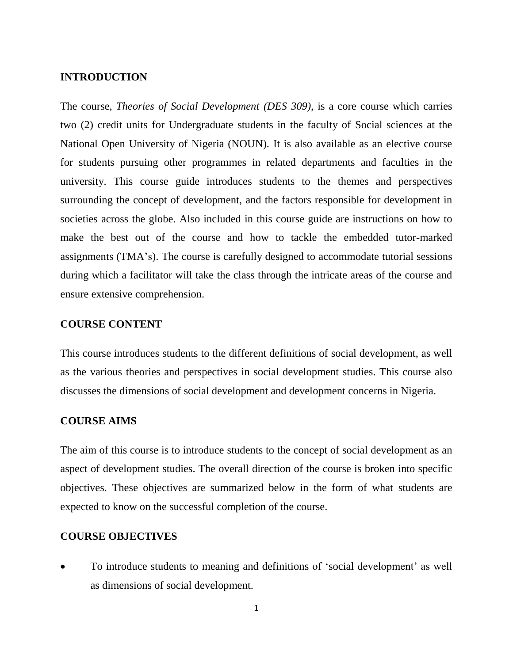## <span id="page-9-0"></span>**INTRODUCTION**

The course, *Theories of Social Development (DES 309)*, is a core course which carries two (2) credit units for Undergraduate students in the faculty of Social sciences at the National Open University of Nigeria (NOUN). It is also available as an elective course for students pursuing other programmes in related departments and faculties in the university. This course guide introduces students to the themes and perspectives surrounding the concept of development, and the factors responsible for development in societies across the globe. Also included in this course guide are instructions on how to make the best out of the course and how to tackle the embedded tutor-marked assignments (TMA's). The course is carefully designed to accommodate tutorial sessions during which a facilitator will take the class through the intricate areas of the course and ensure extensive comprehension.

# <span id="page-9-1"></span>**COURSE CONTENT**

This course introduces students to the different definitions of social development, as well as the various theories and perspectives in social development studies. This course also discusses the dimensions of social development and development concerns in Nigeria.

#### <span id="page-9-2"></span>**COURSE AIMS**

The aim of this course is to introduce students to the concept of social development as an aspect of development studies. The overall direction of the course is broken into specific objectives. These objectives are summarized below in the form of what students are expected to know on the successful completion of the course.

#### <span id="page-9-3"></span>**COURSE OBJECTIVES**

 To introduce students to meaning and definitions of 'social development' as well as dimensions of social development.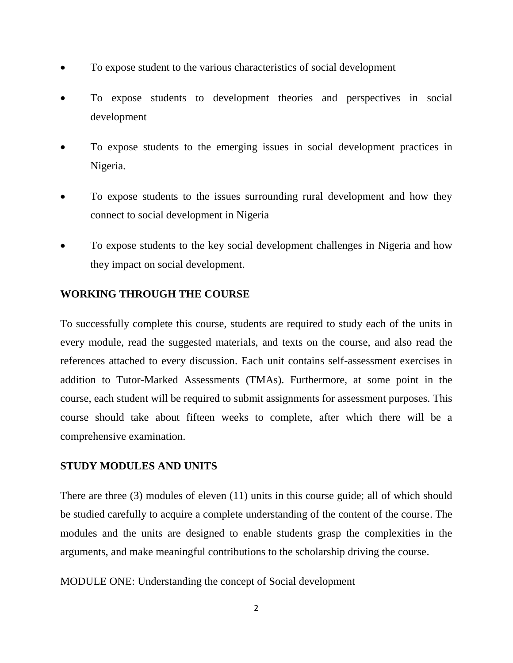- To expose student to the various characteristics of social development
- To expose students to development theories and perspectives in social development
- To expose students to the emerging issues in social development practices in Nigeria.
- To expose students to the issues surrounding rural development and how they connect to social development in Nigeria
- To expose students to the key social development challenges in Nigeria and how they impact on social development.

# <span id="page-10-0"></span>**WORKING THROUGH THE COURSE**

To successfully complete this course, students are required to study each of the units in every module, read the suggested materials, and texts on the course, and also read the references attached to every discussion. Each unit contains self-assessment exercises in addition to Tutor-Marked Assessments (TMAs). Furthermore, at some point in the course, each student will be required to submit assignments for assessment purposes. This course should take about fifteen weeks to complete, after which there will be a comprehensive examination.

# <span id="page-10-1"></span>**STUDY MODULES AND UNITS**

There are three (3) modules of eleven (11) units in this course guide; all of which should be studied carefully to acquire a complete understanding of the content of the course. The modules and the units are designed to enable students grasp the complexities in the arguments, and make meaningful contributions to the scholarship driving the course.

MODULE ONE: Understanding the concept of Social development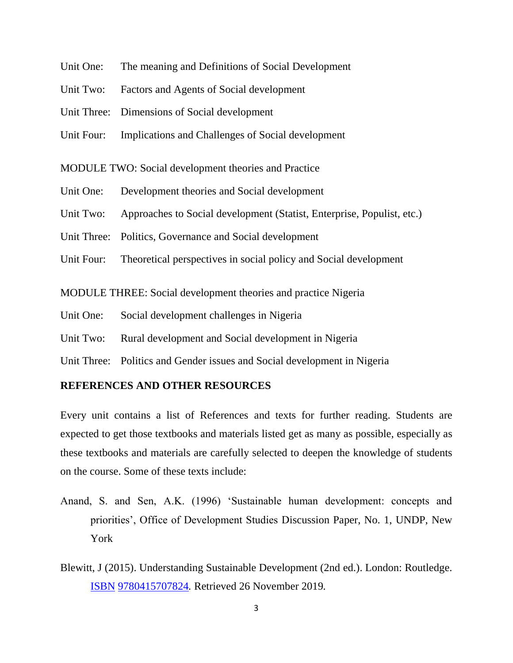- Unit One: The meaning and Definitions of Social Development
- Unit Two: Factors and Agents of Social development
- Unit Three: Dimensions of Social development
- Unit Four: Implications and Challenges of Social development

MODULE TWO: Social development theories and Practice

- Unit One: Development theories and Social development
- Unit Two: Approaches to Social development (Statist, Enterprise, Populist, etc.)
- Unit Three: Politics, Governance and Social development
- Unit Four: Theoretical perspectives in social policy and Social development

MODULE THREE: Social development theories and practice Nigeria

- Unit One: Social development challenges in Nigeria
- Unit Two: Rural development and Social development in Nigeria
- Unit Three: Politics and Gender issues and Social development in Nigeria

# <span id="page-11-0"></span>**REFERENCES AND OTHER RESOURCES**

Every unit contains a list of References and texts for further reading. Students are expected to get those textbooks and materials listed get as many as possible, especially as these textbooks and materials are carefully selected to deepen the knowledge of students on the course. Some of these texts include:

- Anand, S. and Sen, A.K. (1996) 'Sustainable human development: concepts and priorities', Office of Development Studies Discussion Paper, No. 1, UNDP, New York
- Blewitt, J (2015). Understanding Sustainable Development (2nd ed.). London: Routledge. [ISBN](https://en.wikipedia.org/wiki/ISBN_(identifier)) [9780415707824](https://en.wikipedia.org/wiki/Special:BookSources/9780415707824)*.* Retrieved 26 November 2019*.*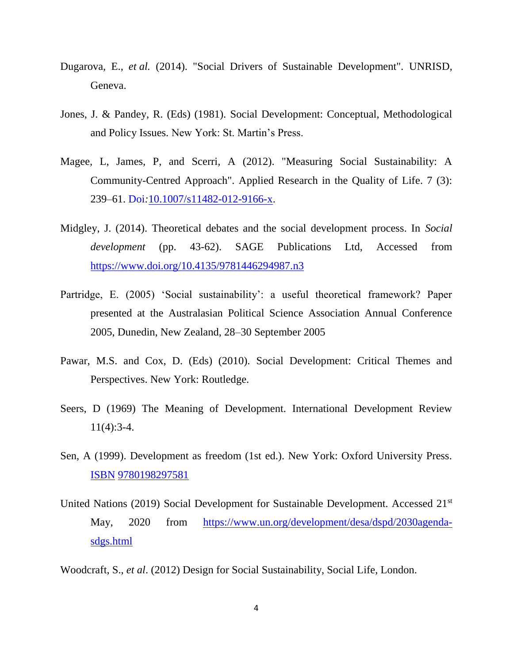- Dugarova*,* E., *et al.* (2014). "Social Drivers of Sustainable Development". UNRISD, Geneva.
- Jones, J. & Pandey, R. (Eds) (1981). Social Development: Conceptual, Methodological and Policy Issues. New York: St. Martin's Press.
- Magee*,* L, James*,* P, and Scerri*,* A (2012). "Measuring Social Sustainability: A Community-Centred Approach". Applied Research in the Quality of Life. 7 (3): 239–61. Doi*:*[10.1007/s11482-012-9166-x.](https://doi.org/10.1007%2Fs11482-012-9166-x)
- Midgley, J. (2014). Theoretical debates and the social development process. In *Social development* (pp. 43-62). SAGE Publications Ltd, Accessed from <https://www.doi.org/10.4135/9781446294987.n3>
- Partridge, E. (2005) 'Social sustainability': a useful theoretical framework? Paper presented at the Australasian Political Science Association Annual Conference 2005, Dunedin, New Zealand, 28–30 September 2005
- Pawar, M.S. and Cox, D. (Eds) (2010). Social Development: Critical Themes and Perspectives. New York: Routledge.
- Seers, D (1969) The Meaning of Development. International Development Review 11(4):3-4.
- Sen, A (1999). Development as freedom (1st ed.). New York: Oxford University Press. [ISBN](https://en.wikipedia.org/wiki/ISBN_(identifier)) [9780198297581](https://en.wikipedia.org/wiki/Special:BookSources/9780198297581)
- United Nations (2019) Social Development for Sustainable Development. Accessed 21st May, 2020 from [https://www.un.org/development/desa/dspd/2030agenda](https://www.un.org/development/desa/dspd/2030agenda-sdgs.html)[sdgs.html](https://www.un.org/development/desa/dspd/2030agenda-sdgs.html)

Woodcraft, S., *et al*. (2012) Design for Social Sustainability, Social Life, London.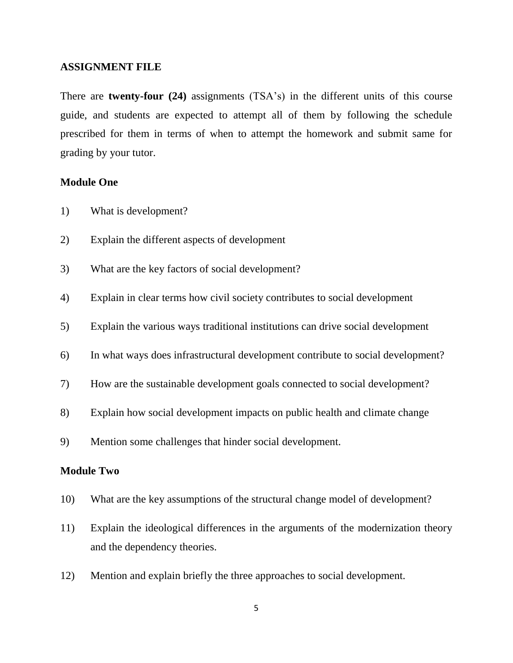#### <span id="page-13-0"></span>**ASSIGNMENT FILE**

There are **twenty-four (24)** assignments (TSA's) in the different units of this course guide, and students are expected to attempt all of them by following the schedule prescribed for them in terms of when to attempt the homework and submit same for grading by your tutor.

### **Module One**

- 1) What is development?
- 2) Explain the different aspects of development
- 3) What are the key factors of social development?
- 4) Explain in clear terms how civil society contributes to social development
- 5) Explain the various ways traditional institutions can drive social development
- 6) In what ways does infrastructural development contribute to social development?
- 7) How are the sustainable development goals connected to social development?
- 8) Explain how social development impacts on public health and climate change
- 9) Mention some challenges that hinder social development.

# **Module Two**

- 10) What are the key assumptions of the structural change model of development?
- 11) Explain the ideological differences in the arguments of the modernization theory and the dependency theories.
- 12) Mention and explain briefly the three approaches to social development.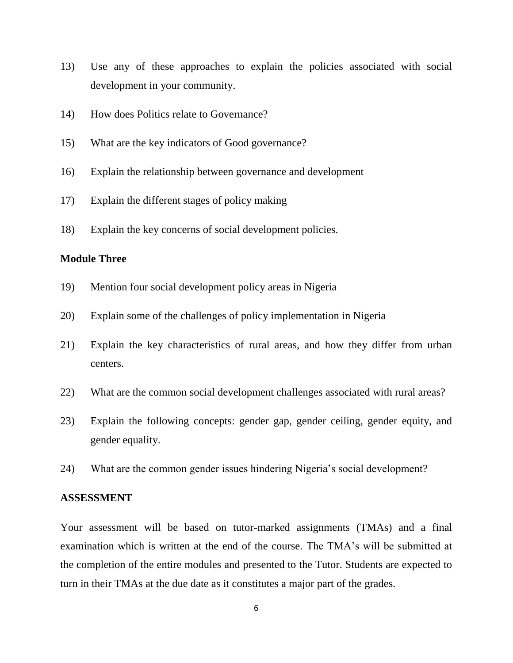- 13) Use any of these approaches to explain the policies associated with social development in your community.
- 14) How does Politics relate to Governance?
- 15) What are the key indicators of Good governance?
- 16) Explain the relationship between governance and development
- 17) Explain the different stages of policy making
- 18) Explain the key concerns of social development policies.

# **Module Three**

- 19) Mention four social development policy areas in Nigeria
- 20) Explain some of the challenges of policy implementation in Nigeria
- 21) Explain the key characteristics of rural areas, and how they differ from urban centers.
- 22) What are the common social development challenges associated with rural areas?
- 23) Explain the following concepts: gender gap, gender ceiling, gender equity, and gender equality.
- 24) What are the common gender issues hindering Nigeria's social development?

#### <span id="page-14-0"></span>**ASSESSMENT**

Your assessment will be based on tutor-marked assignments (TMAs) and a final examination which is written at the end of the course. The TMA's will be submitted at the completion of the entire modules and presented to the Tutor. Students are expected to turn in their TMAs at the due date as it constitutes a major part of the grades.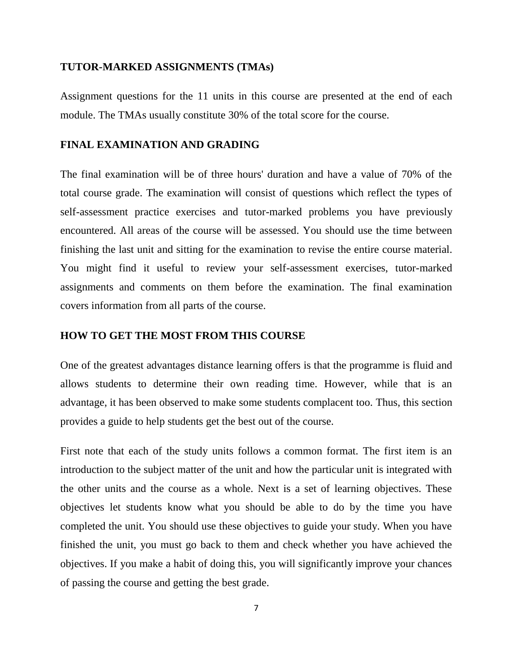#### <span id="page-15-0"></span>**TUTOR-MARKED ASSIGNMENTS (TMAs)**

Assignment questions for the 11 units in this course are presented at the end of each module. The TMAs usually constitute 30% of the total score for the course.

#### <span id="page-15-1"></span>**FINAL EXAMINATION AND GRADING**

The final examination will be of three hours' duration and have a value of 70% of the total course grade. The examination will consist of questions which reflect the types of self-assessment practice exercises and tutor-marked problems you have previously encountered. All areas of the course will be assessed. You should use the time between finishing the last unit and sitting for the examination to revise the entire course material. You might find it useful to review your self-assessment exercises, tutor-marked assignments and comments on them before the examination. The final examination covers information from all parts of the course.

# <span id="page-15-2"></span>**HOW TO GET THE MOST FROM THIS COURSE**

One of the greatest advantages distance learning offers is that the programme is fluid and allows students to determine their own reading time. However, while that is an advantage, it has been observed to make some students complacent too. Thus, this section provides a guide to help students get the best out of the course.

First note that each of the study units follows a common format. The first item is an introduction to the subject matter of the unit and how the particular unit is integrated with the other units and the course as a whole. Next is a set of learning objectives. These objectives let students know what you should be able to do by the time you have completed the unit. You should use these objectives to guide your study. When you have finished the unit, you must go back to them and check whether you have achieved the objectives. If you make a habit of doing this, you will significantly improve your chances of passing the course and getting the best grade.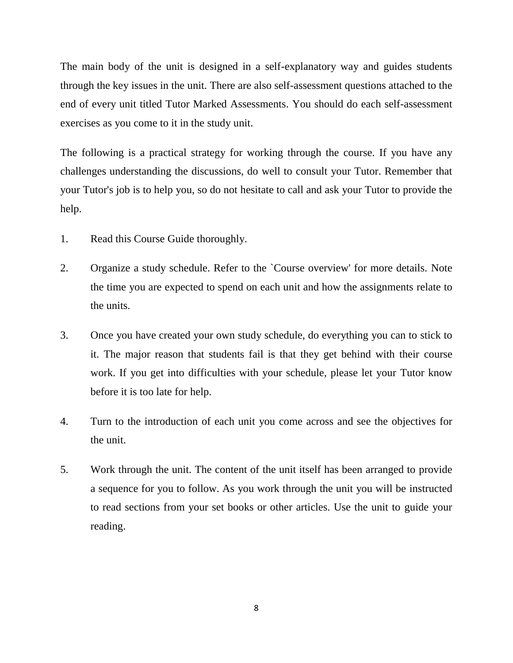The main body of the unit is designed in a self-explanatory way and guides students through the key issues in the unit. There are also self-assessment questions attached to the end of every unit titled Tutor Marked Assessments. You should do each self-assessment exercises as you come to it in the study unit.

The following is a practical strategy for working through the course. If you have any challenges understanding the discussions, do well to consult your Tutor. Remember that your Tutor's job is to help you, so do not hesitate to call and ask your Tutor to provide the help.

- 1. Read this Course Guide thoroughly.
- 2. Organize a study schedule. Refer to the `Course overview' for more details. Note the time you are expected to spend on each unit and how the assignments relate to the units.
- 3. Once you have created your own study schedule, do everything you can to stick to it. The major reason that students fail is that they get behind with their course work. If you get into difficulties with your schedule, please let your Tutor know before it is too late for help.
- 4. Turn to the introduction of each unit you come across and see the objectives for the unit.
- 5. Work through the unit. The content of the unit itself has been arranged to provide a sequence for you to follow. As you work through the unit you will be instructed to read sections from your set books or other articles. Use the unit to guide your reading.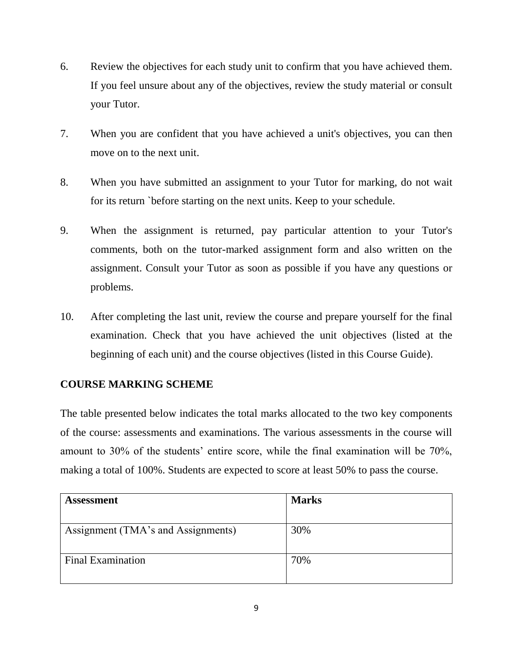- 6. Review the objectives for each study unit to confirm that you have achieved them. If you feel unsure about any of the objectives, review the study material or consult your Tutor.
- 7. When you are confident that you have achieved a unit's objectives, you can then move on to the next unit.
- 8. When you have submitted an assignment to your Tutor for marking, do not wait for its return `before starting on the next units. Keep to your schedule.
- 9. When the assignment is returned, pay particular attention to your Tutor's comments, both on the tutor-marked assignment form and also written on the assignment. Consult your Tutor as soon as possible if you have any questions or problems.
- 10. After completing the last unit, review the course and prepare yourself for the final examination. Check that you have achieved the unit objectives (listed at the beginning of each unit) and the course objectives (listed in this Course Guide).

# <span id="page-17-0"></span>**COURSE MARKING SCHEME**

The table presented below indicates the total marks allocated to the two key components of the course: assessments and examinations. The various assessments in the course will amount to 30% of the students' entire score, while the final examination will be 70%, making a total of 100%. Students are expected to score at least 50% to pass the course.

| <b>Assessment</b>                  | <b>Marks</b> |
|------------------------------------|--------------|
| Assignment (TMA's and Assignments) | 30%          |
| <b>Final Examination</b>           | 70%          |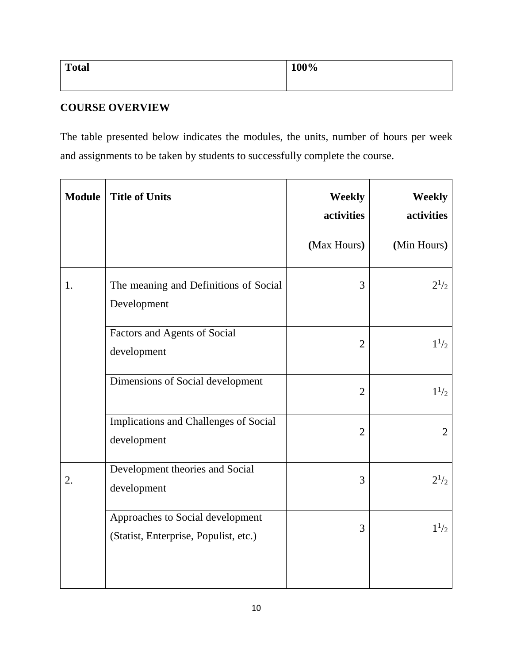| <b>Total</b> | 100% |
|--------------|------|
|              |      |

# <span id="page-18-0"></span>**COURSE OVERVIEW**

The table presented below indicates the modules, the units, number of hours per week and assignments to be taken by students to successfully complete the course.

| <b>Module</b> | <b>Title of Units</b>                                                     | <b>Weekly</b><br>activities | <b>Weekly</b><br>activities |
|---------------|---------------------------------------------------------------------------|-----------------------------|-----------------------------|
|               |                                                                           | (Max Hours)                 | (Min Hours)                 |
| 1.            | The meaning and Definitions of Social<br>Development                      | 3                           | $2^{1/2}$                   |
|               | Factors and Agents of Social<br>development                               | $\overline{2}$              | $1^{1/2}$                   |
|               | Dimensions of Social development                                          | $\overline{2}$              | $1^{1/2}$                   |
|               | Implications and Challenges of Social<br>development                      | $\overline{2}$              | $\overline{2}$              |
| 2.            | Development theories and Social<br>development                            | 3                           | $2^{1/2}$                   |
|               | Approaches to Social development<br>(Statist, Enterprise, Populist, etc.) | 3                           | $1^{1/2}$                   |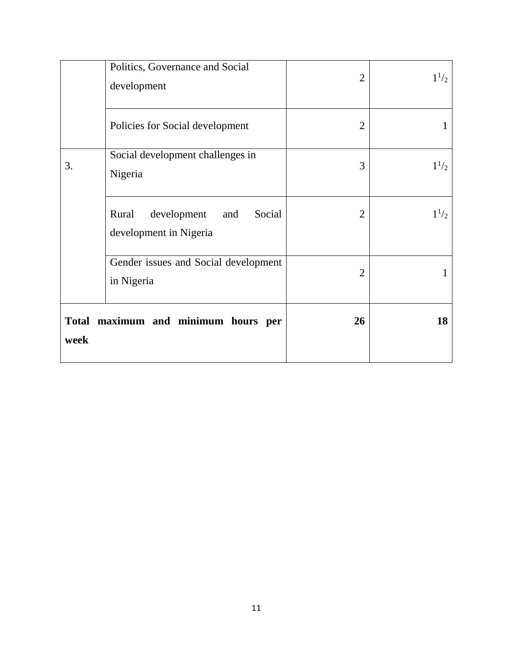|      | Politics, Governance and Social<br>development                  | $\overline{2}$ | $1^{1/2}$ |
|------|-----------------------------------------------------------------|----------------|-----------|
|      | Policies for Social development                                 | $\overline{2}$ | 1         |
| 3.   | Social development challenges in<br>Nigeria                     | 3              | $1^{1/2}$ |
|      | Rural<br>development<br>Social<br>and<br>development in Nigeria | $\overline{2}$ | $1^{1/2}$ |
|      | Gender issues and Social development<br>in Nigeria              | $\overline{2}$ |           |
| week | Total maximum and minimum hours per                             | 26             | 18        |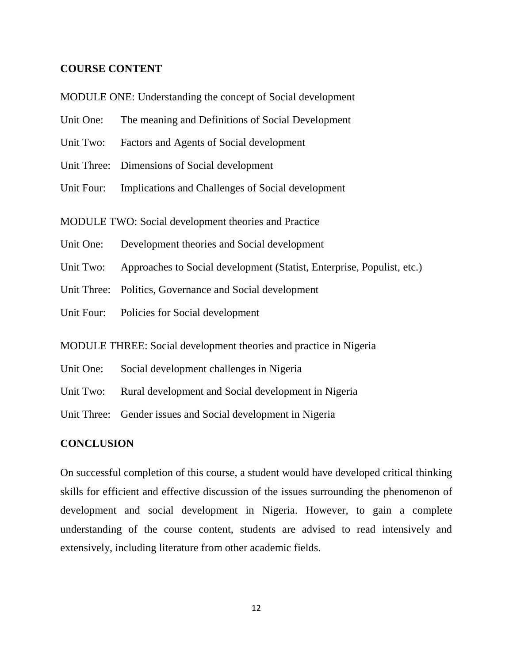# <span id="page-20-0"></span>**COURSE CONTENT**

- MODULE ONE: Understanding the concept of Social development
- Unit One: The meaning and Definitions of Social Development
- Unit Two: Factors and Agents of Social development
- Unit Three: Dimensions of Social development
- Unit Four: Implications and Challenges of Social development
- MODULE TWO: Social development theories and Practice
- Unit One: Development theories and Social development
- Unit Two: Approaches to Social development (Statist, Enterprise, Populist, etc.)
- Unit Three: Politics, Governance and Social development
- Unit Four: Policies for Social development
- MODULE THREE: Social development theories and practice in Nigeria
- Unit One: Social development challenges in Nigeria
- Unit Two: Rural development and Social development in Nigeria
- Unit Three: Gender issues and Social development in Nigeria

# <span id="page-20-1"></span>**CONCLUSION**

On successful completion of this course, a student would have developed critical thinking skills for efficient and effective discussion of the issues surrounding the phenomenon of development and social development in Nigeria. However, to gain a complete understanding of the course content, students are advised to read intensively and extensively, including literature from other academic fields.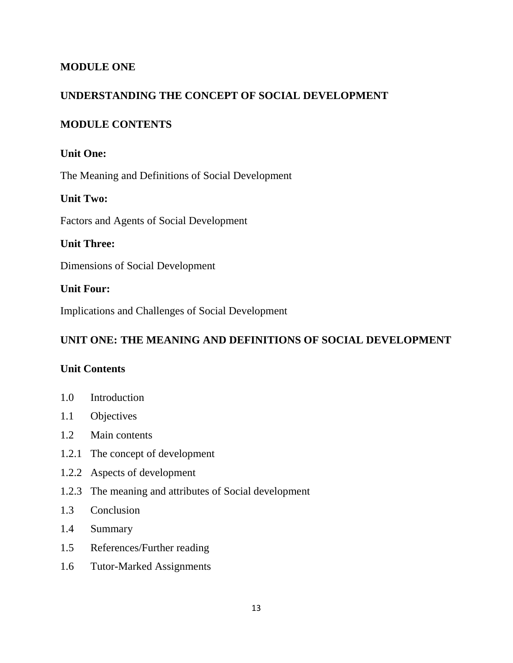# <span id="page-21-0"></span>**MODULE ONE**

# <span id="page-21-1"></span>**UNDERSTANDING THE CONCEPT OF SOCIAL DEVELOPMENT**

# <span id="page-21-2"></span>**MODULE CONTENTS**

# **Unit One:**

The Meaning and Definitions of Social Development

# **Unit Two:**

Factors and Agents of Social Development

# **Unit Three:**

Dimensions of Social Development

# **Unit Four:**

Implications and Challenges of Social Development

# <span id="page-21-3"></span>**UNIT ONE: THE MEANING AND DEFINITIONS OF SOCIAL DEVELOPMENT**

# <span id="page-21-4"></span>**Unit Contents**

- 1.0 Introduction
- 1.1 Objectives
- 1.2 Main contents
- 1.2.1 The concept of development
- 1.2.2 Aspects of development
- 1.2.3 The meaning and attributes of Social development
- 1.3 Conclusion
- 1.4 Summary
- 1.5 References/Further reading
- 1.6 Tutor-Marked Assignments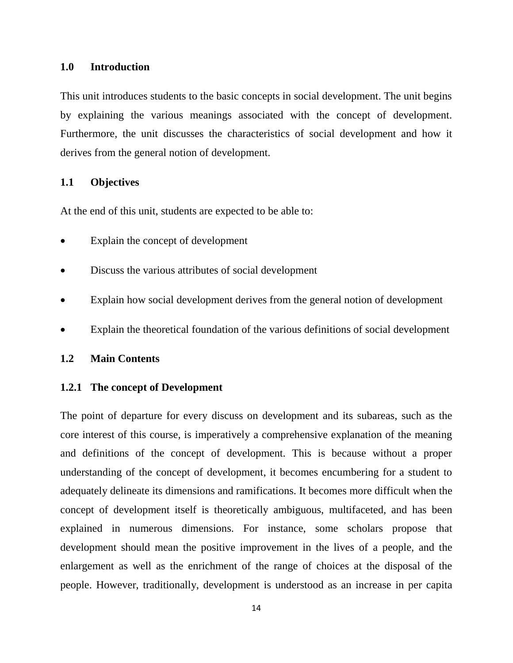#### <span id="page-22-0"></span>**1.0 Introduction**

This unit introduces students to the basic concepts in social development. The unit begins by explaining the various meanings associated with the concept of development. Furthermore, the unit discusses the characteristics of social development and how it derives from the general notion of development.

### <span id="page-22-1"></span>**1.1 Objectives**

At the end of this unit, students are expected to be able to:

- Explain the concept of development
- Discuss the various attributes of social development
- Explain how social development derives from the general notion of development
- Explain the theoretical foundation of the various definitions of social development

# <span id="page-22-2"></span>**1.2 Main Contents**

## <span id="page-22-3"></span>**1.2.1 The concept of Development**

The point of departure for every discuss on development and its subareas, such as the core interest of this course, is imperatively a comprehensive explanation of the meaning and definitions of the concept of development. This is because without a proper understanding of the concept of development, it becomes encumbering for a student to adequately delineate its dimensions and ramifications. It becomes more difficult when the concept of development itself is theoretically ambiguous, multifaceted, and has been explained in numerous dimensions. For instance, some scholars propose that development should mean the positive improvement in the lives of a people, and the enlargement as well as the enrichment of the range of choices at the disposal of the people. However, traditionally, development is understood as an increase in per capita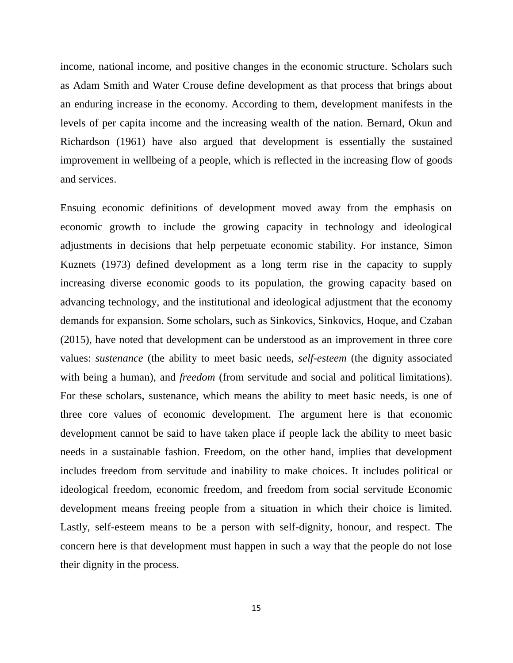income, national income, and positive changes in the economic structure. Scholars such as Adam Smith and Water Crouse define development as that process that brings about an enduring increase in the economy. According to them, development manifests in the levels of per capita income and the increasing wealth of the nation. Bernard, Okun and Richardson (1961) have also argued that development is essentially the sustained improvement in wellbeing of a people, which is reflected in the increasing flow of goods and services.

Ensuing economic definitions of development moved away from the emphasis on economic growth to include the growing capacity in technology and ideological adjustments in decisions that help perpetuate economic stability. For instance, Simon Kuznets (1973) defined development as a long term rise in the capacity to supply increasing diverse economic goods to its population, the growing capacity based on advancing technology, and the institutional and ideological adjustment that the economy demands for expansion. Some scholars, such as Sinkovics, Sinkovics, Hoque, and Czaban (2015), have noted that development can be understood as an improvement in three core values: *sustenance* (the ability to meet basic needs, *self-esteem* (the dignity associated with being a human), and *freedom* (from servitude and social and political limitations). For these scholars, sustenance, which means the ability to meet basic needs, is one of three core values of economic development. The argument here is that economic development cannot be said to have taken place if people lack the ability to meet basic needs in a sustainable fashion. Freedom, on the other hand, implies that development includes freedom from servitude and inability to make choices. It includes political or ideological freedom, economic freedom, and freedom from social servitude Economic development means freeing people from a situation in which their choice is limited. Lastly, self-esteem means to be a person with self-dignity, honour, and respect. The concern here is that development must happen in such a way that the people do not lose their dignity in the process.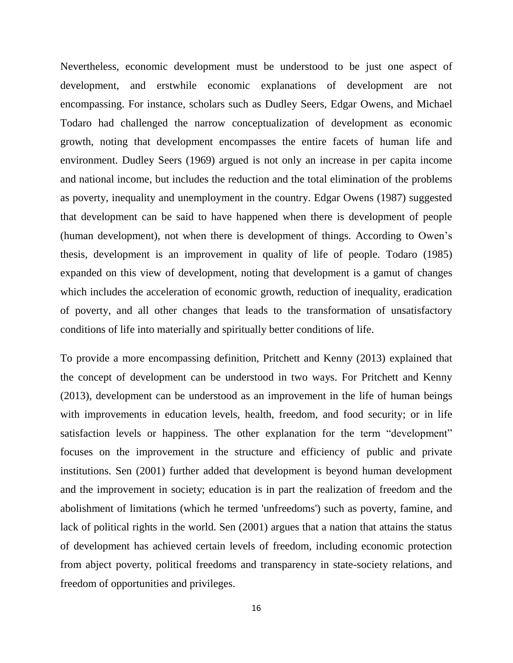Nevertheless, economic development must be understood to be just one aspect of development, and erstwhile economic explanations of development are not encompassing. For instance, scholars such as Dudley Seers, Edgar Owens, and Michael Todaro had challenged the narrow conceptualization of development as economic growth, noting that development encompasses the entire facets of human life and environment. Dudley Seers (1969) argued is not only an increase in per capita income and national income, but includes the reduction and the total elimination of the problems as poverty, inequality and unemployment in the country. Edgar Owens (1987) suggested that development can be said to have happened when there is development of people (human development), not when there is development of things. According to Owen's thesis, development is an improvement in quality of life of people. Todaro (1985) expanded on this view of development, noting that development is a gamut of changes which includes the acceleration of economic growth, reduction of inequality, eradication of poverty, and all other changes that leads to the transformation of unsatisfactory conditions of life into materially and spiritually better conditions of life.

To provide a more encompassing definition, Pritchett and Kenny (2013) explained that the concept of development can be understood in two ways. For Pritchett and Kenny (2013), development can be understood as an improvement in the life of human beings with improvements in education levels, health, freedom, and food security; or in life satisfaction levels or happiness. The other explanation for the term "development" focuses on the improvement in the structure and efficiency of public and private institutions. Sen (2001) further added that development is beyond human development and the improvement in society; education is in part the realization of freedom and the abolishment of limitations (which he termed 'unfreedoms') such as poverty, famine, and lack of political rights in the world. Sen (2001) argues that a nation that attains the status of development has achieved certain levels of freedom, including economic protection from abject poverty, political freedoms and transparency in state-society relations, and freedom of opportunities and privileges.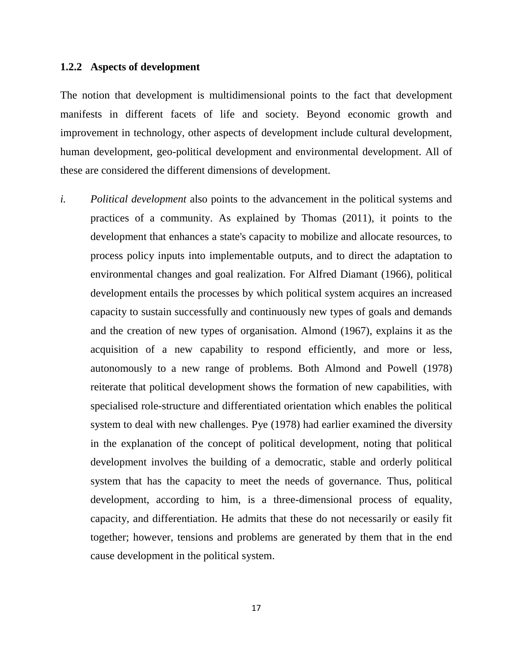#### <span id="page-25-0"></span>**1.2.2 Aspects of development**

The notion that development is multidimensional points to the fact that development manifests in different facets of life and society. Beyond economic growth and improvement in technology, other aspects of development include cultural development, human development, geo-political development and environmental development. All of these are considered the different dimensions of development.

*i. Political development* also points to the advancement in the political systems and practices of a community. As explained by Thomas (2011), it points to the development that enhances a state's capacity to mobilize and allocate resources, to process policy inputs into implementable outputs, and to direct the adaptation to environmental changes and goal realization. For Alfred Diamant (1966), political development entails the processes by which political system acquires an increased capacity to sustain successfully and continuously new types of goals and demands and the creation of new types of organisation. Almond (1967), explains it as the acquisition of a new capability to respond efficiently, and more or less, autonomously to a new range of problems. Both Almond and Powell (1978) reiterate that political development shows the formation of new capabilities, with specialised role-structure and differentiated orientation which enables the political system to deal with new challenges. Pye (1978) had earlier examined the diversity in the explanation of the concept of political development, noting that political development involves the building of a democratic, stable and orderly political system that has the capacity to meet the needs of governance. Thus, political development, according to him, is a three-dimensional process of equality, capacity, and differentiation. He admits that these do not necessarily or easily fit together; however, tensions and problems are generated by them that in the end cause development in the political system.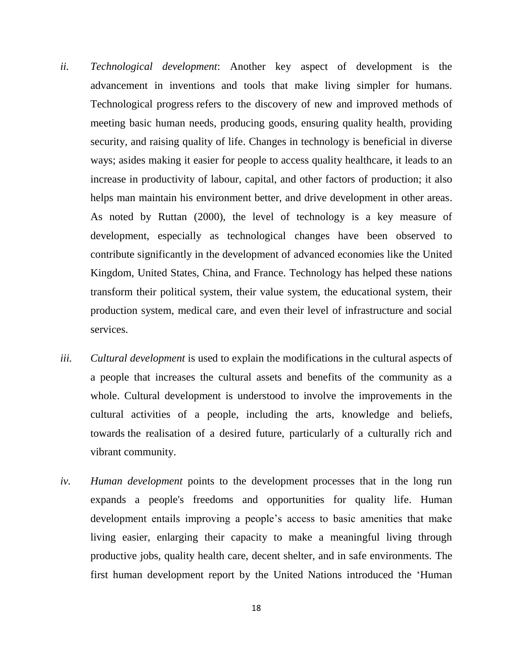- *ii. Technological development*: Another key aspect of development is the advancement in inventions and tools that make living simpler for humans. Technological progress refers to the discovery of new and improved methods of meeting basic human needs, producing goods, ensuring quality health, providing security, and raising quality of life. Changes in technology is beneficial in diverse ways; asides making it easier for people to access quality healthcare, it leads to an increase in productivity of labour, capital, and other factors of production; it also helps man maintain his environment better, and drive development in other areas. As noted by Ruttan (2000), the level of technology is a key measure of development, especially as technological changes have been observed to contribute significantly in the development of advanced economies like the United Kingdom, United States, China, and France. Technology has helped these nations transform their political system, their value system, the educational system, their production system, medical care, and even their level of infrastructure and social services.
- *iii. Cultural development* is used to explain the modifications in the cultural aspects of a people that increases the cultural assets and benefits of the community as a whole. Cultural development is understood to involve the improvements in the cultural activities of a people, including the arts, knowledge and beliefs, towards the realisation of a desired future, particularly of a culturally rich and vibrant community.
- *iv. Human development* points to the development processes that in the long run expands a people's freedoms and opportunities for quality life. Human development entails improving a people's access to basic amenities that make living easier, enlarging their capacity to make a meaningful living through productive jobs, quality health care, decent shelter, and in safe environments. The first human development report by the United Nations introduced the 'Human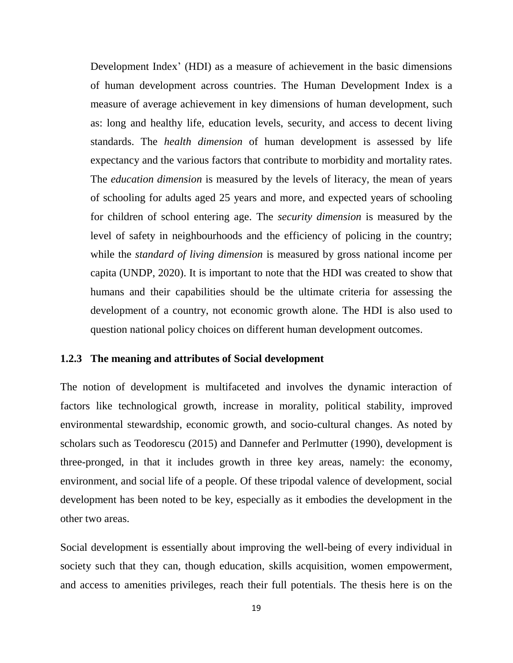Development Index' (HDI) as a measure of achievement in the basic dimensions of human development across countries. The Human Development Index is a measure of average achievement in key dimensions of human development, such as: long and healthy life, education levels, security, and access to decent living standards. The *health dimension* of human development is assessed by life expectancy and the various factors that contribute to morbidity and mortality rates. The *education dimension* is measured by the levels of literacy, the mean of years of schooling for adults aged 25 years and more, and expected years of schooling for children of school entering age. The *security dimension* is measured by the level of safety in neighbourhoods and the efficiency of policing in the country; while the *standard of living dimension* is measured by gross national income per capita (UNDP, 2020). It is important to note that the HDI was created to show that humans and their capabilities should be the ultimate criteria for assessing the development of a country, not economic growth alone. The HDI is also used to question national policy choices on different human development outcomes.

#### <span id="page-27-0"></span>**1.2.3 The meaning and attributes of Social development**

The notion of development is multifaceted and involves the dynamic interaction of factors like technological growth, increase in morality, political stability, improved environmental stewardship, economic growth, and socio-cultural changes. As noted by scholars such as Teodorescu (2015) and Dannefer and Perlmutter (1990), development is three-pronged, in that it includes growth in three key areas, namely: the economy, environment, and social life of a people. Of these tripodal valence of development, social development has been noted to be key, especially as it embodies the development in the other two areas.

Social development is essentially about improving the well-being of every individual in society such that they can, though education, skills acquisition, women empowerment, and access to amenities privileges, reach their full potentials. The thesis here is on the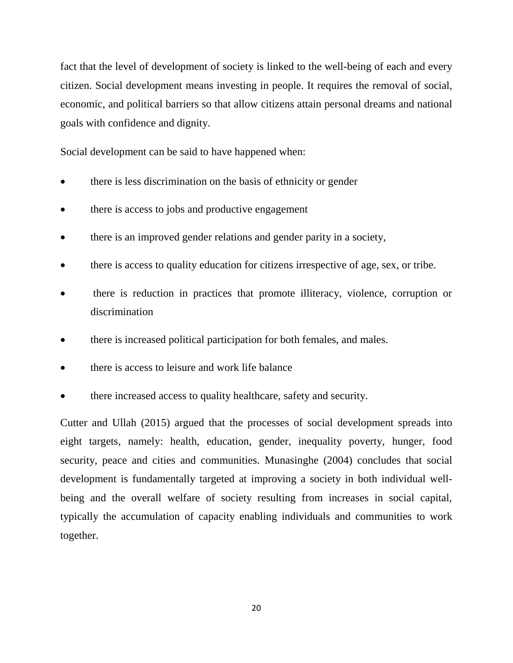fact that the level of development of society is linked to the well-being of each and every citizen. Social development means investing in people. It requires the removal of social, economic, and political barriers so that allow citizens attain personal dreams and national goals with confidence and dignity.

Social development can be said to have happened when:

- there is less discrimination on the basis of ethnicity or gender
- there is access to jobs and productive engagement
- there is an improved gender relations and gender parity in a society,
- there is access to quality education for citizens irrespective of age, sex, or tribe.
- there is reduction in practices that promote illiteracy, violence, corruption or discrimination
- there is increased political participation for both females, and males.
- there is access to leisure and work life balance
- there increased access to quality healthcare, safety and security.

Cutter and Ullah (2015) argued that the processes of social development spreads into eight targets, namely: health, education, gender, inequality poverty, hunger, food security, peace and cities and communities. Munasinghe (2004) concludes that social development is fundamentally targeted at improving a society in both individual wellbeing and the overall welfare of society resulting from increases in social capital, typically the accumulation of capacity enabling individuals and communities to work together.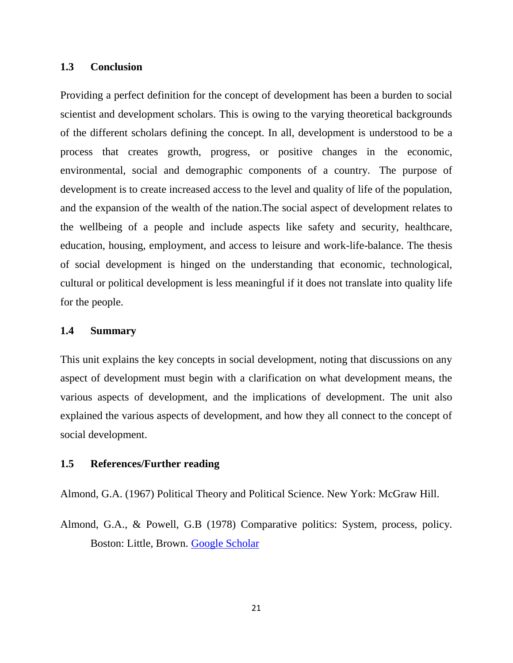## <span id="page-29-0"></span>**1.3 Conclusion**

Providing a perfect definition for the concept of development has been a burden to social scientist and development scholars. This is owing to the varying theoretical backgrounds of the different scholars defining the concept. In all, development is understood to be a process that creates growth, progress, or positive changes in the economic, environmental, social and demographic components of a country. The purpose of development is to create increased access to the level and quality of life of the population, and the expansion of the wealth of the nation.The social aspect of development relates to the wellbeing of a people and include aspects like safety and security, healthcare, education, housing, employment, and access to leisure and work-life-balance. The thesis of social development is hinged on the understanding that economic, technological, cultural or political development is less meaningful if it does not translate into quality life for the people.

# <span id="page-29-1"></span>**1.4 Summary**

This unit explains the key concepts in social development, noting that discussions on any aspect of development must begin with a clarification on what development means, the various aspects of development, and the implications of development. The unit also explained the various aspects of development, and how they all connect to the concept of social development.

#### <span id="page-29-2"></span>**1.5 References/Further reading**

Almond, G.A. (1967) Political Theory and Political Science. New York: McGraw Hill.

Almond, G.A., & Powell, G.B (1978) Comparative politics: System, process, policy. Boston: Little, Brown. [Google Scholar](http://scholar.google.com/scholar_lookup?title=Comparative%20politics%3A%20System%2C%20process%2C%20policy&author=GA.%20Almond&author=GB.%20Powell&publication_year=1978)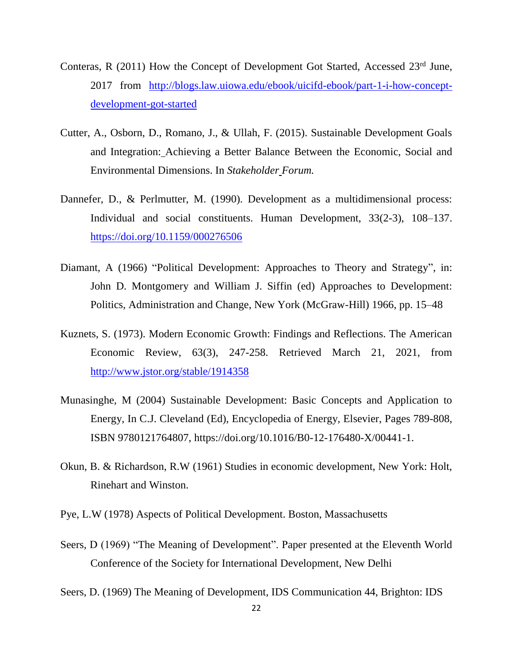- Conteras, R (2011) How the Concept of Development Got Started, Accessed 23rd June, 2017 from [http://blogs.law.uiowa.edu/ebook/uicifd-ebook/part-1-i-how-concept](http://blogs.law.uiowa.edu/ebook/uicifd-ebook/part-1-i-how-concept-development-got-started)[development-got-started](http://blogs.law.uiowa.edu/ebook/uicifd-ebook/part-1-i-how-concept-development-got-started)
- Cutter, A., Osborn, D., Romano, J., & Ullah, F. (2015). Sustainable Development Goals and Integration: Achieving a Better Balance Between the Economic, Social and Environmental Dimensions. In *Stakeholder Forum.*
- Dannefer, D., & Perlmutter, M. (1990). Development as a multidimensional process: Individual and social constituents. Human Development, 33(2-3), 108–137. [https://doi.org/10.1159/000276506](https://psycnet.apa.org/doi/10.1159/000276506)
- Diamant, A (1966) "Political Development: Approaches to Theory and Strategy", in: John D. Montgomery and William J. Siffin (ed) Approaches to Development: Politics, Administration and Change, New York (McGraw-Hill) 1966, pp. 15–48
- Kuznets, S. (1973). Modern Economic Growth: Findings and Reflections. The American Economic Review, 63(3), 247-258. Retrieved March 21, 2021, from <http://www.jstor.org/stable/1914358>
- Munasinghe, M (2004) Sustainable Development: Basic Concepts and Application to Energy, In C.J. Cleveland (Ed), Encyclopedia of Energy, Elsevier, Pages 789-808, ISBN 9780121764807, https://doi.org/10.1016/B0-12-176480-X/00441-1.
- Okun, B. & Richardson, R.W (1961) Studies in economic development, New York: Holt, Rinehart and Winston.
- Pye, L.W (1978) Aspects of Political Development. Boston, Massachusetts
- Seers, D (1969) "The Meaning of Development". Paper presented at the Eleventh World Conference of the Society for International Development, New Delhi
- Seers, D. (1969) The Meaning of Development, IDS Communication 44, Brighton: IDS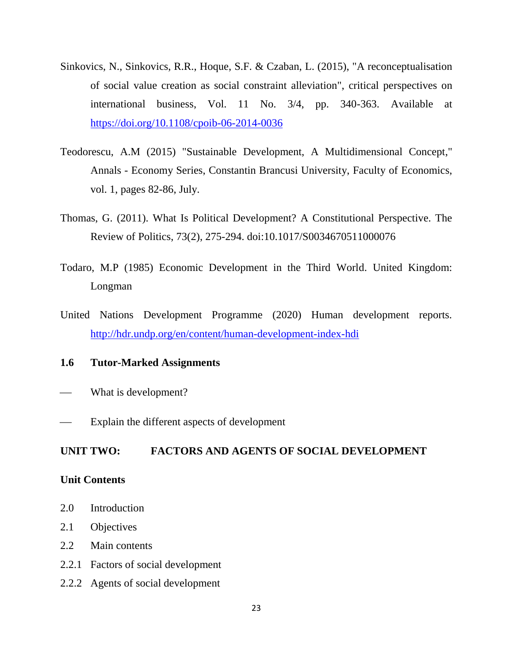- Sinkovics, N., Sinkovics, R.R., Hoque, S.F. & Czaban, L. (2015), "A reconceptualisation of social value creation as social constraint alleviation", critical perspectives on international business, Vol. 11 No. 3/4, pp. 340-363. Available at <https://doi.org/10.1108/cpoib-06-2014-0036>
- Teodorescu, A.M (2015) "Sustainable Development, A Multidimensional Concept," Annals - Economy Series, Constantin Brancusi University, Faculty of Economics, vol. 1, pages 82-86, July.
- Thomas, G. (2011). What Is Political Development? A Constitutional Perspective. The Review of Politics, 73(2), 275-294. doi:10.1017/S0034670511000076
- Todaro, M.P (1985) Economic Development in the Third World. United Kingdom: Longman
- United Nations Development Programme (2020) Human development reports. <http://hdr.undp.org/en/content/human-development-index-hdi>

# <span id="page-31-0"></span>**1.6 Tutor-Marked Assignments**

- What is development?
- Explain the different aspects of development

# <span id="page-31-1"></span>**UNIT TWO: FACTORS AND AGENTS OF SOCIAL DEVELOPMENT**

#### <span id="page-31-2"></span>**Unit Contents**

- 2.0 Introduction
- 2.1 Objectives
- 2.2 Main contents
- 2.2.1 Factors of social development
- 2.2.2 Agents of social development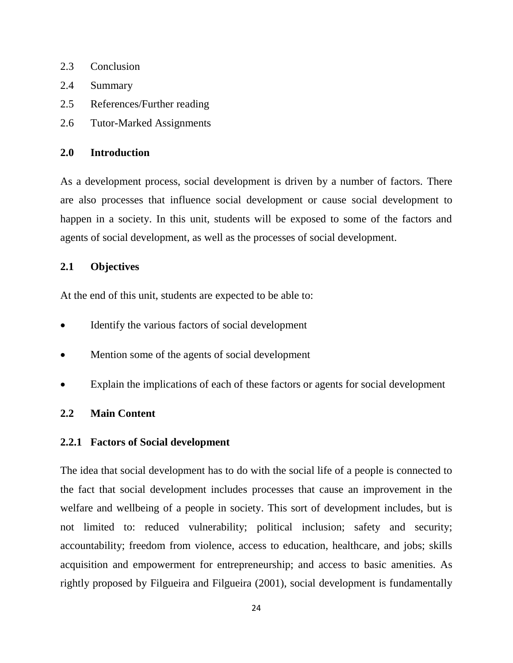- 2.3 Conclusion
- 2.4 Summary
- 2.5 References/Further reading
- 2.6 Tutor-Marked Assignments

# <span id="page-32-0"></span>**2.0 Introduction**

As a development process, social development is driven by a number of factors. There are also processes that influence social development or cause social development to happen in a society. In this unit, students will be exposed to some of the factors and agents of social development, as well as the processes of social development.

# <span id="page-32-1"></span>**2.1 Objectives**

At the end of this unit, students are expected to be able to:

- Identify the various factors of social development
- Mention some of the agents of social development
- Explain the implications of each of these factors or agents for social development

# <span id="page-32-2"></span>**2.2 Main Content**

#### <span id="page-32-3"></span>**2.2.1 Factors of Social development**

The idea that social development has to do with the social life of a people is connected to the fact that social development includes processes that cause an improvement in the welfare and wellbeing of a people in society. This sort of development includes, but is not limited to: reduced vulnerability; political inclusion; safety and security; accountability; freedom from violence, access to education, healthcare, and jobs; skills acquisition and empowerment for entrepreneurship; and access to basic amenities. As rightly proposed by Filgueira and Filgueira (2001), social development is fundamentally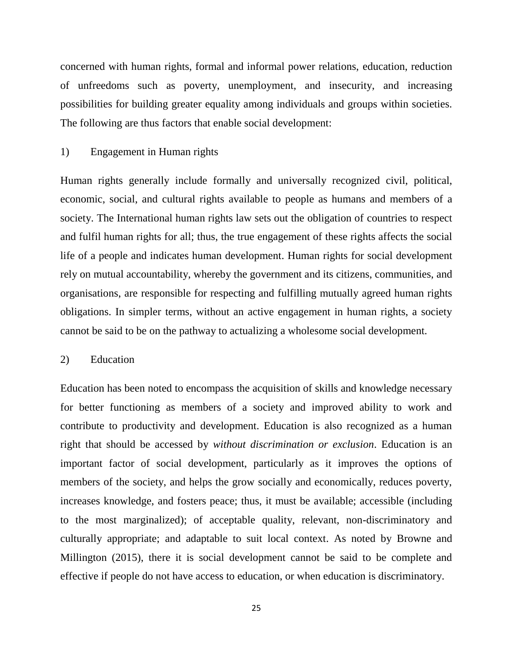concerned with human rights, formal and informal power relations, education, reduction of unfreedoms such as poverty, unemployment, and insecurity, and increasing possibilities for building greater equality among individuals and groups within societies. The following are thus factors that enable social development:

## 1) Engagement in Human rights

Human rights generally include formally and universally recognized civil, political, economic, social, and cultural rights available to people as humans and members of a society. The International human rights law sets out the obligation of countries to respect and fulfil human rights for all; thus, the true engagement of these rights affects the social life of a people and indicates human development. Human rights for social development rely on mutual accountability, whereby the government and its citizens, communities, and organisations, are responsible for respecting and fulfilling mutually agreed human rights obligations. In simpler terms, without an active engagement in human rights, a society cannot be said to be on the pathway to actualizing a wholesome social development.

# 2) Education

Education has been noted to encompass the acquisition of skills and knowledge necessary for better functioning as members of a society and improved ability to work and contribute to productivity and development. Education is also recognized as a human right that should be accessed by *without discrimination or exclusion*. Education is an important factor of social development, particularly as it improves the options of members of the society, and helps the grow socially and economically, reduces poverty, increases knowledge, and fosters peace; thus, it must be available; accessible (including to the most marginalized); of acceptable quality, relevant, non-discriminatory and culturally appropriate; and adaptable to suit local context. As noted by Browne and Millington (2015), there it is social development cannot be said to be complete and effective if people do not have access to education, or when education is discriminatory.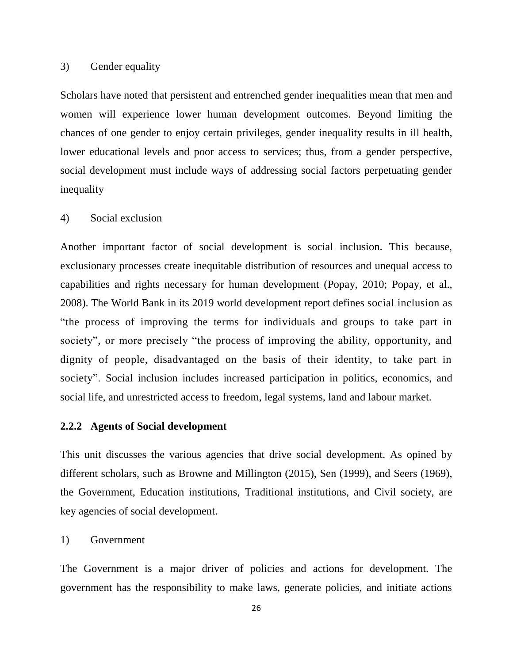#### 3) Gender equality

Scholars have noted that persistent and entrenched gender inequalities mean that men and women will experience lower human development outcomes. Beyond limiting the chances of one gender to enjoy certain privileges, gender inequality results in ill health, lower educational levels and poor access to services; thus, from a gender perspective, social development must include ways of addressing social factors perpetuating gender inequality

# 4) Social exclusion

Another important factor of social development is social inclusion. This because, exclusionary processes create inequitable distribution of resources and unequal access to capabilities and rights necessary for human development (Popay, 2010; Popay, et al., 2008). The World Bank in its 2019 world development report defines social inclusion as "the process of improving the terms for individuals and groups to take part in society", or more precisely "the process of improving the ability, opportunity, and dignity of people, disadvantaged on the basis of their identity, to take part in society". Social inclusion includes increased participation in politics, economics, and social life, and unrestricted access to freedom, legal systems, land and labour market.

#### **2.2.2 Agents of Social development**

This unit discusses the various agencies that drive social development. As opined by different scholars, such as Browne and Millington (2015), Sen (1999), and Seers (1969), the Government, Education institutions, Traditional institutions, and Civil society, are key agencies of social development.

1) Government

The Government is a major driver of policies and actions for development. The government has the responsibility to make laws, generate policies, and initiate actions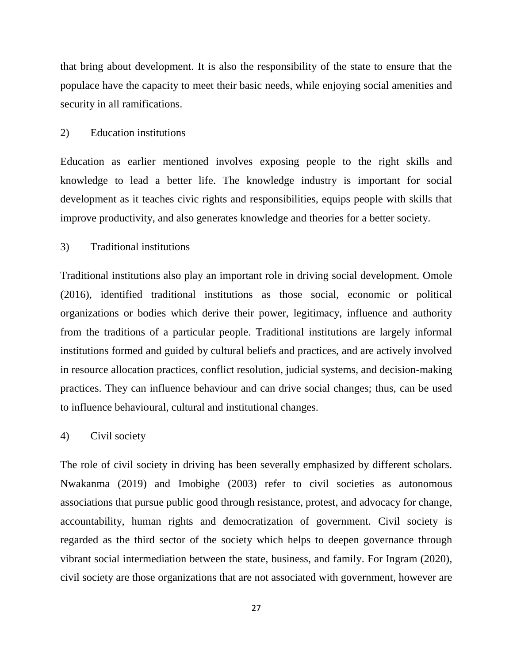that bring about development. It is also the responsibility of the state to ensure that the populace have the capacity to meet their basic needs, while enjoying social amenities and security in all ramifications.

#### 2) Education institutions

Education as earlier mentioned involves exposing people to the right skills and knowledge to lead a better life. The knowledge industry is important for social development as it teaches civic rights and responsibilities, equips people with skills that improve productivity, and also generates knowledge and theories for a better society.

#### 3) Traditional institutions

Traditional institutions also play an important role in driving social development. Omole (2016), identified traditional institutions as those social, economic or political organizations or bodies which derive their power, legitimacy, influence and authority from the traditions of a particular people. Traditional institutions are largely informal institutions formed and guided by cultural beliefs and practices, and are actively involved in resource allocation practices, conflict resolution, judicial systems, and decision-making practices. They can influence behaviour and can drive social changes; thus, can be used to influence behavioural, cultural and institutional changes.

#### 4) Civil society

The role of civil society in driving has been severally emphasized by different scholars. Nwakanma (2019) and Imobighe (2003) refer to civil societies as autonomous associations that pursue public good through resistance, protest, and advocacy for change, accountability, human rights and democratization of government. Civil society is regarded as the third sector of the society which helps to deepen governance through vibrant social intermediation between the state, business, and family. For Ingram (2020), civil society are those organizations that are not associated with government, however are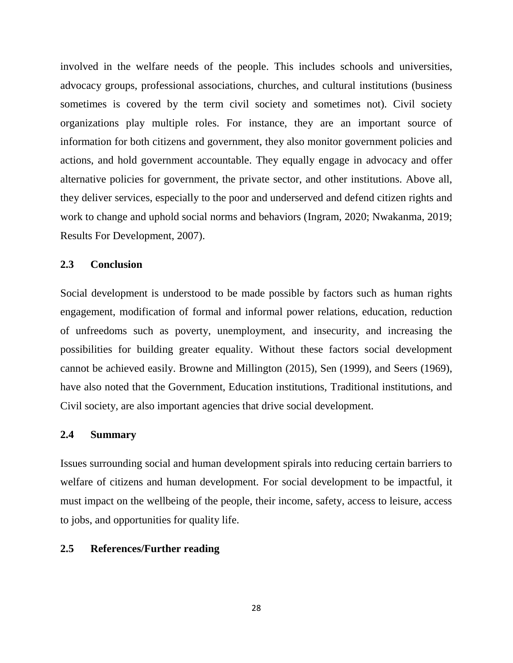involved in the welfare needs of the people. This includes schools and universities, advocacy groups, professional associations, churches, and cultural institutions (business sometimes is covered by the term civil society and sometimes not). Civil society organizations play multiple roles. For instance, they are an important source of information for both citizens and government, they also monitor government policies and actions, and hold government accountable. They equally engage in advocacy and offer alternative policies for government, the private sector, and other institutions. Above all, they deliver services, especially to the poor and underserved and defend citizen rights and work to change and uphold social norms and behaviors (Ingram, 2020; Nwakanma, 2019; Results For Development, 2007).

## **2.3 Conclusion**

Social development is understood to be made possible by factors such as human rights engagement, modification of formal and informal power relations, education, reduction of unfreedoms such as poverty, unemployment, and insecurity, and increasing the possibilities for building greater equality. Without these factors social development cannot be achieved easily. Browne and Millington (2015), Sen (1999), and Seers (1969), have also noted that the Government, Education institutions, Traditional institutions, and Civil society, are also important agencies that drive social development.

#### **2.4 Summary**

Issues surrounding social and human development spirals into reducing certain barriers to welfare of citizens and human development. For social development to be impactful, it must impact on the wellbeing of the people, their income, safety, access to leisure, access to jobs, and opportunities for quality life.

#### **2.5 References/Further reading**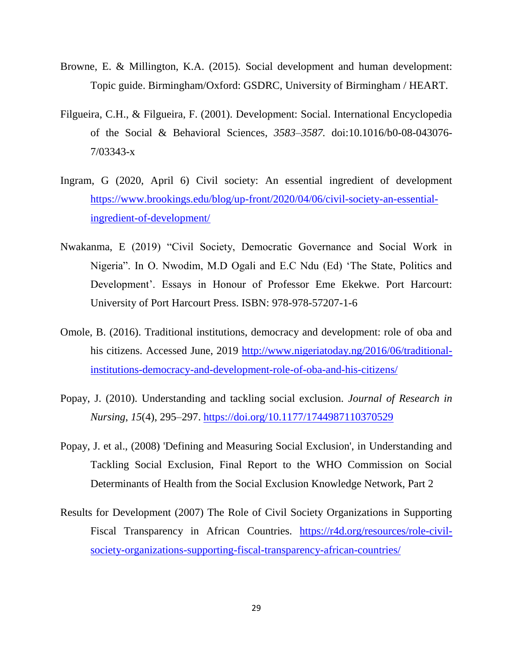- Browne, E. & Millington, K.A. (2015). Social development and human development: Topic guide. Birmingham/Oxford: GSDRC, University of Birmingham / HEART.
- Filgueira, C.H., & Filgueira, F. (2001). Development: Social. International Encyclopedia of the Social & Behavioral Sciences*, 3583–3587.* doi:10.1016/b0-08-043076- 7/03343-x
- Ingram, G (2020, April 6) Civil society: An essential ingredient of development [https://www.brookings.edu/blog/up-front/2020/04/06/civil-society-an-essential](https://www.brookings.edu/blog/up-front/2020/04/06/civil-society-an-essential-ingredient-of-development/)[ingredient-of-development/](https://www.brookings.edu/blog/up-front/2020/04/06/civil-society-an-essential-ingredient-of-development/)
- Nwakanma, E (2019) "Civil Society, Democratic Governance and Social Work in Nigeria". In O. Nwodim, M.D Ogali and E.C Ndu (Ed) 'The State, Politics and Development'. Essays in Honour of Professor Eme Ekekwe. Port Harcourt: University of Port Harcourt Press. ISBN: 978-978-57207-1-6
- Omole, B. (2016). Traditional institutions, democracy and development: role of oba and his citizens. Accessed June, 2019 [http://www.nigeriatoday.ng/2016/06/traditional](http://www.nigeriatoday.ng/2016/06/traditional-institutions-democracy-and-development-role-of-oba-and-his-citizens/)[institutions-democracy-and-development-role-of-oba-and-his-citizens/](http://www.nigeriatoday.ng/2016/06/traditional-institutions-democracy-and-development-role-of-oba-and-his-citizens/)
- Popay, J. (2010). Understanding and tackling social exclusion. *Journal of Research in Nursing*, *15*(4), 295–297.<https://doi.org/10.1177/1744987110370529>
- Popay, J. et al., (2008) 'Defining and Measuring Social Exclusion', in Understanding and Tackling Social Exclusion, Final Report to the WHO Commission on Social Determinants of Health from the Social Exclusion Knowledge Network, Part 2
- Results for Development (2007) The Role of Civil Society Organizations in Supporting Fiscal Transparency in African Countries. [https://r4d.org/resources/role-civil](https://r4d.org/resources/role-civil-society-organizations-supporting-fiscal-transparency-african-countries/)[society-organizations-supporting-fiscal-transparency-african-countries/](https://r4d.org/resources/role-civil-society-organizations-supporting-fiscal-transparency-african-countries/)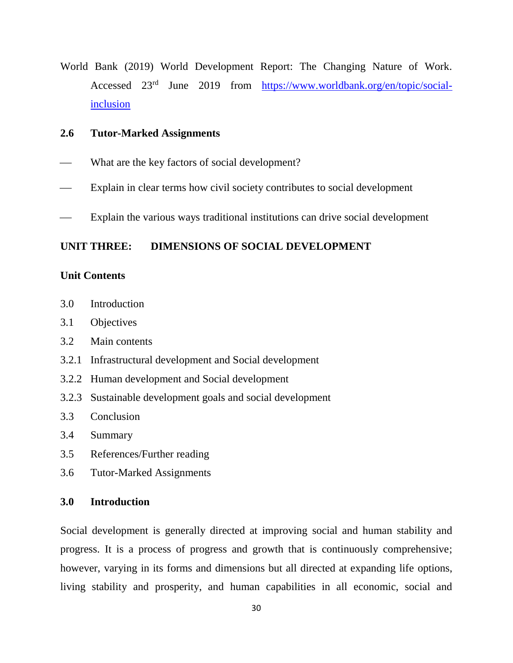World Bank (2019) World Development Report: The Changing Nature of Work. Accessed 23rd June 2019 from [https://www.worldbank.org/en/topic/social](https://www.worldbank.org/en/topic/social-inclusion)[inclusion](https://www.worldbank.org/en/topic/social-inclusion)

## **2.6 Tutor-Marked Assignments**

- What are the key factors of social development?
- Explain in clear terms how civil society contributes to social development
- Explain the various ways traditional institutions can drive social development

#### **UNIT THREE: DIMENSIONS OF SOCIAL DEVELOPMENT**

#### **Unit Contents**

- 3.0 Introduction
- 3.1 Objectives
- 3.2 Main contents
- 3.2.1 Infrastructural development and Social development
- 3.2.2 Human development and Social development
- 3.2.3 Sustainable development goals and social development
- 3.3 Conclusion
- 3.4 Summary
- 3.5 References/Further reading
- 3.6 Tutor-Marked Assignments

## **3.0 Introduction**

Social development is generally directed at improving social and human stability and progress. It is a process of progress and growth that is continuously comprehensive; however, varying in its forms and dimensions but all directed at expanding life options, living stability and prosperity, and human capabilities in all economic, social and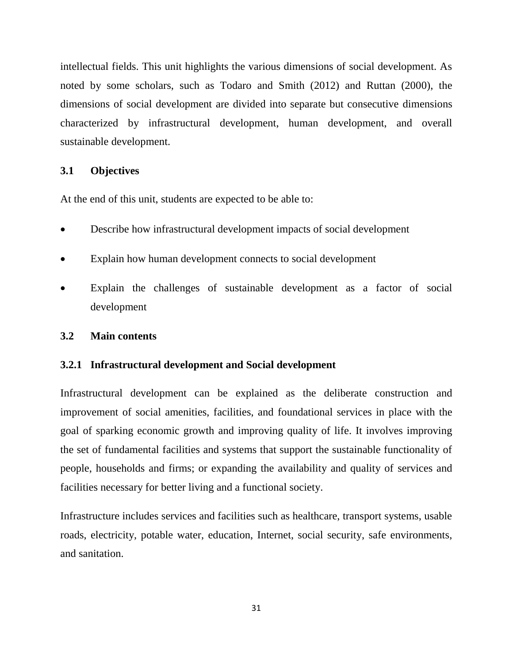intellectual fields. This unit highlights the various dimensions of social development. As noted by some scholars, such as Todaro and Smith (2012) and Ruttan (2000), the dimensions of social development are divided into separate but consecutive dimensions characterized by infrastructural development, human development, and overall sustainable development.

## **3.1 Objectives**

At the end of this unit, students are expected to be able to:

- Describe how infrastructural development impacts of social development
- Explain how human development connects to social development
- Explain the challenges of sustainable development as a factor of social development

#### **3.2 Main contents**

#### **3.2.1 Infrastructural development and Social development**

Infrastructural development can be explained as the deliberate construction and improvement of social amenities, facilities, and foundational services in place with the goal of sparking economic growth and improving quality of life. It involves improving the set of fundamental facilities and systems that support the sustainable functionality of people, households and firms; or expanding the availability and quality of services and facilities necessary for better living and a functional society.

Infrastructure includes services and facilities such as healthcare, transport systems, usable roads, electricity, potable water, education, Internet, social security, safe environments, and sanitation.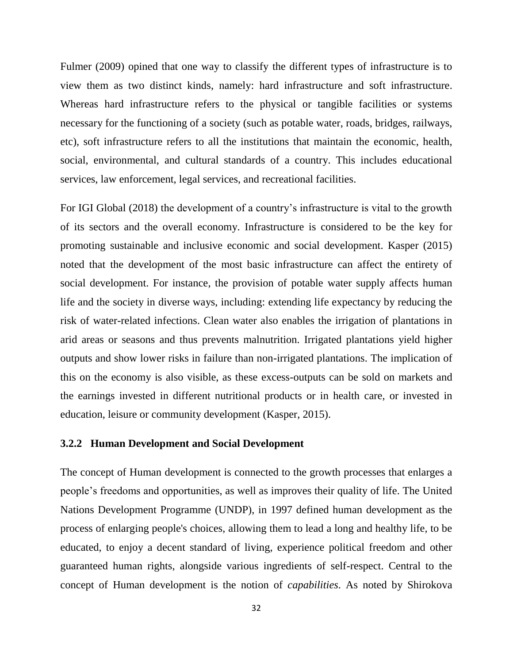Fulmer (2009) opined that one way to classify the different types of infrastructure is to view them as two distinct kinds, namely: hard infrastructure and soft infrastructure. Whereas hard infrastructure refers to the physical or tangible facilities or systems necessary for the functioning of a society (such as potable water, roads, bridges, railways, etc), soft infrastructure refers to all the institutions that maintain the economic, health, social, environmental, and cultural standards of a country. This includes educational services, law enforcement, legal services, and recreational facilities.

For IGI Global (2018) the development of a country's infrastructure is vital to the growth of its sectors and the overall economy. Infrastructure is considered to be the key for promoting sustainable and inclusive economic and social development. Kasper (2015) noted that the development of the most basic infrastructure can affect the entirety of social development. For instance, the provision of potable water supply affects human life and the society in diverse ways, including: extending life expectancy by reducing the risk of water-related infections. Clean water also enables the irrigation of plantations in arid areas or seasons and thus prevents malnutrition. Irrigated plantations yield higher outputs and show lower risks in failure than non-irrigated plantations. The implication of this on the economy is also visible, as these excess-outputs can be sold on markets and the earnings invested in different nutritional products or in health care, or invested in education, leisure or community development (Kasper, 2015).

## **3.2.2 Human Development and Social Development**

The concept of Human development is connected to the growth processes that enlarges a people's freedoms and opportunities, as well as improves their quality of life. The United Nations Development Programme (UNDP), in 1997 defined human development as the process of enlarging people's choices, allowing them to lead a long and healthy life, to be educated, to enjoy a decent standard of living, experience political freedom and other guaranteed human rights, alongside various ingredients of self-respect. Central to the concept of Human development is the notion of *capabilities*. As noted by Shirokova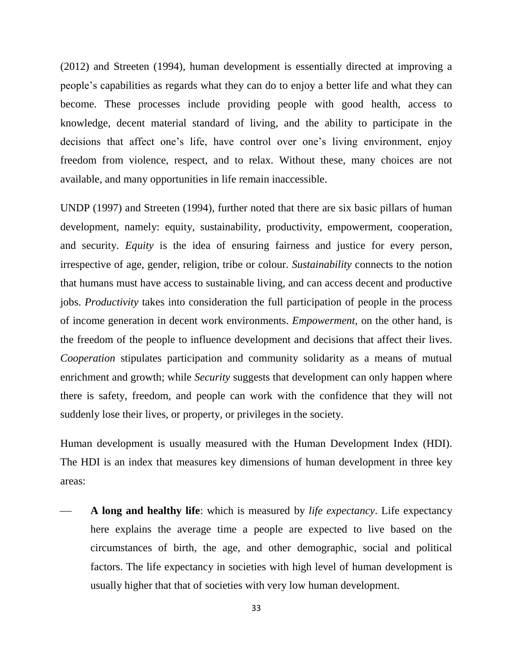(2012) and Streeten (1994), human development is essentially directed at improving a people's capabilities as regards what they can do to enjoy a better life and what they can become. These processes include providing people with good health, access to knowledge, decent material standard of living, and the ability to participate in the decisions that affect one's life, have control over one's living environment, enjoy freedom from violence, respect, and to relax. Without these, many choices are not available, and many opportunities in life remain inaccessible.

UNDP (1997) and Streeten (1994), further noted that there are six basic pillars of human development, namely: equity, sustainability, productivity, empowerment, cooperation, and security. *Equity* is the idea of ensuring fairness and justice for every person, irrespective of age, gender, religion, tribe or colour. *Sustainability* connects to the notion that humans must have access to sustainable living, and can access decent and productive jobs. *Productivity* takes into consideration the full participation of people in the process of income generation in decent work environments. *Empowerment*, on the other hand, is the freedom of the people to influence development and decisions that affect their lives. *Cooperation* stipulates participation and community solidarity as a means of mutual enrichment and growth; while *Security* suggests that development can only happen where there is safety, freedom, and people can work with the confidence that they will not suddenly lose their lives, or property, or privileges in the society.

Human development is usually measured with the Human Development Index (HDI). The HDI is an index that measures key dimensions of human development in three key areas:

 **A long and healthy life**: which is measured by *life expectancy*. Life expectancy here explains the average time a people are expected to live based on the circumstances of birth, the age, and other demographic, social and political factors. The life expectancy in societies with high level of human development is usually higher that that of societies with very low human development.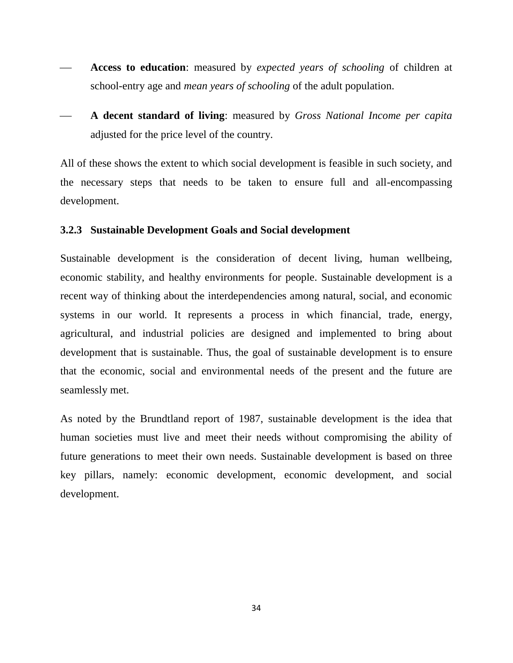- **Access to education**: measured by *expected years of schooling* of children at school-entry age and *mean years of schooling* of the adult population.
- **A decent standard of living**: measured by *Gross National Income per capita* adjusted for the price level of the country.

All of these shows the extent to which social development is feasible in such society, and the necessary steps that needs to be taken to ensure full and all-encompassing development.

#### **3.2.3 Sustainable Development Goals and Social development**

Sustainable development is the consideration of decent living, human wellbeing, economic stability, and healthy environments for people. Sustainable development is a recent way of thinking about the interdependencies among natural, social, and economic systems in our world. It represents a process in which financial, trade, energy, agricultural, and industrial policies are designed and implemented to bring about development that is sustainable. Thus, the goal of sustainable development is to ensure that the economic, social and environmental needs of the present and the future are seamlessly met.

As noted by the Brundtland report of 1987, sustainable development is the idea that human societies must live and meet their needs without compromising the ability of future generations to meet their own needs. Sustainable development is based on three key pillars, namely: economic development, economic development, and social development.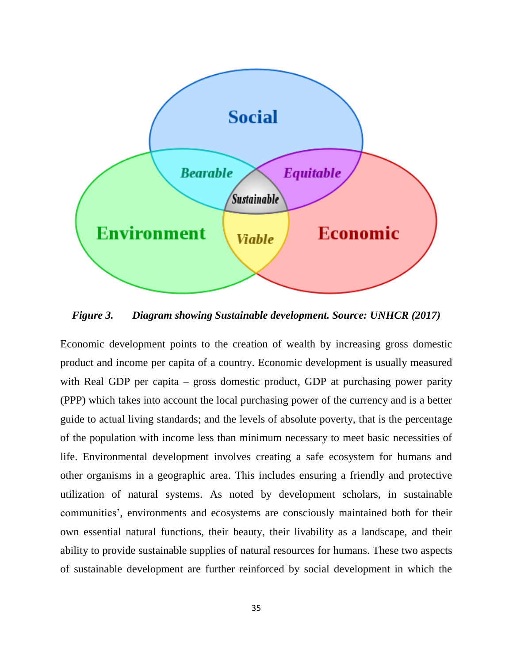

*Figure 3. Diagram showing Sustainable development. Source: UNHCR (2017)*

Economic development points to the creation of wealth by increasing gross domestic product and income per capita of a country. Economic development is usually measured with Real GDP per capita – gross domestic product, GDP at purchasing power parity (PPP) which takes into account the local purchasing power of the currency and is a better guide to actual living standards; and the levels of absolute poverty, that is the percentage of the population with income less than minimum necessary to meet basic necessities of life. Environmental development involves creating a safe ecosystem for humans and other organisms in a geographic area. This includes ensuring a friendly and protective utilization of natural systems. As noted by development scholars, in sustainable communities', environments and ecosystems are consciously maintained both for their own essential natural functions, their beauty, their livability as a landscape, and their ability to provide sustainable supplies of natural resources for humans. These two aspects of sustainable development are further reinforced by social development in which the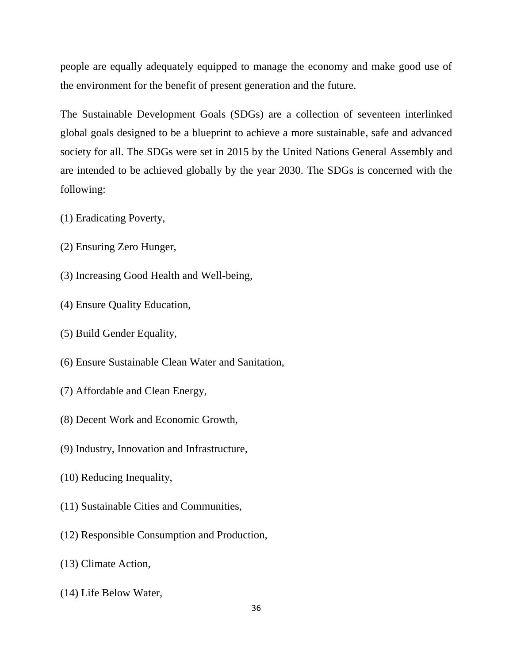people are equally adequately equipped to manage the economy and make good use of the environment for the benefit of present generation and the future.

The Sustainable Development Goals (SDGs) are a collection of seventeen interlinked global goals designed to be a blueprint to achieve a more sustainable, safe and advanced society for all. The SDGs were set in 2015 by the United Nations General Assembly and are intended to be achieved globally by the year 2030. The SDGs is concerned with the following:

- (1) Eradicating Poverty,
- (2) Ensuring Zero Hunger,
- (3) Increasing Good Health and Well-being,
- (4) Ensure Quality Education,
- (5) Build Gender Equality,
- (6) Ensure Sustainable Clean Water and Sanitation,
- (7) Affordable and Clean Energy,
- (8) Decent Work and Economic Growth,
- (9) Industry, Innovation and Infrastructure,
- (10) Reducing Inequality,
- (11) Sustainable Cities and Communities,
- (12) Responsible Consumption and Production,
- (13) Climate Action,
- (14) Life Below Water,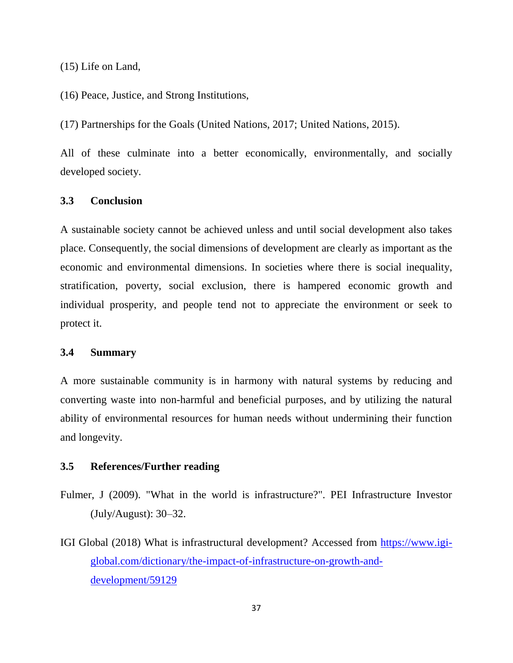(15) Life on Land,

(16) Peace, Justice, and Strong Institutions,

(17) Partnerships for the Goals (United Nations, 2017; United Nations, 2015).

All of these culminate into a better economically, environmentally, and socially developed society.

# **3.3 Conclusion**

A sustainable society cannot be achieved unless and until social development also takes place. Consequently, the social dimensions of development are clearly as important as the economic and environmental dimensions. In societies where there is social inequality, stratification, poverty, social exclusion, there is hampered economic growth and individual prosperity, and people tend not to appreciate the environment or seek to protect it.

#### **3.4 Summary**

A more sustainable community is in harmony with natural systems by reducing and converting waste into non-harmful and beneficial purposes, and by utilizing the natural ability of environmental resources for human needs without undermining their function and longevity.

## **3.5 References/Further reading**

- Fulmer, J (2009). "What in the world is infrastructure?". PEI Infrastructure Investor (July/August): 30–32.
- IGI Global (2018) What is infrastructural development? Accessed from [https://www.igi](https://www.igi-global.com/dictionary/the-impact-of-infrastructure-on-growth-and-development/59129)[global.com/dictionary/the-impact-of-infrastructure-on-growth-and](https://www.igi-global.com/dictionary/the-impact-of-infrastructure-on-growth-and-development/59129)[development/59129](https://www.igi-global.com/dictionary/the-impact-of-infrastructure-on-growth-and-development/59129)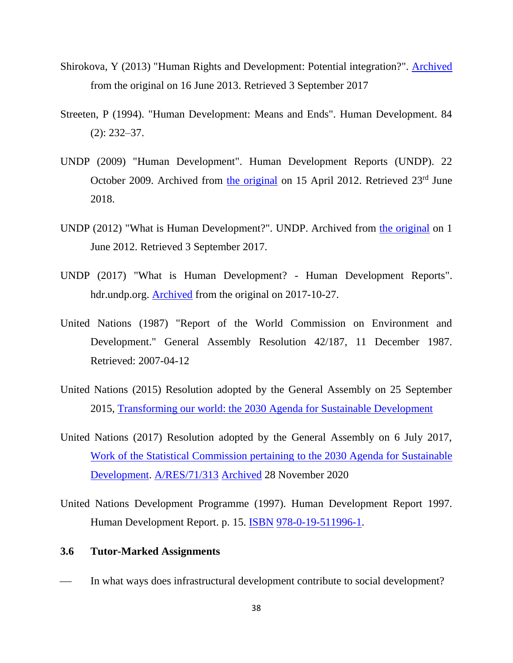- Shirokova, Y (2013) "Human Rights and Development: Potential integration?". [Archived](https://web.archive.org/web/20130616023341/http:/www.prof.msu.ru/publ/omsk/25.htm) from the original on 16 June 2013. Retrieved 3 September 2017
- Streeten, P (1994). "Human Development: Means and Ends". Human Development. 84 (2): 232–37.
- UNDP (2009) "Human Development". Human Development Reports (UNDP). 22 October 2009. Archived from [the original](http://hdr.undp.org/en/humandev/) on 15 April 2012. Retrieved 23<sup>rd</sup> June 2018.
- UNDP (2012) "What is Human Development?". UNDP. Archived from [the original](http://www.undp.org.bz/human-development/what-is-human-development/) on 1 June 2012. Retrieved 3 September 2017.
- UNDP (2017) "What is Human Development? Human Development Reports". hdr.undp.org. [Archived](https://web.archive.org/web/20171027132851/http:/hdr.undp.org/en/content/what-human-development) from the original on 2017-10-27.
- United Nations (1987) "Report of the World Commission on Environment and Development." General Assembly Resolution 42/187, 11 December 1987. Retrieved: 2007-04-12
- United Nations (2015) Resolution adopted by the General Assembly on 25 September 2015, [Transforming our world: the 2030 Agenda for Sustainable Development](https://en.wikipedia.org/wiki/File:N1529189.pdf)
- United Nations (2017) Resolution adopted by the General Assembly on 6 July 2017, [Work of the Statistical Commission pertaining to the 2030 Agenda for Sustainable](https://en.wikipedia.org/wiki/File:A_RES_71_313_E.pdf)  [Development.](https://en.wikipedia.org/wiki/File:A_RES_71_313_E.pdf) [A/RES/71/313](https://undocs.org/A/RES/71/313) [Archived](https://web.archive.org/web/20201128194012/https:/undocs.org/A/RES/71/313) 28 November 2020
- United Nations Development Programme (1997). Human Development Report 1997. Human Development Report. p. 15. [ISBN](https://en.wikipedia.org/wiki/ISBN_(identifier)) [978-0-19-511996-1.](https://en.wikipedia.org/wiki/Special:BookSources/978-0-19-511996-1)

#### **3.6 Tutor-Marked Assignments**

In what ways does infrastructural development contribute to social development?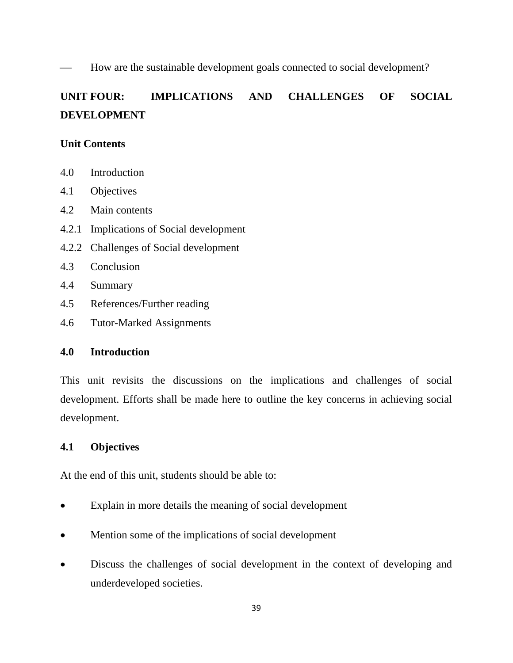How are the sustainable development goals connected to social development?

# **UNIT FOUR: IMPLICATIONS AND CHALLENGES OF SOCIAL DEVELOPMENT**

## **Unit Contents**

- 4.0 Introduction
- 4.1 Objectives
- 4.2 Main contents
- 4.2.1 Implications of Social development
- 4.2.2 Challenges of Social development
- 4.3 Conclusion
- 4.4 Summary
- 4.5 References/Further reading
- 4.6 Tutor-Marked Assignments

## **4.0 Introduction**

This unit revisits the discussions on the implications and challenges of social development. Efforts shall be made here to outline the key concerns in achieving social development.

## **4.1 Objectives**

At the end of this unit, students should be able to:

- Explain in more details the meaning of social development
- Mention some of the implications of social development
- Discuss the challenges of social development in the context of developing and underdeveloped societies.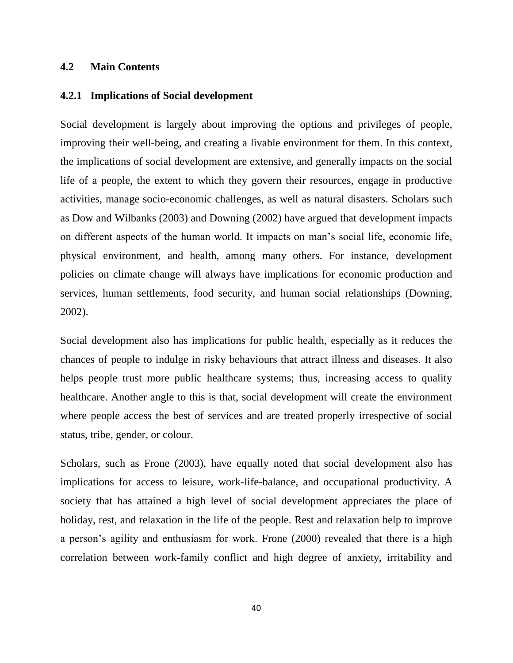## **4.2 Main Contents**

#### **4.2.1 Implications of Social development**

Social development is largely about improving the options and privileges of people, improving their well-being, and creating a livable environment for them. In this context, the implications of social development are extensive, and generally impacts on the social life of a people, the extent to which they govern their resources, engage in productive activities, manage socio-economic challenges, as well as natural disasters. Scholars such as Dow and Wilbanks (2003) and Downing (2002) have argued that development impacts on different aspects of the human world. It impacts on man's social life, economic life, physical environment, and health, among many others. For instance, development policies on climate change will always have implications for economic production and services, human settlements, food security, and human social relationships (Downing, 2002).

Social development also has implications for public health, especially as it reduces the chances of people to indulge in risky behaviours that attract illness and diseases. It also helps people trust more public healthcare systems; thus, increasing access to quality healthcare. Another angle to this is that, social development will create the environment where people access the best of services and are treated properly irrespective of social status, tribe, gender, or colour.

Scholars, such as Frone (2003), have equally noted that social development also has implications for access to leisure, work-life-balance, and occupational productivity. A society that has attained a high level of social development appreciates the place of holiday, rest, and relaxation in the life of the people. Rest and relaxation help to improve a person's agility and enthusiasm for work. Frone (2000) revealed that there is a high correlation between work-family conflict and high degree of anxiety, irritability and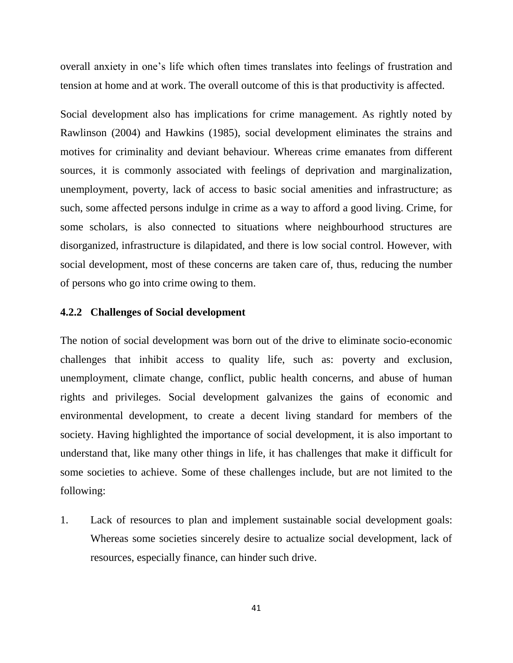overall anxiety in one's life which often times translates into feelings of frustration and tension at home and at work. The overall outcome of this is that productivity is affected.

Social development also has implications for crime management. As rightly noted by Rawlinson (2004) and Hawkins (1985), social development eliminates the strains and motives for criminality and deviant behaviour. Whereas crime emanates from different sources, it is commonly associated with feelings of deprivation and marginalization, unemployment, poverty, lack of access to basic social amenities and infrastructure; as such, some affected persons indulge in crime as a way to afford a good living. Crime, for some scholars, is also connected to situations where neighbourhood structures are disorganized, infrastructure is dilapidated, and there is low social control. However, with social development, most of these concerns are taken care of, thus, reducing the number of persons who go into crime owing to them.

#### **4.2.2 Challenges of Social development**

The notion of social development was born out of the drive to eliminate socio-economic challenges that inhibit access to quality life, such as: poverty and exclusion, unemployment, climate change, conflict, public health concerns, and abuse of human rights and privileges. Social development galvanizes the gains of economic and environmental development, to create a decent living standard for members of the society. Having highlighted the importance of social development, it is also important to understand that, like many other things in life, it has challenges that make it difficult for some societies to achieve. Some of these challenges include, but are not limited to the following:

1. Lack of resources to plan and implement sustainable social development goals: Whereas some societies sincerely desire to actualize social development, lack of resources, especially finance, can hinder such drive.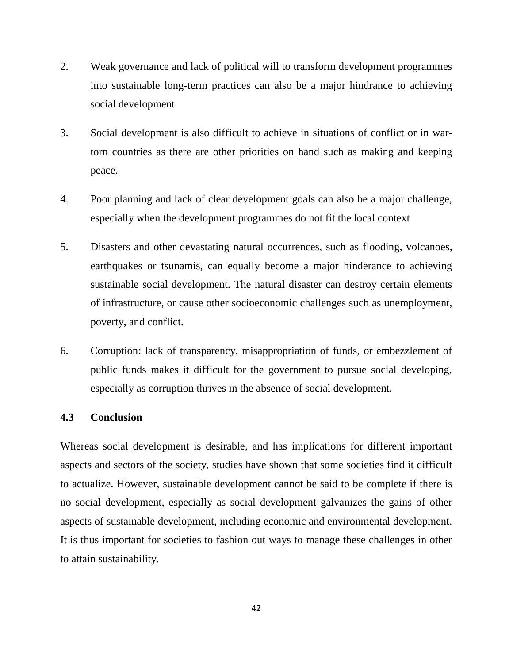- 2. Weak governance and lack of political will to transform development programmes into sustainable long-term practices can also be a major hindrance to achieving social development.
- 3. Social development is also difficult to achieve in situations of conflict or in wartorn countries as there are other priorities on hand such as making and keeping peace.
- 4. Poor planning and lack of clear development goals can also be a major challenge, especially when the development programmes do not fit the local context
- 5. Disasters and other devastating natural occurrences, such as flooding, volcanoes, earthquakes or tsunamis, can equally become a major hinderance to achieving sustainable social development. The natural disaster can destroy certain elements of infrastructure, or cause other socioeconomic challenges such as unemployment, poverty, and conflict.
- 6. Corruption: lack of transparency, misappropriation of funds, or embezzlement of public funds makes it difficult for the government to pursue social developing, especially as corruption thrives in the absence of social development.

## **4.3 Conclusion**

Whereas social development is desirable, and has implications for different important aspects and sectors of the society, studies have shown that some societies find it difficult to actualize. However, sustainable development cannot be said to be complete if there is no social development, especially as social development galvanizes the gains of other aspects of sustainable development, including economic and environmental development. It is thus important for societies to fashion out ways to manage these challenges in other to attain sustainability.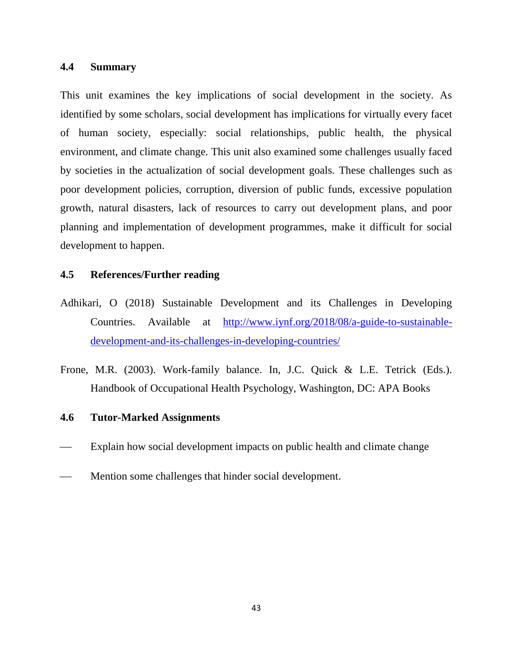## **4.4 Summary**

This unit examines the key implications of social development in the society. As identified by some scholars, social development has implications for virtually every facet of human society, especially: social relationships, public health, the physical environment, and climate change. This unit also examined some challenges usually faced by societies in the actualization of social development goals. These challenges such as poor development policies, corruption, diversion of public funds, excessive population growth, natural disasters, lack of resources to carry out development plans, and poor planning and implementation of development programmes, make it difficult for social development to happen.

# **4.5 References/Further reading**

- Adhikari, O (2018) Sustainable Development and its Challenges in Developing Countries. Available at [http://www.iynf.org/2018/08/a-guide-to-sustainable](http://www.iynf.org/2018/08/a-guide-to-sustainable-development-and-its-challenges-in-developing-countries/)[development-and-its-challenges-in-developing-countries/](http://www.iynf.org/2018/08/a-guide-to-sustainable-development-and-its-challenges-in-developing-countries/)
- Frone, M.R. (2003). Work-family balance. In, J.C. Quick & L.E. Tetrick (Eds.). Handbook of Occupational Health Psychology, Washington, DC: APA Books

# **4.6 Tutor-Marked Assignments**

- Explain how social development impacts on public health and climate change
- Mention some challenges that hinder social development.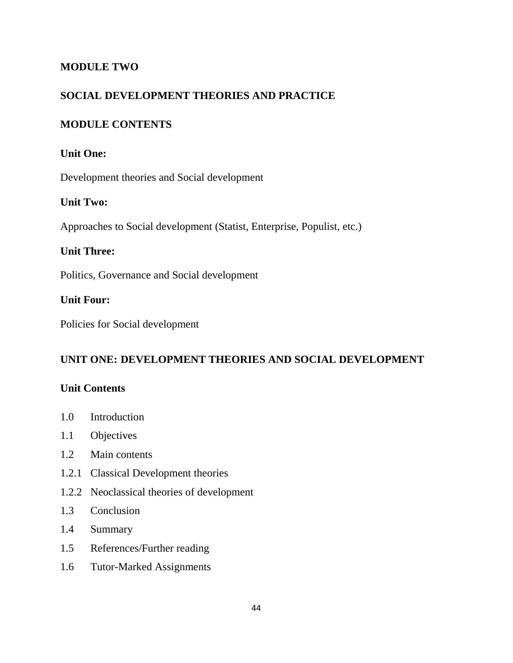# **MODULE TWO**

# **SOCIAL DEVELOPMENT THEORIES AND PRACTICE**

# **MODULE CONTENTS**

# **Unit One:**

Development theories and Social development

# **Unit Two:**

Approaches to Social development (Statist, Enterprise, Populist, etc.)

# **Unit Three:**

Politics, Governance and Social development

# **Unit Four:**

Policies for Social development

# **UNIT ONE: DEVELOPMENT THEORIES AND SOCIAL DEVELOPMENT**

# **Unit Contents**

- 1.0 Introduction
- 1.1 Objectives
- 1.2 Main contents
- 1.2.1 Classical Development theories
- 1.2.2 Neoclassical theories of development
- 1.3 Conclusion
- 1.4 Summary
- 1.5 References/Further reading
- 1.6 Tutor-Marked Assignments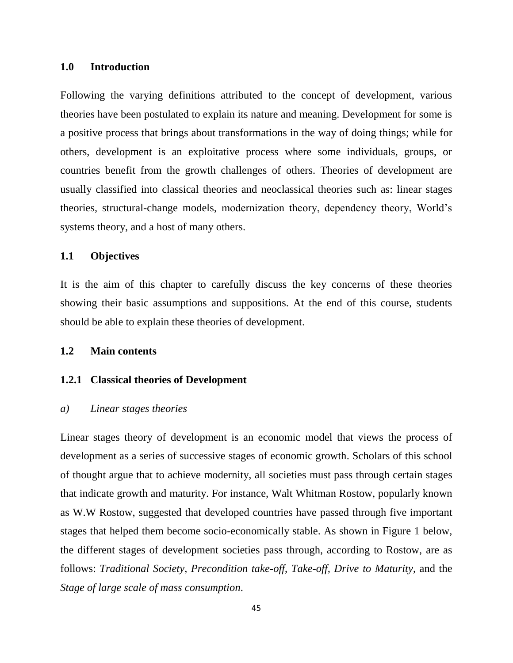#### **1.0 Introduction**

Following the varying definitions attributed to the concept of development, various theories have been postulated to explain its nature and meaning. Development for some is a positive process that brings about transformations in the way of doing things; while for others, development is an exploitative process where some individuals, groups, or countries benefit from the growth challenges of others. Theories of development are usually classified into classical theories and neoclassical theories such as: linear stages theories, structural-change models, modernization theory, dependency theory, World's systems theory, and a host of many others.

#### **1.1 Objectives**

It is the aim of this chapter to carefully discuss the key concerns of these theories showing their basic assumptions and suppositions. At the end of this course, students should be able to explain these theories of development.

#### **1.2 Main contents**

#### **1.2.1 Classical theories of Development**

#### *a) Linear stages theories*

Linear stages theory of development is an economic model that views the process of development as a series of successive stages of economic growth. Scholars of this school of thought argue that to achieve modernity, all societies must pass through certain stages that indicate growth and maturity. For instance, Walt Whitman Rostow, popularly known as W.W Rostow, suggested that developed countries have passed through five important stages that helped them become socio-economically stable. As shown in Figure 1 below, the different stages of development societies pass through, according to Rostow, are as follows: *Traditional Society*, *Precondition take-off*, *Take-off, Drive to Maturity*, and the *Stage of large scale of mass consumption*.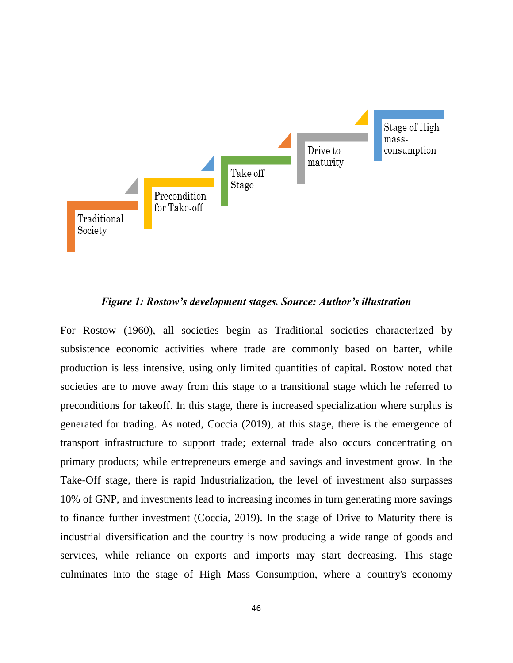

#### *Figure 1: Rostow's development stages. Source: Author's illustration*

For Rostow (1960), all societies begin as Traditional societies characterized by subsistence economic activities where trade are commonly based on barter, while production is less intensive, using only limited quantities of capital. Rostow noted that societies are to move away from this stage to a transitional stage which he referred to preconditions for takeoff. In this stage, there is increased specialization where surplus is generated for trading. As noted, Coccia (2019), at this stage, there is the emergence of transport infrastructure to support trade; external trade also occurs concentrating on primary products; while entrepreneurs emerge and savings and investment grow. In the Take-Off stage, there is rapid Industrialization, the level of investment also surpasses 10% of GNP, and investments lead to increasing incomes in turn generating more savings to finance further investment (Coccia, 2019). In the stage of Drive to Maturity there is industrial diversification and the country is now producing a wide range of goods and services, while reliance on exports and imports may start decreasing. This stage culminates into the stage of High Mass Consumption, where a country's economy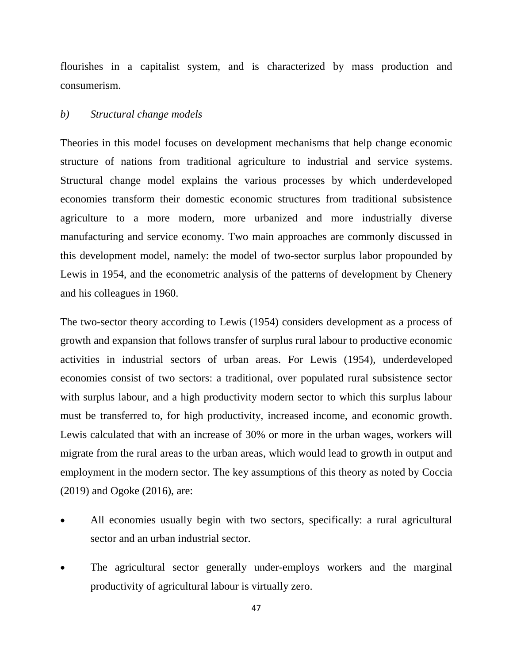flourishes in a capitalist system, and is characterized by mass production and consumerism.

#### *b) Structural change models*

Theories in this model focuses on development mechanisms that help change economic structure of nations from traditional agriculture to industrial and service systems. Structural change model explains the various processes by which underdeveloped economies transform their domestic economic structures from traditional subsistence agriculture to a more modern, more urbanized and more industrially diverse manufacturing and service economy. Two main approaches are commonly discussed in this development model, namely: the model of two-sector surplus labor propounded by Lewis in 1954, and the econometric analysis of the patterns of development by Chenery and his colleagues in 1960.

The two-sector theory according to Lewis (1954) considers development as a process of growth and expansion that follows transfer of surplus rural labour to productive economic activities in industrial sectors of urban areas. For Lewis (1954), underdeveloped economies consist of two sectors: a traditional, over populated rural subsistence sector with surplus labour, and a high productivity modern sector to which this surplus labour must be transferred to, for high productivity, increased income, and economic growth. Lewis calculated that with an increase of 30% or more in the urban wages, workers will migrate from the rural areas to the urban areas, which would lead to growth in output and employment in the modern sector. The key assumptions of this theory as noted by Coccia (2019) and Ogoke (2016), are:

- All economies usually begin with two sectors, specifically: a rural agricultural sector and an urban industrial sector.
- The agricultural sector generally under-employs workers and the marginal productivity of agricultural labour is virtually zero.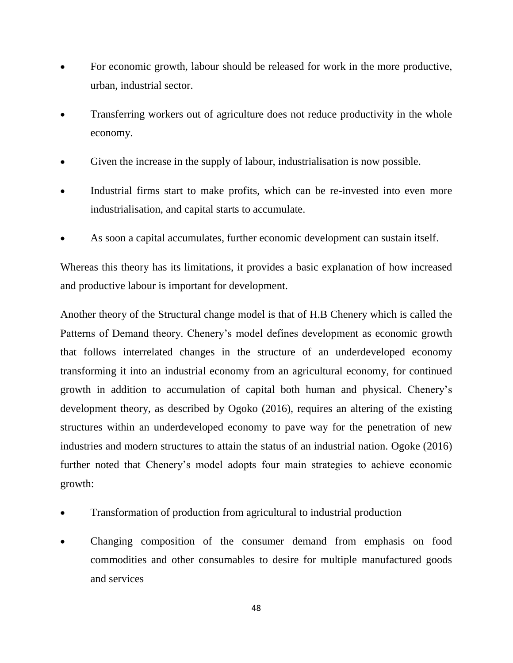- For economic growth, labour should be released for work in the more productive, urban, industrial sector.
- Transferring workers out of agriculture does not reduce productivity in the whole economy.
- Given the increase in the supply of labour, industrialisation is now possible.
- Industrial firms start to make profits, which can be re-invested into even more industrialisation, and capital starts to accumulate.
- As soon a capital accumulates, further economic development can sustain itself.

Whereas this theory has its limitations, it provides a basic explanation of how increased and productive labour is important for development.

Another theory of the Structural change model is that of H.B Chenery which is called the Patterns of Demand theory. Chenery's model defines development as economic growth that follows interrelated changes in the structure of an underdeveloped economy transforming it into an industrial economy from an agricultural economy, for continued growth in addition to accumulation of capital both human and physical. Chenery's development theory, as described by Ogoko (2016), requires an altering of the existing structures within an underdeveloped economy to pave way for the penetration of new industries and modern structures to attain the status of an industrial nation. Ogoke (2016) further noted that Chenery's model adopts four main strategies to achieve economic growth:

- Transformation of production from agricultural to industrial production
- Changing composition of the consumer demand from emphasis on food commodities and other consumables to desire for multiple manufactured goods and services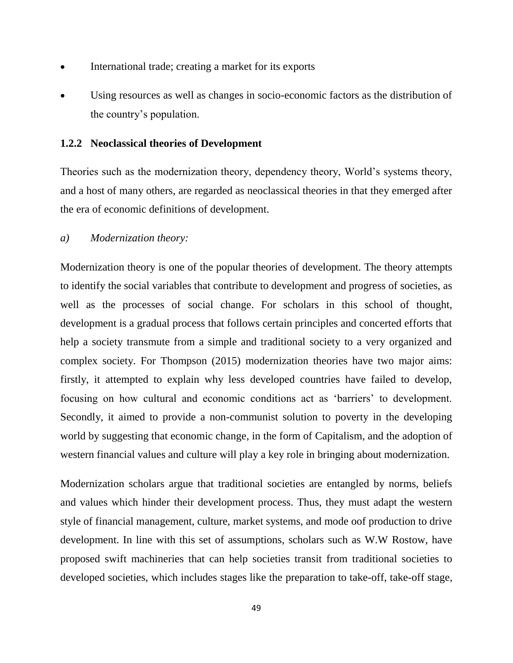- International trade; creating a market for its exports
- Using resources as well as changes in socio-economic factors as the distribution of the country's population.

## **1.2.2 Neoclassical theories of Development**

Theories such as the modernization theory, dependency theory, World's systems theory, and a host of many others, are regarded as neoclassical theories in that they emerged after the era of economic definitions of development.

*a) Modernization theory:*

Modernization theory is one of the popular theories of development. The theory attempts to identify the social variables that contribute to development and progress of societies, as well as the processes of social change. For scholars in this school of thought, development is a gradual process that follows certain principles and concerted efforts that help a society transmute from a simple and traditional society to a very organized and complex society. For Thompson (2015) modernization theories have two major aims: firstly, it attempted to explain why less developed countries have failed to develop, focusing on how cultural and economic conditions act as 'barriers' to development. Secondly, it aimed to provide a non-communist solution to poverty in the developing world by suggesting that economic change, in the form of Capitalism, and the adoption of western financial values and culture will play a key role in bringing about modernization.

Modernization scholars argue that traditional societies are entangled by norms, beliefs and values which hinder their development process. Thus, they must adapt the western style of financial management, culture, market systems, and mode oof production to drive development. In line with this set of assumptions, scholars such as W.W Rostow, have proposed swift machineries that can help societies transit from traditional societies to developed societies, which includes stages like the preparation to take-off, take-off stage,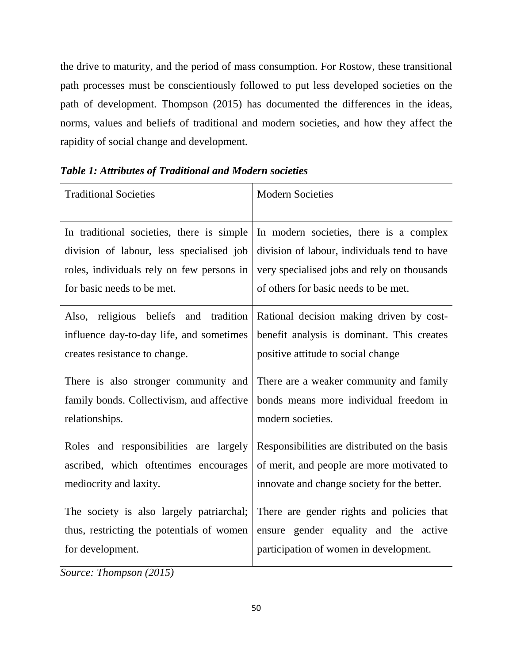the drive to maturity, and the period of mass consumption. For Rostow, these transitional path processes must be conscientiously followed to put less developed societies on the path of development. Thompson (2015) has documented the differences in the ideas, norms, values and beliefs of traditional and modern societies, and how they affect the rapidity of social change and development.

| <b>Traditional Societies</b>                                                                                             | <b>Modern Societies</b>                                                                                                      |
|--------------------------------------------------------------------------------------------------------------------------|------------------------------------------------------------------------------------------------------------------------------|
| In traditional societies, there is simple                                                                                | In modern societies, there is a complex                                                                                      |
| division of labour, less specialised job                                                                                 | division of labour, individuals tend to have                                                                                 |
| roles, individuals rely on few persons in                                                                                | very specialised jobs and rely on thousands                                                                                  |
| for basic needs to be met.                                                                                               | of others for basic needs to be met.                                                                                         |
| and tradition<br>Also, religious<br>beliefs<br>influence day-to-day life, and sometimes<br>creates resistance to change. | Rational decision making driven by cost-<br>benefit analysis is dominant. This creates<br>positive attitude to social change |
| There is also stronger community and                                                                                     | There are a weaker community and family                                                                                      |
| family bonds. Collectivism, and affective                                                                                | bonds means more individual freedom in                                                                                       |
| relationships.                                                                                                           | modern societies.                                                                                                            |
| Roles and responsibilities are largely                                                                                   | Responsibilities are distributed on the basis                                                                                |
| ascribed, which oftentimes encourages                                                                                    | of merit, and people are more motivated to                                                                                   |
| mediocrity and laxity.                                                                                                   | innovate and change society for the better.                                                                                  |
| The society is also largely patriarchal;                                                                                 | There are gender rights and policies that                                                                                    |
| thus, restricting the potentials of women                                                                                | ensure gender equality and the active                                                                                        |
| for development.                                                                                                         | participation of women in development.                                                                                       |

*Table 1: Attributes of Traditional and Modern societies*

*Source: Thompson (2015)*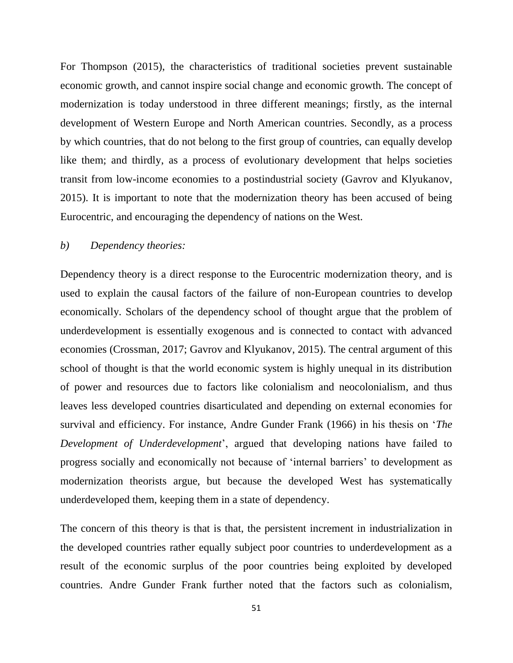For Thompson (2015), the characteristics of traditional societies prevent sustainable economic growth, and cannot inspire social change and economic growth. The concept of modernization is today understood in three different meanings; firstly, as the internal development of Western Europe and North American countries. Secondly, as a process by which countries, that do not belong to the first group of countries, can equally develop like them; and thirdly, as a process of evolutionary development that helps societies transit from low-income economies to a postindustrial society (Gavrov and Klyukanov, 2015). It is important to note that the modernization theory has been accused of being Eurocentric, and encouraging the dependency of nations on the West.

#### *b) Dependency theories:*

Dependency theory is a direct response to the Eurocentric modernization theory, and is used to explain the causal factors of the failure of non-European countries to develop economically. Scholars of the dependency school of thought argue that the problem of underdevelopment is essentially exogenous and is connected to contact with advanced economies (Crossman, 2017; Gavrov and Klyukanov, 2015). The central argument of this school of thought is that the world economic system is highly unequal in its distribution of power and resources due to factors like colonialism and neocolonialism, and thus leaves less developed countries disarticulated and depending on external economies for survival and efficiency. For instance, Andre Gunder Frank (1966) in his thesis on '*The Development of Underdevelopment*', argued that developing nations have failed to progress socially and economically not because of 'internal barriers' to development as modernization theorists argue, but because the developed West has systematically underdeveloped them, keeping them in a state of dependency.

The concern of this theory is that is that, the persistent increment in industrialization in the developed countries rather equally subject poor countries to underdevelopment as a result of the economic surplus of the poor countries being exploited by developed countries. Andre Gunder Frank further noted that the factors such as colonialism,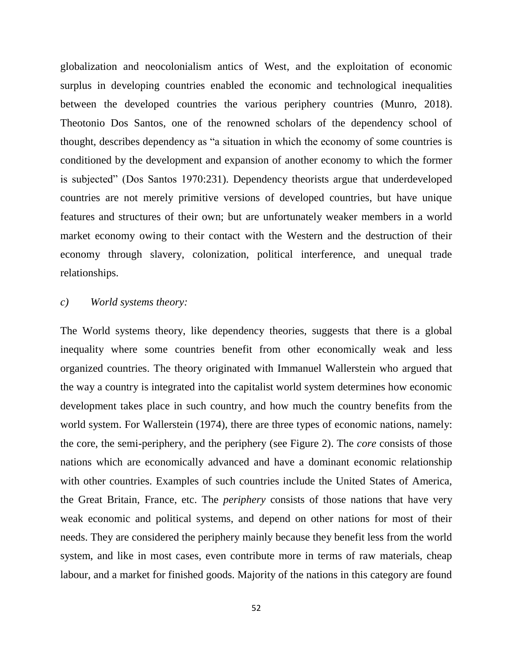globalization and neocolonialism antics of West, and the exploitation of economic surplus in developing countries enabled the economic and technological inequalities between the developed countries the various periphery countries (Munro, 2018). Theotonio Dos Santos, one of the renowned scholars of the dependency school of thought, describes dependency as "a situation in which the economy of some countries is conditioned by the development and expansion of another economy to which the former is subjected" (Dos Santos 1970:231). Dependency theorists argue that underdeveloped countries are not merely primitive versions of developed countries, but have unique features and structures of their own; but are unfortunately weaker members in a world market economy owing to their contact with the Western and the destruction of their economy through slavery, colonization, political interference, and unequal trade relationships.

#### *c) World systems theory:*

The World systems theory, like dependency theories, suggests that there is a global inequality where some countries benefit from other economically weak and less organized countries. The theory originated with Immanuel Wallerstein who argued that the way a country is integrated into the capitalist world system determines how economic development takes place in such country, and how much the country benefits from the world system. For Wallerstein (1974), there are three types of economic nations, namely: the core, the semi-periphery, and the periphery (see Figure 2). The *core* consists of those nations which are economically advanced and have a dominant economic relationship with other countries. Examples of such countries include the United States of America, the Great Britain, France, etc. The *periphery* consists of those nations that have very weak economic and political systems, and depend on other nations for most of their needs. They are considered the periphery mainly because they benefit less from the world system, and like in most cases, even contribute more in terms of raw materials, cheap labour, and a market for finished goods. Majority of the nations in this category are found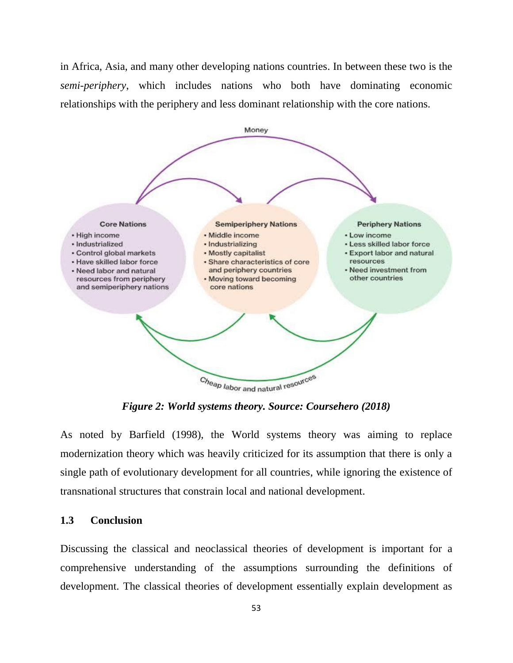in Africa, Asia, and many other developing nations countries. In between these two is the *semi-periphery*, which includes nations who both have dominating economic relationships with the periphery and less dominant relationship with the core nations.



*Figure 2: World systems theory. Source: Coursehero (2018)*

As noted by Barfield (1998), the World systems theory was aiming to replace modernization theory which was heavily criticized for its assumption that there is only a single path of evolutionary development for all countries, while ignoring the existence of transnational structures that constrain local and national development.

#### **1.3 Conclusion**

Discussing the classical and neoclassical theories of development is important for a comprehensive understanding of the assumptions surrounding the definitions of development. The classical theories of development essentially explain development as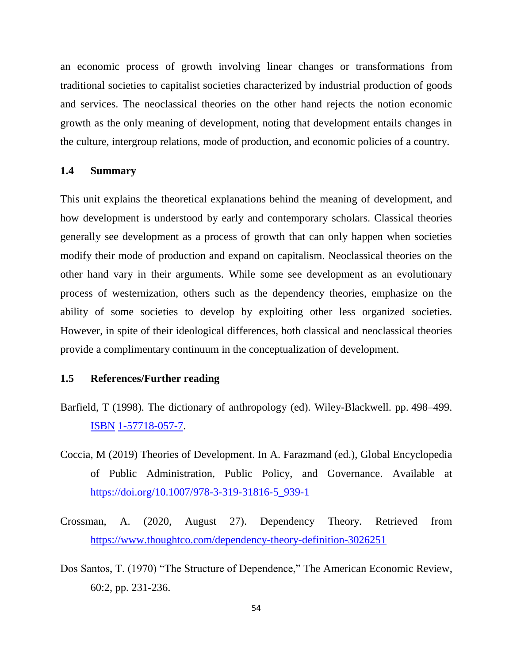an economic process of growth involving linear changes or transformations from traditional societies to capitalist societies characterized by industrial production of goods and services. The neoclassical theories on the other hand rejects the notion economic growth as the only meaning of development, noting that development entails changes in the culture, intergroup relations, mode of production, and economic policies of a country.

#### **1.4 Summary**

This unit explains the theoretical explanations behind the meaning of development, and how development is understood by early and contemporary scholars. Classical theories generally see development as a process of growth that can only happen when societies modify their mode of production and expand on capitalism. Neoclassical theories on the other hand vary in their arguments. While some see development as an evolutionary process of westernization, others such as the dependency theories, emphasize on the ability of some societies to develop by exploiting other less organized societies. However, in spite of their ideological differences, both classical and neoclassical theories provide a complimentary continuum in the conceptualization of development.

## **1.5 References/Further reading**

- Barfield, T (1998). The dictionary of anthropology (ed). Wiley-Blackwell. pp. 498–499. [ISBN](https://en.wikipedia.org/wiki/ISBN_(identifier)) [1-57718-057-7.](https://en.wikipedia.org/wiki/Special:BookSources/1-57718-057-7)
- Coccia, M (2019) Theories of Development. In A. Farazmand (ed.), Global Encyclopedia of Public Administration, Public Policy, and Governance. Available at https://doi.org/10.1007/978-3-319-31816-5\_939-1
- Crossman, A. (2020, August 27). Dependency Theory. Retrieved from <https://www.thoughtco.com/dependency-theory-definition-3026251>
- Dos Santos, T. (1970) "The Structure of Dependence," The American Economic Review, 60:2, pp. 231-236.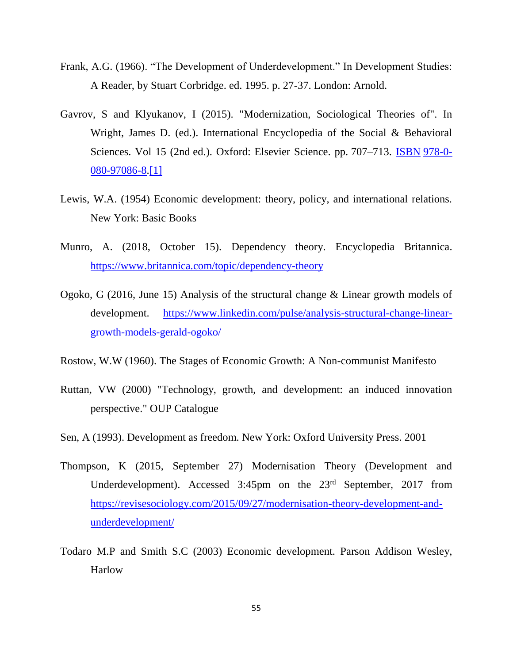- Frank, A.G. (1966). "The Development of Underdevelopment." In Development Studies: A Reader, by Stuart Corbridge. ed. 1995. p. 27-37. London: Arnold.
- Gavrov, S and Klyukanov, I (2015). "Modernization, Sociological Theories of". In Wright, James D. (ed.). International Encyclopedia of the Social & Behavioral Sciences. Vol 15 (2nd ed.). Oxford: Elsevier Science. pp. 707–713. [ISBN](https://en.wikipedia.org/wiki/ISBN_(identifier)) [978-0-](https://en.wikipedia.org/wiki/Special:BookSources/978-0-080-97086-8) [080-97086-8](https://en.wikipedia.org/wiki/Special:BookSources/978-0-080-97086-8)[.\[1\]](https://www.academia.edu/24901103/Modernization_Sociological_Theories_of)
- Lewis, W.A. (1954) Economic development: theory, policy, and international relations. New York: Basic Books
- Munro, A. (2018, October 15). Dependency theory. Encyclopedia Britannica. <https://www.britannica.com/topic/dependency-theory>
- Ogoko, G (2016, June 15) Analysis of the structural change & Linear growth models of development. [https://www.linkedin.com/pulse/analysis-structural-change-linear](https://www.linkedin.com/pulse/analysis-structural-change-linear-growth-models-gerald-ogoko/)[growth-models-gerald-ogoko/](https://www.linkedin.com/pulse/analysis-structural-change-linear-growth-models-gerald-ogoko/)
- Rostow, W.W (1960). The Stages of Economic Growth: A Non-communist Manifesto
- Ruttan, VW (2000) "Technology, growth, and development: an induced innovation perspective." OUP Catalogue
- Sen, A (1993). Development as freedom. New York: Oxford University Press. 2001
- Thompson, K (2015, September 27) Modernisation Theory (Development and Underdevelopment). Accessed 3:45pm on the 23<sup>rd</sup> September, 2017 from [https://revisesociology.com/2015/09/27/modernisation-theory-development-and](https://revisesociology.com/2015/09/27/modernisation-theory-development-and-underdevelopment/)[underdevelopment/](https://revisesociology.com/2015/09/27/modernisation-theory-development-and-underdevelopment/)
- Todaro M.P and Smith S.C (2003) Economic development. Parson Addison Wesley, **Harlow**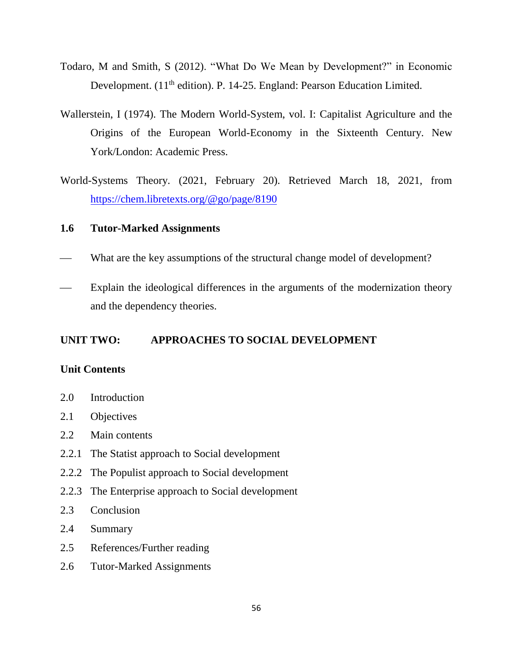- Todaro, M and Smith, S (2012). "What Do We Mean by Development?" in Economic Development. (11<sup>th</sup> edition). P. 14-25. England: Pearson Education Limited.
- Wallerstein, I (1974). The Modern World-System, vol. I: Capitalist Agriculture and the Origins of the European World-Economy in the Sixteenth Century. New York/London: Academic Press.
- World-Systems Theory. (2021, February 20). Retrieved March 18, 2021, from <https://chem.libretexts.org/@go/page/8190>

## **1.6 Tutor-Marked Assignments**

- What are the key assumptions of the structural change model of development?
- Explain the ideological differences in the arguments of the modernization theory and the dependency theories.

## **UNIT TWO: APPROACHES TO SOCIAL DEVELOPMENT**

#### **Unit Contents**

- 2.0 Introduction
- 2.1 Objectives
- 2.2 Main contents
- 2.2.1 The Statist approach to Social development
- 2.2.2 The Populist approach to Social development
- 2.2.3 The Enterprise approach to Social development
- 2.3 Conclusion
- 2.4 Summary
- 2.5 References/Further reading
- 2.6 Tutor-Marked Assignments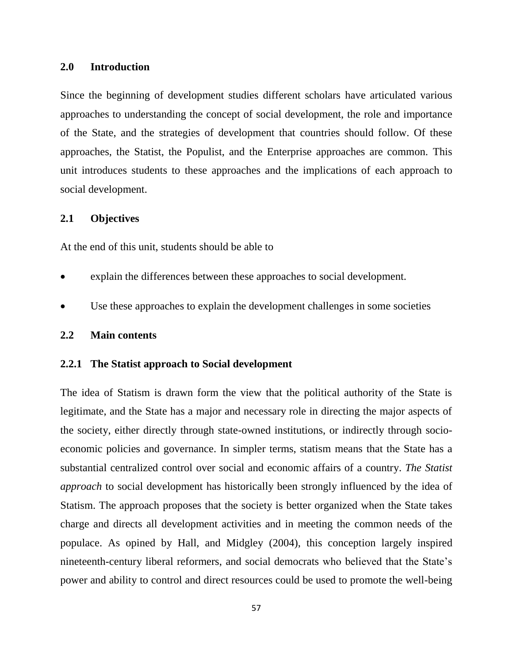#### **2.0 Introduction**

Since the beginning of development studies different scholars have articulated various approaches to understanding the concept of social development, the role and importance of the State, and the strategies of development that countries should follow. Of these approaches, the Statist, the Populist, and the Enterprise approaches are common. This unit introduces students to these approaches and the implications of each approach to social development.

#### **2.1 Objectives**

At the end of this unit, students should be able to

- explain the differences between these approaches to social development.
- Use these approaches to explain the development challenges in some societies

## **2.2 Main contents**

## **2.2.1 The Statist approach to Social development**

The idea of Statism is drawn form the view that the political authority of the State is legitimate, and the State has a major and necessary role in directing the major aspects of the society, either directly through state-owned institutions, or indirectly through socioeconomic policies and governance. In simpler terms, statism means that the State has a substantial centralized control over social and economic affairs of a country. *The Statist approach* to social development has historically been strongly influenced by the idea of Statism. The approach proposes that the society is better organized when the State takes charge and directs all development activities and in meeting the common needs of the populace. As opined by Hall, and Midgley (2004), this conception largely inspired nineteenth-century liberal reformers, and social democrats who believed that the State's power and ability to control and direct resources could be used to promote the well-being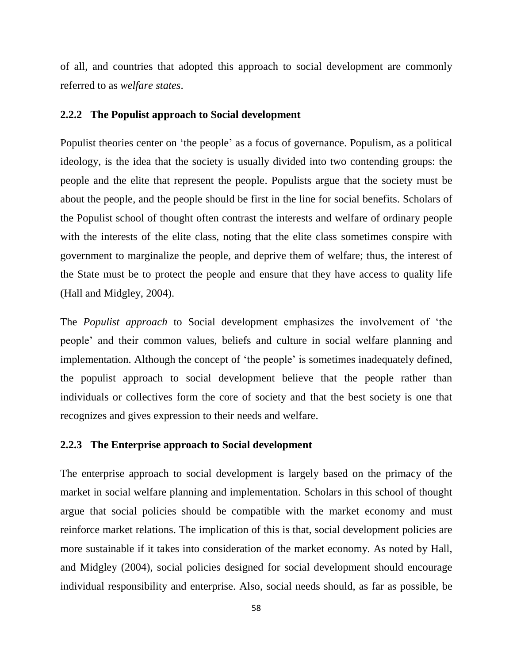of all, and countries that adopted this approach to social development are commonly referred to as *welfare states*.

#### **2.2.2 The Populist approach to Social development**

Populist theories center on 'the people' as a focus of governance. Populism, as a political ideology, is the idea that the society is usually divided into two contending groups: the people and the elite that represent the people. Populists argue that the society must be about the people, and the people should be first in the line for social benefits. Scholars of the Populist school of thought often contrast the interests and welfare of ordinary people with the interests of the elite class, noting that the elite class sometimes conspire with government to marginalize the people, and deprive them of welfare; thus, the interest of the State must be to protect the people and ensure that they have access to quality life (Hall and Midgley, 2004).

The *Populist approach* to Social development emphasizes the involvement of 'the people' and their common values, beliefs and culture in social welfare planning and implementation. Although the concept of 'the people' is sometimes inadequately defined, the populist approach to social development believe that the people rather than individuals or collectives form the core of society and that the best society is one that recognizes and gives expression to their needs and welfare.

#### **2.2.3 The Enterprise approach to Social development**

The enterprise approach to social development is largely based on the primacy of the market in social welfare planning and implementation. Scholars in this school of thought argue that social policies should be compatible with the market economy and must reinforce market relations. The implication of this is that, social development policies are more sustainable if it takes into consideration of the market economy. As noted by Hall, and Midgley (2004), social policies designed for social development should encourage individual responsibility and enterprise. Also, social needs should, as far as possible, be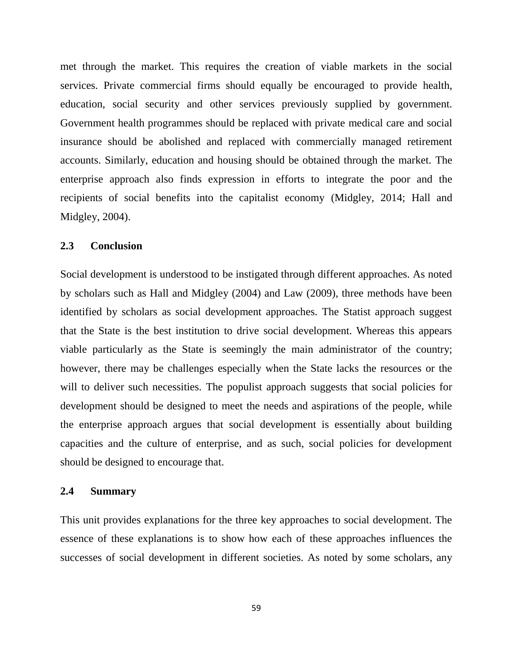met through the market. This requires the creation of viable markets in the social services. Private commercial firms should equally be encouraged to provide health, education, social security and other services previously supplied by government. Government health programmes should be replaced with private medical care and social insurance should be abolished and replaced with commercially managed retirement accounts. Similarly, education and housing should be obtained through the market. The enterprise approach also finds expression in efforts to integrate the poor and the recipients of social benefits into the capitalist economy (Midgley, 2014; Hall and Midgley, 2004).

#### **2.3 Conclusion**

Social development is understood to be instigated through different approaches. As noted by scholars such as Hall and Midgley (2004) and Law (2009), three methods have been identified by scholars as social development approaches. The Statist approach suggest that the State is the best institution to drive social development. Whereas this appears viable particularly as the State is seemingly the main administrator of the country; however, there may be challenges especially when the State lacks the resources or the will to deliver such necessities. The populist approach suggests that social policies for development should be designed to meet the needs and aspirations of the people, while the enterprise approach argues that social development is essentially about building capacities and the culture of enterprise, and as such, social policies for development should be designed to encourage that.

#### **2.4 Summary**

This unit provides explanations for the three key approaches to social development. The essence of these explanations is to show how each of these approaches influences the successes of social development in different societies. As noted by some scholars, any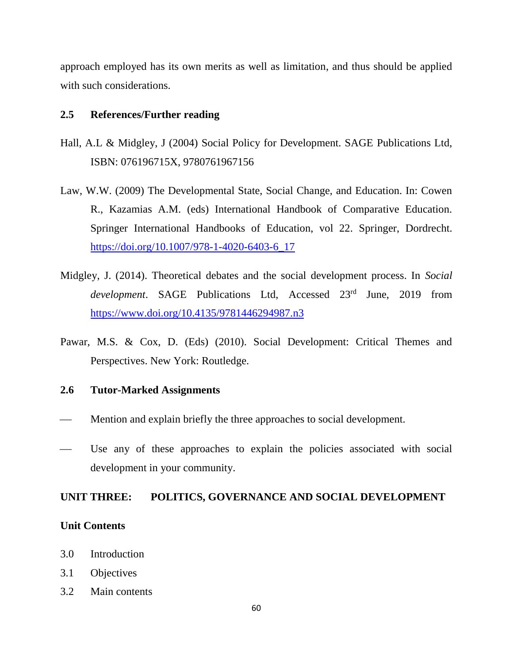approach employed has its own merits as well as limitation, and thus should be applied with such considerations.

## **2.5 References/Further reading**

- Hall, A.L & Midgley, J (2004) Social Policy for Development. SAGE Publications Ltd, ISBN: 076196715X, 9780761967156
- Law, W.W. (2009) The Developmental State, Social Change, and Education. In: Cowen R., Kazamias A.M. (eds) International Handbook of Comparative Education. Springer International Handbooks of Education, vol 22. Springer, Dordrecht. [https://doi.org/10.1007/978-1-4020-6403-6\\_17](https://doi.org/10.1007/978-1-4020-6403-6_17)
- Midgley, J. (2014). Theoretical debates and the social development process. In *Social*  development. SAGE Publications Ltd, Accessed 23<sup>rd</sup> June, 2019 from <https://www.doi.org/10.4135/9781446294987.n3>
- Pawar, M.S. & Cox, D. (Eds) (2010). Social Development: Critical Themes and Perspectives. New York: Routledge.

#### **2.6 Tutor-Marked Assignments**

- Mention and explain briefly the three approaches to social development.
- Use any of these approaches to explain the policies associated with social development in your community.

#### **UNIT THREE: POLITICS, GOVERNANCE AND SOCIAL DEVELOPMENT**

#### **Unit Contents**

- 3.0 Introduction
- 3.1 Objectives
- 3.2 Main contents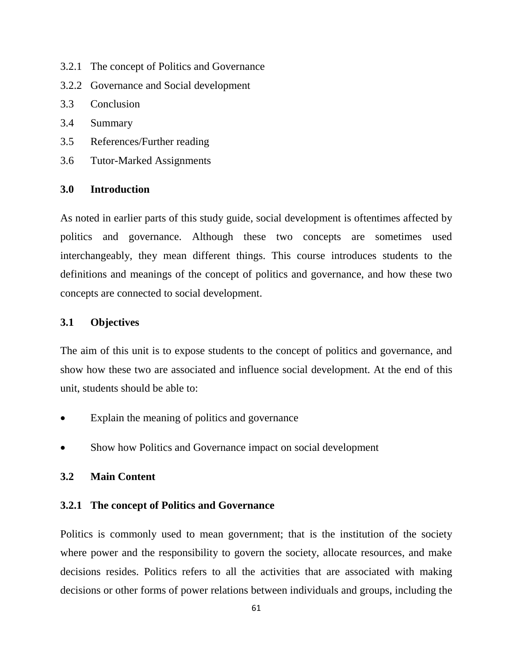- 3.2.1 The concept of Politics and Governance
- 3.2.2 Governance and Social development
- 3.3 Conclusion
- 3.4 Summary
- 3.5 References/Further reading
- 3.6 Tutor-Marked Assignments

## **3.0 Introduction**

As noted in earlier parts of this study guide, social development is oftentimes affected by politics and governance. Although these two concepts are sometimes used interchangeably, they mean different things. This course introduces students to the definitions and meanings of the concept of politics and governance, and how these two concepts are connected to social development.

## **3.1 Objectives**

The aim of this unit is to expose students to the concept of politics and governance, and show how these two are associated and influence social development. At the end of this unit, students should be able to:

- Explain the meaning of politics and governance
- Show how Politics and Governance impact on social development

## **3.2 Main Content**

## **3.2.1 The concept of Politics and Governance**

Politics is commonly used to mean government; that is the institution of the society where power and the responsibility to govern the society, allocate resources, and make decisions resides. Politics refers to all the activities that are associated with making decisions or other forms of power relations between individuals and groups, including the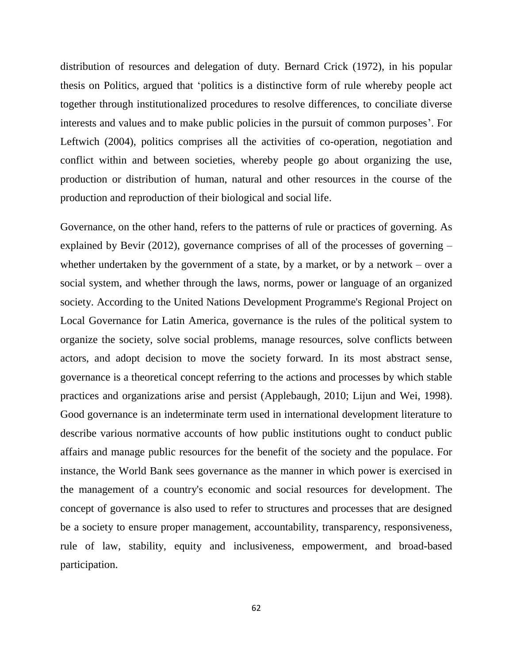distribution of resources and delegation of duty. Bernard Crick (1972), in his popular thesis on Politics, argued that 'politics is a distinctive form of rule whereby people act together through institutionalized procedures to resolve differences, to conciliate diverse interests and values and to make public policies in the pursuit of common purposes'. For Leftwich (2004), politics comprises all the activities of co-operation, negotiation and conflict within and between societies, whereby people go about organizing the use, production or distribution of human, natural and other resources in the course of the production and reproduction of their biological and social life.

Governance, on the other hand, refers to the patterns of rule or practices of governing. As explained by Bevir (2012), governance comprises of all of the processes of governing – whether undertaken by the government of a state, by a market, or by a network – over a social system, and whether through the laws, norms, power or language of an organized society. According to the United Nations Development Programme's Regional Project on Local Governance for Latin America, governance is the rules of the political system to organize the society, solve social problems, manage resources, solve conflicts between actors, and adopt decision to move the society forward. In its most abstract sense, governance is a theoretical concept referring to the actions and processes by which stable practices and organizations arise and persist (Applebaugh, 2010; Lijun and Wei, 1998). Good governance is an indeterminate term used in international development literature to describe various normative accounts of how public institutions ought to conduct public affairs and manage public resources for the benefit of the society and the populace. For instance, the World Bank sees governance as the manner in which power is exercised in the management of a country's economic and social resources for development. The concept of governance is also used to refer to structures and processes that are designed be a society to ensure proper management, accountability, transparency, responsiveness, rule of law, stability, equity and inclusiveness, empowerment, and broad-based participation.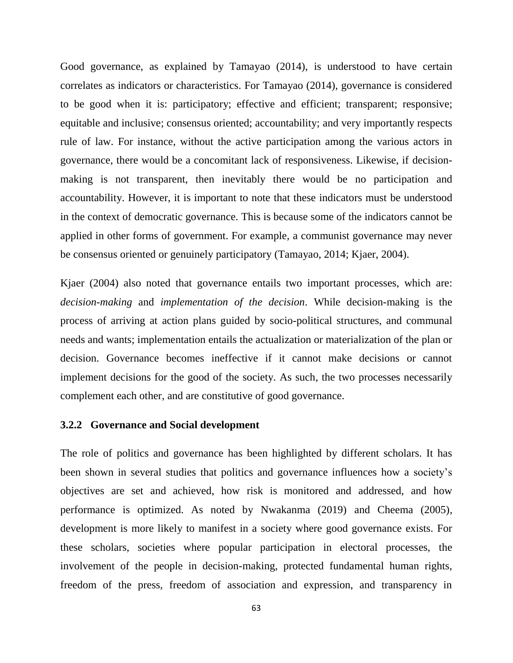Good governance, as explained by Tamayao (2014), is understood to have certain correlates as indicators or characteristics. For Tamayao (2014), governance is considered to be good when it is: participatory; effective and efficient; transparent; responsive; equitable and inclusive; consensus oriented; accountability; and very importantly respects rule of law. For instance, without the active participation among the various actors in governance, there would be a concomitant lack of responsiveness. Likewise, if decisionmaking is not transparent, then inevitably there would be no participation and accountability. However, it is important to note that these indicators must be understood in the context of democratic governance. This is because some of the indicators cannot be applied in other forms of government. For example, a communist governance may never be consensus oriented or genuinely participatory (Tamayao, 2014; Kjaer, 2004).

Kjaer (2004) also noted that governance entails two important processes, which are: *decision-making* and *implementation of the decision*. While decision-making is the process of arriving at action plans guided by socio-political structures, and communal needs and wants; implementation entails the actualization or materialization of the plan or decision. Governance becomes ineffective if it cannot make decisions or cannot implement decisions for the good of the society. As such, the two processes necessarily complement each other, and are constitutive of good governance.

#### **3.2.2 Governance and Social development**

The role of politics and governance has been highlighted by different scholars. It has been shown in several studies that politics and governance influences how a society's objectives are set and achieved, how risk is monitored and addressed, and how performance is optimized. As noted by Nwakanma (2019) and Cheema (2005), development is more likely to manifest in a society where good governance exists. For these scholars, societies where popular participation in electoral processes, the involvement of the people in decision-making, protected fundamental human rights, freedom of the press, freedom of association and expression, and transparency in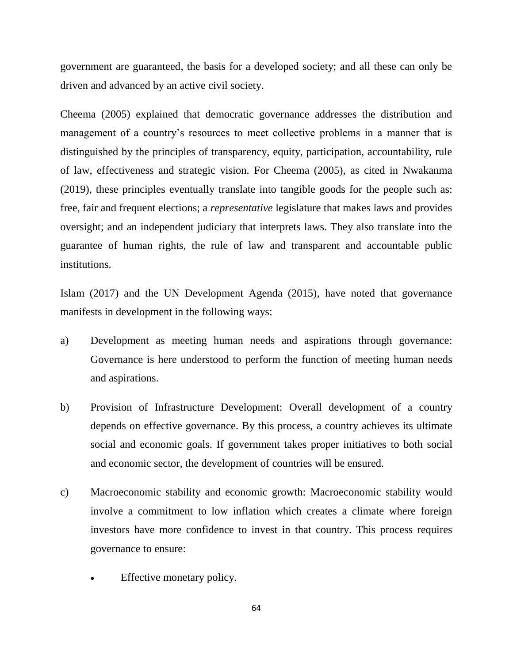government are guaranteed, the basis for a developed society; and all these can only be driven and advanced by an active civil society.

Cheema (2005) explained that democratic governance addresses the distribution and management of a country's resources to meet collective problems in a manner that is distinguished by the principles of transparency, equity, participation, accountability, rule of law, effectiveness and strategic vision. For Cheema (2005), as cited in Nwakanma (2019), these principles eventually translate into tangible goods for the people such as: free, fair and frequent elections; a *representative* legislature that makes laws and provides oversight; and an independent judiciary that interprets laws. They also translate into the guarantee of human rights, the rule of law and transparent and accountable public institutions.

Islam (2017) and the UN Development Agenda (2015), have noted that governance manifests in development in the following ways:

- a) Development as meeting human needs and aspirations through governance: Governance is here understood to perform the function of meeting human needs and aspirations.
- b) Provision of Infrastructure Development: Overall development of a country depends on effective governance. By this process, a country achieves its ultimate social and economic goals. If government takes proper initiatives to both social and economic sector, the development of countries will be ensured.
- c) Macroeconomic stability and economic growth: Macroeconomic stability would involve a commitment to low inflation which creates a climate where foreign investors have more confidence to invest in that country. This process requires governance to ensure:
	- Effective monetary policy.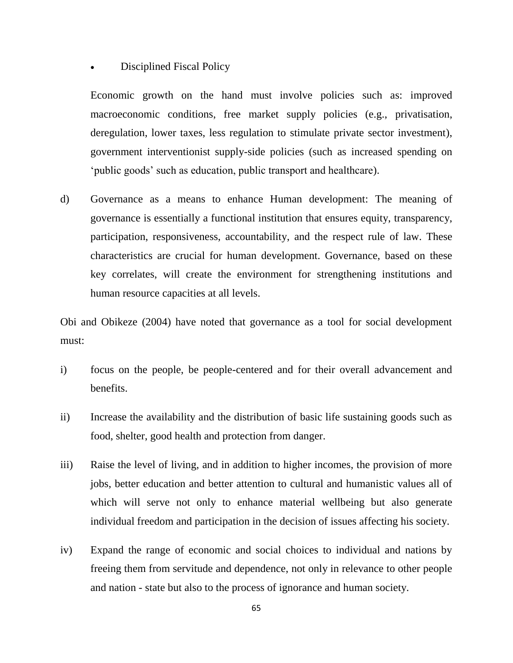Disciplined Fiscal Policy

Economic growth on the hand must involve policies such as: improved macroeconomic conditions, free market supply policies (e.g., privatisation, deregulation, lower taxes, less regulation to stimulate private sector investment), government interventionist supply-side policies (such as increased spending on 'public goods' such as education, public transport and healthcare).

d) Governance as a means to enhance Human development: The meaning of governance is essentially a functional institution that ensures equity, transparency, participation, responsiveness, accountability, and the respect rule of law. These characteristics are crucial for human development. Governance, based on these key correlates, will create the environment for strengthening institutions and human resource capacities at all levels.

Obi and Obikeze (2004) have noted that governance as a tool for social development must:

- i) focus on the people, be people-centered and for their overall advancement and benefits.
- ii) Increase the availability and the distribution of basic life sustaining goods such as food, shelter, good health and protection from danger.
- iii) Raise the level of living, and in addition to higher incomes, the provision of more jobs, better education and better attention to cultural and humanistic values all of which will serve not only to enhance material wellbeing but also generate individual freedom and participation in the decision of issues affecting his society.
- iv) Expand the range of economic and social choices to individual and nations by freeing them from servitude and dependence, not only in relevance to other people and nation - state but also to the process of ignorance and human society.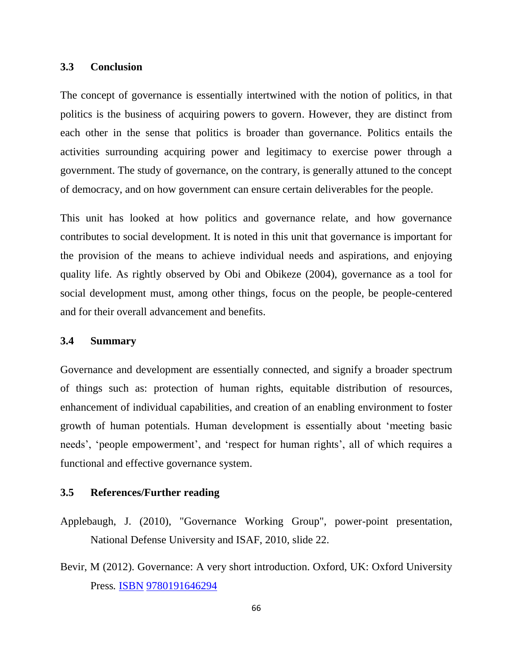#### **3.3 Conclusion**

The concept of governance is essentially intertwined with the notion of politics, in that politics is the business of acquiring powers to govern. However, they are distinct from each other in the sense that politics is broader than governance. Politics entails the activities surrounding acquiring power and legitimacy to exercise power through a government. The study of governance, on the contrary, is generally attuned to the concept of democracy, and on how government can ensure certain deliverables for the people.

This unit has looked at how politics and governance relate, and how governance contributes to social development. It is noted in this unit that governance is important for the provision of the means to achieve individual needs and aspirations, and enjoying quality life. As rightly observed by Obi and Obikeze (2004), governance as a tool for social development must, among other things, focus on the people, be people-centered and for their overall advancement and benefits.

#### **3.4 Summary**

Governance and development are essentially connected, and signify a broader spectrum of things such as: protection of human rights, equitable distribution of resources, enhancement of individual capabilities, and creation of an enabling environment to foster growth of human potentials. Human development is essentially about 'meeting basic needs', 'people empowerment', and 'respect for human rights', all of which requires a functional and effective governance system.

### **3.5 References/Further reading**

- Applebaugh, J. (2010), "Governance Working Group", power-point presentation, National Defense University and ISAF, 2010, slide 22.
- Bevir, M (2012). Governance: A very short introduction. Oxford, UK: Oxford University Press*.* [ISBN](https://en.wikipedia.org/wiki/ISBN_(identifier)) [9780191646294](https://en.wikipedia.org/wiki/Special:BookSources/9780191646294)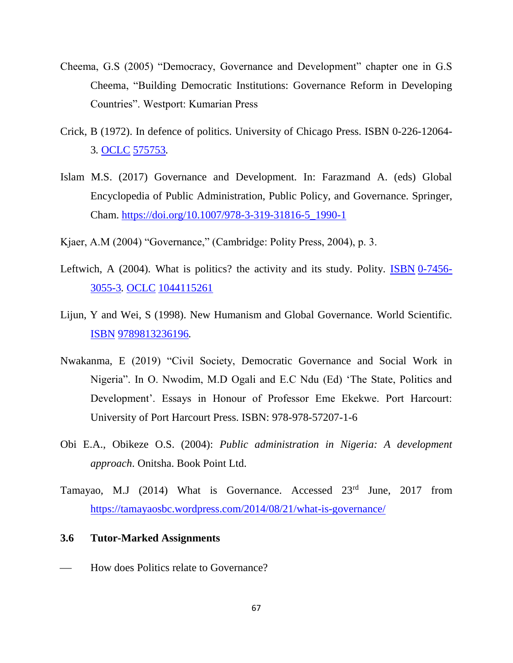- Cheema, G.S (2005) "Democracy, Governance and Development" chapter one in G.S Cheema, "Building Democratic Institutions: Governance Reform in Developing Countries". Westport: Kumarian Press
- Crick, B (1972). In defence of politics. University of Chicago Press. ISBN 0-226-12064- 3*.* [OCLC](https://en.wikipedia.org/wiki/OCLC_(identifier)) [575753](https://www.worldcat.org/oclc/575753)*.*
- Islam M.S. (2017) Governance and Development. In: Farazmand A. (eds) Global Encyclopedia of Public Administration, Public Policy, and Governance. Springer, Cham. [https://doi.org/10.1007/978-3-319-31816-5\\_1990-1](https://doi.org/10.1007/978-3-319-31816-5_1990-1)
- Kjaer, A.M (2004) "Governance," (Cambridge: Polity Press, 2004), p. 3.
- Leftwich, A (2004). What is politics? the activity and its study. Polity. [ISBN](https://en.wikipedia.org/wiki/ISBN_(identifier)) [0-7456-](https://en.wikipedia.org/wiki/Special:BookSources/0-7456-3055-3) [3055-3](https://en.wikipedia.org/wiki/Special:BookSources/0-7456-3055-3)*.* [OCLC](https://en.wikipedia.org/wiki/OCLC_(identifier)) [1044115261](https://www.worldcat.org/oclc/1044115261)
- Lijun, Y and Wei, S (1998). New Humanism and Global Governance*.* World Scientific*.*  [ISBN](https://en.wikipedia.org/wiki/ISBN_(identifier)) [9789813236196](https://en.wikipedia.org/wiki/Special:BookSources/9789813236196)*.*
- Nwakanma, E (2019) "Civil Society, Democratic Governance and Social Work in Nigeria". In O. Nwodim, M.D Ogali and E.C Ndu (Ed) 'The State, Politics and Development'. Essays in Honour of Professor Eme Ekekwe. Port Harcourt: University of Port Harcourt Press. ISBN: 978-978-57207-1-6
- Obi E.A., Obikeze O.S. (2004): *Public administration in Nigeria: A development approach*. Onitsha. Book Point Ltd.
- Tamayao, M.J (2014) What is Governance. Accessed 23<sup>rd</sup> June, 2017 from <https://tamayaosbc.wordpress.com/2014/08/21/what-is-governance/>

## **3.6 Tutor-Marked Assignments**

How does Politics relate to Governance?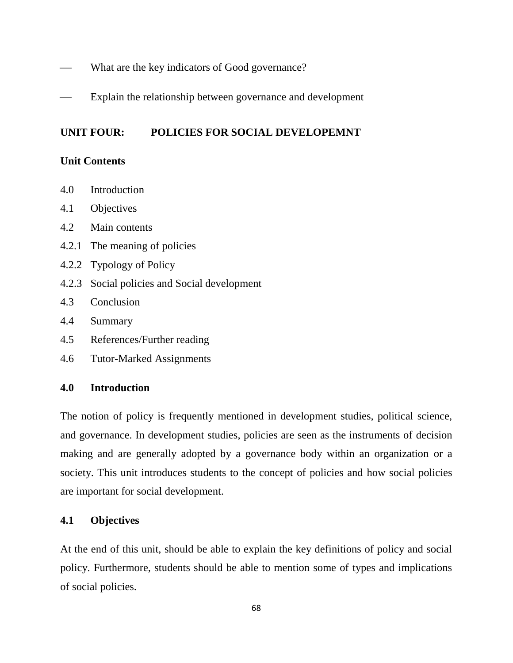- What are the key indicators of Good governance?
- Explain the relationship between governance and development

# **UNIT FOUR: POLICIES FOR SOCIAL DEVELOPEMNT**

# **Unit Contents**

- 4.0 Introduction
- 4.1 Objectives
- 4.2 Main contents
- 4.2.1 The meaning of policies
- 4.2.2 Typology of Policy
- 4.2.3 Social policies and Social development
- 4.3 Conclusion
- 4.4 Summary
- 4.5 References/Further reading
- 4.6 Tutor-Marked Assignments

# **4.0 Introduction**

The notion of policy is frequently mentioned in development studies, political science, and governance. In development studies, policies are seen as the instruments of decision making and are generally adopted by a governance body within an organization or a society. This unit introduces students to the concept of policies and how social policies are important for social development.

# **4.1 Objectives**

At the end of this unit, should be able to explain the key definitions of policy and social policy. Furthermore, students should be able to mention some of types and implications of social policies.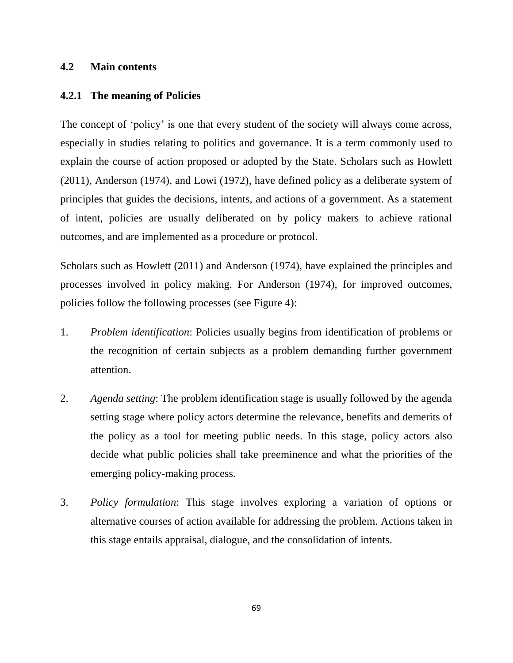# **4.2 Main contents**

#### **4.2.1 The meaning of Policies**

The concept of 'policy' is one that every student of the society will always come across, especially in studies relating to politics and governance. It is a term commonly used to explain the course of action proposed or adopted by the State. Scholars such as Howlett (2011), Anderson (1974), and Lowi (1972), have defined policy as a deliberate system of principles that guides the decisions, intents, and actions of a government. As a statement of intent, policies are usually deliberated on by policy makers to achieve rational outcomes, and are implemented as a procedure or protocol.

Scholars such as Howlett (2011) and Anderson (1974), have explained the principles and processes involved in policy making. For Anderson (1974), for improved outcomes, policies follow the following processes (see Figure 4):

- 1. *Problem identification*: Policies usually begins from identification of problems or the recognition of certain subjects as a problem demanding further government attention.
- 2. *Agenda setting*: The problem identification stage is usually followed by the agenda setting stage where policy actors determine the relevance, benefits and demerits of the policy as a tool for meeting public needs. In this stage, policy actors also decide what public policies shall take preeminence and what the priorities of the emerging policy-making process.
- 3. *Policy formulation*: This stage involves exploring a variation of options or alternative courses of action available for addressing the problem. Actions taken in this stage entails appraisal, dialogue, and the consolidation of intents.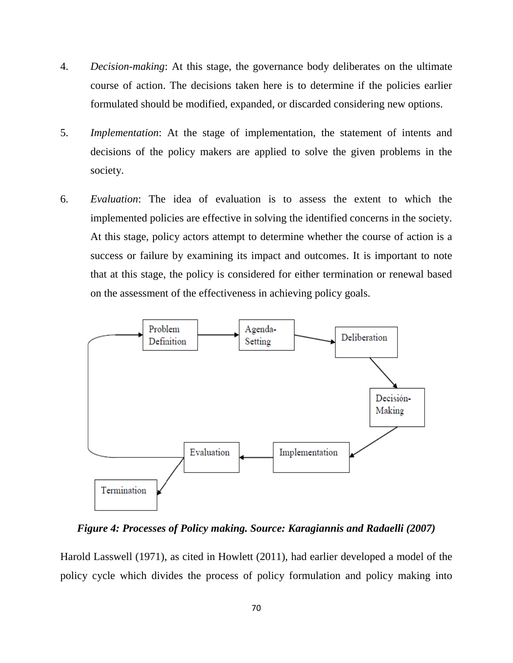- 4. *Decision-making*: At this stage, the governance body deliberates on the ultimate course of action. The decisions taken here is to determine if the policies earlier formulated should be modified, expanded, or discarded considering new options.
- 5. *Implementation*: At the stage of implementation, the statement of intents and decisions of the policy makers are applied to solve the given problems in the society.
- 6. *Evaluation*: The idea of evaluation is to assess the extent to which the implemented policies are effective in solving the identified concerns in the society. At this stage, policy actors attempt to determine whether the course of action is a success or failure by examining its impact and outcomes. It is important to note that at this stage, the policy is considered for either termination or renewal based on the assessment of the effectiveness in achieving policy goals.



*Figure 4: Processes of Policy making. Source: Karagiannis and Radaelli (2007)*

Harold Lasswell (1971), as cited in Howlett (2011), had earlier developed a model of the policy cycle which divides the process of policy formulation and policy making into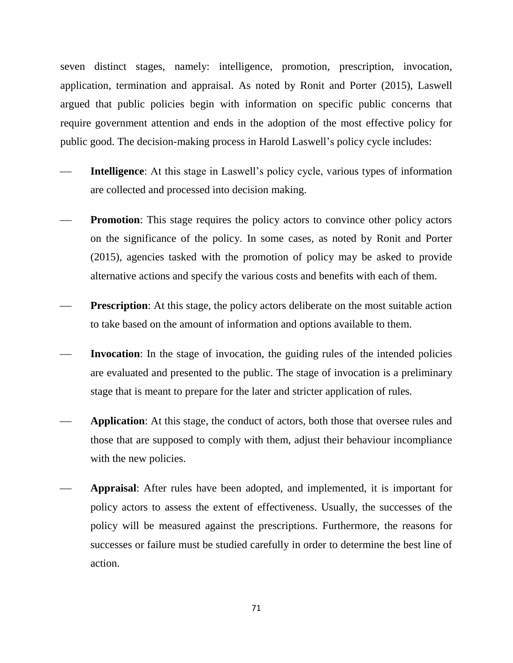seven distinct stages, namely: intelligence, promotion, prescription, invocation, application, termination and appraisal. As noted by Ronit and Porter (2015), Laswell argued that public policies begin with information on specific public concerns that require government attention and ends in the adoption of the most effective policy for public good. The decision-making process in Harold Laswell's policy cycle includes:

- **Intelligence**: At this stage in Laswell's policy cycle, various types of information are collected and processed into decision making.
- **Promotion**: This stage requires the policy actors to convince other policy actors on the significance of the policy. In some cases, as noted by Ronit and Porter (2015), agencies tasked with the promotion of policy may be asked to provide alternative actions and specify the various costs and benefits with each of them.
- **Prescription:** At this stage, the policy actors deliberate on the most suitable action to take based on the amount of information and options available to them.
- **Invocation**: In the stage of invocation, the guiding rules of the intended policies are evaluated and presented to the public. The stage of invocation is a preliminary stage that is meant to prepare for the later and stricter application of rules.
- **Application**: At this stage, the conduct of actors, both those that oversee rules and those that are supposed to comply with them, adjust their behaviour incompliance with the new policies.
- **Appraisal**: After rules have been adopted, and implemented, it is important for policy actors to assess the extent of effectiveness. Usually, the successes of the policy will be measured against the prescriptions. Furthermore, the reasons for successes or failure must be studied carefully in order to determine the best line of action.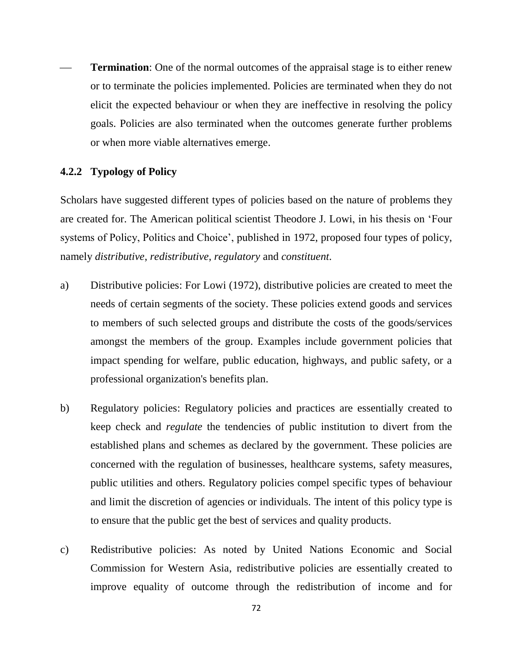**Termination**: One of the normal outcomes of the appraisal stage is to either renew or to terminate the policies implemented. Policies are terminated when they do not elicit the expected behaviour or when they are ineffective in resolving the policy goals. Policies are also terminated when the outcomes generate further problems or when more viable alternatives emerge.

#### **4.2.2 Typology of Policy**

Scholars have suggested different types of policies based on the nature of problems they are created for. The American political scientist Theodore J. Lowi, in his thesis on 'Four systems of Policy, Politics and Choice', published in 1972, proposed four types of policy, namely *distributive*, *redistributive*, *regulatory* and *constituent*.

- a) Distributive policies: For Lowi (1972), distributive policies are created to meet the needs of certain segments of the society. These policies extend goods and services to members of such selected groups and distribute the costs of the goods/services amongst the members of the group. Examples include government policies that impact spending for welfare, public education, highways, and public safety, or a professional organization's benefits plan.
- b) Regulatory policies: Regulatory policies and practices are essentially created to keep check and *regulate* the tendencies of public institution to divert from the established plans and schemes as declared by the government. These policies are concerned with the regulation of businesses, healthcare systems, safety measures, public utilities and others. Regulatory policies compel specific types of behaviour and limit the discretion of agencies or individuals. The intent of this policy type is to ensure that the public get the best of services and quality products.
- c) Redistributive policies: As noted by [United Nations Economic and Social](https://www.unescwa.org/)  [Commission for Western Asia,](https://www.unescwa.org/) redistributive policies are essentially created to improve equality of outcome through the redistribution of income and for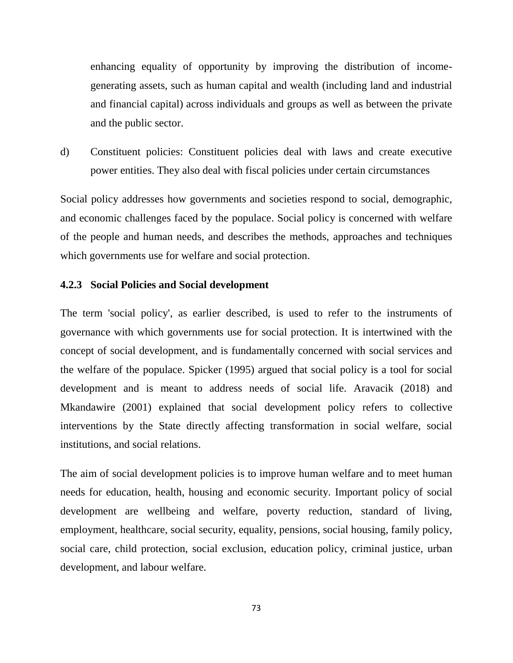enhancing equality of opportunity by improving the distribution of incomegenerating assets, such as human capital and wealth (including land and industrial and financial capital) across individuals and groups as well as between the private and the public sector.

d) Constituent policies: Constituent policies deal with laws and create executive power entities. They also deal with fiscal policies under certain circumstances

Social policy addresses how governments and societies respond to social, demographic, and economic challenges faced by the populace. Social policy is concerned with welfare of the people and human needs, and describes the methods, approaches and techniques which governments use for welfare and social protection.

#### **4.2.3 Social Policies and Social development**

The term 'social policy', as earlier described, is used to refer to the instruments of governance with which governments use for social protection. It is intertwined with the concept of social development, and is fundamentally concerned with social services and the welfare of the populace. Spicker (1995) argued that social policy is a tool for social development and is meant to address needs of social life. Aravacik (2018) and Mkandawire (2001) explained that social development policy refers to collective interventions by the State directly affecting transformation in social welfare, social institutions, and social relations.

The aim of social development policies is to improve human welfare and to meet human needs for education, health, housing and economic security. Important policy of social development are wellbeing and welfare, poverty reduction, standard of living, employment, healthcare, social security, equality, pensions, social housing, family policy, social care, child protection, social exclusion, education policy, criminal justice, urban development, and labour welfare.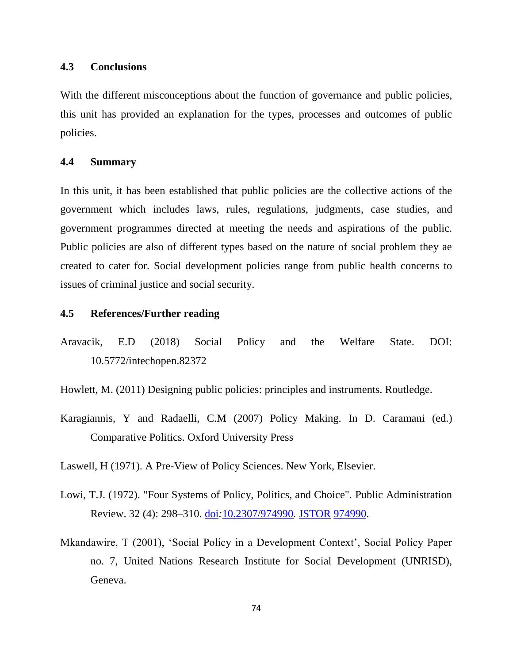#### **4.3 Conclusions**

With the different misconceptions about the function of governance and public policies, this unit has provided an explanation for the types, processes and outcomes of public policies.

## **4.4 Summary**

In this unit, it has been established that public policies are the collective actions of the government which includes laws, rules, regulations, judgments, case studies, and government programmes directed at meeting the needs and aspirations of the public. Public policies are also of different types based on the nature of social problem they ae created to cater for. Social development policies range from public health concerns to issues of criminal justice and social security.

# **4.5 References/Further reading**

- Aravacik, E.D (2018) Social Policy and the Welfare State. DOI: 10.5772/intechopen.82372
- Howlett, M. (2011) Designing public policies: principles and instruments. Routledge.
- Karagiannis, Y and Radaelli, C.M (2007) Policy Making. In D. Caramani (ed.) Comparative Politics. Oxford University Press
- Laswell, H (1971). A Pre-View of Policy Sciences. New York, Elsevier.
- Lowi, T.J. (1972). "Four Systems of Policy, Politics, and Choice". Public Administration Review. 32 (4): 298–310. [doi](https://en.wikipedia.org/wiki/Doi_(identifier))*:*[10.2307/974990](https://doi.org/10.2307%2F974990)*.* [JSTOR](https://en.wikipedia.org/wiki/JSTOR_(identifier)) [974990.](https://www.jstor.org/stable/974990)
- Mkandawire, T (2001), 'Social Policy in a Development Context', Social Policy Paper no. 7, United Nations Research Institute for Social Development (UNRISD), Geneva.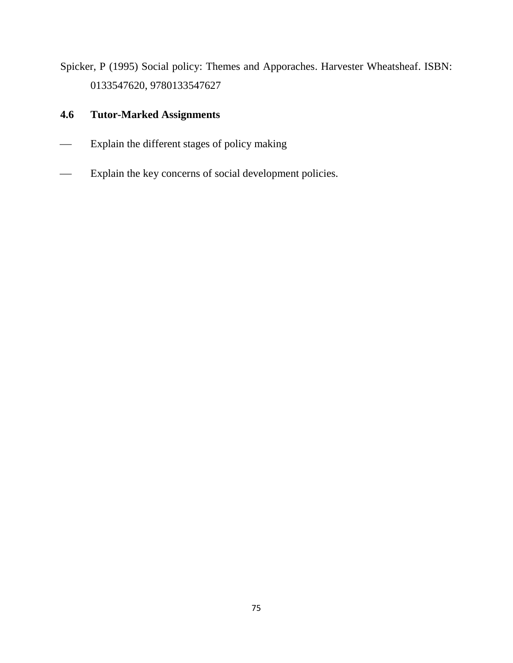Spicker, P (1995) Social policy: Themes and Apporaches. Harvester Wheatsheaf. ISBN: 0133547620, 9780133547627

# **4.6 Tutor-Marked Assignments**

- Explain the different stages of policy making
- Explain the key concerns of social development policies.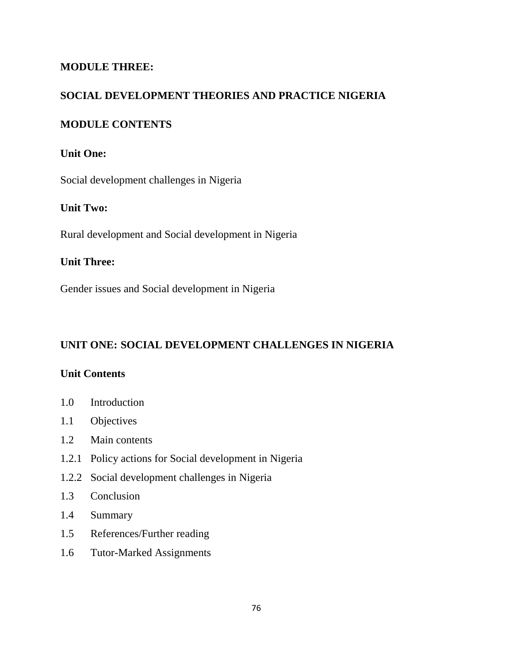# **MODULE THREE:**

# **SOCIAL DEVELOPMENT THEORIES AND PRACTICE NIGERIA**

# **MODULE CONTENTS**

# **Unit One:**

Social development challenges in Nigeria

# **Unit Two:**

Rural development and Social development in Nigeria

# **Unit Three:**

Gender issues and Social development in Nigeria

# **UNIT ONE: SOCIAL DEVELOPMENT CHALLENGES IN NIGERIA**

# **Unit Contents**

- 1.0 Introduction
- 1.1 Objectives
- 1.2 Main contents
- 1.2.1 Policy actions for Social development in Nigeria
- 1.2.2 Social development challenges in Nigeria
- 1.3 Conclusion
- 1.4 Summary
- 1.5 References/Further reading
- 1.6 Tutor-Marked Assignments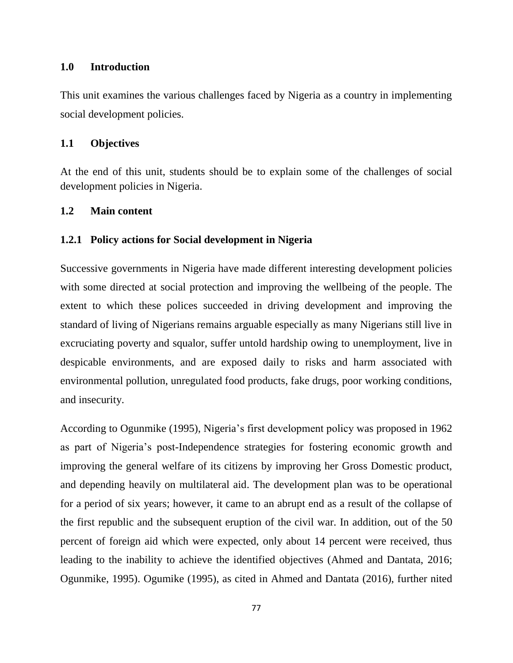#### **1.0 Introduction**

This unit examines the various challenges faced by Nigeria as a country in implementing social development policies.

## **1.1 Objectives**

At the end of this unit, students should be to explain some of the challenges of social development policies in Nigeria.

#### **1.2 Main content**

## **1.2.1 Policy actions for Social development in Nigeria**

Successive governments in Nigeria have made different interesting development policies with some directed at social protection and improving the wellbeing of the people. The extent to which these polices succeeded in driving development and improving the standard of living of Nigerians remains arguable especially as many Nigerians still live in excruciating poverty and squalor, suffer untold hardship owing to unemployment, live in despicable environments, and are exposed daily to risks and harm associated with environmental pollution, unregulated food products, fake drugs, poor working conditions, and insecurity.

According to Ogunmike (1995), Nigeria's first development policy was proposed in 1962 as part of Nigeria's post-Independence strategies for fostering economic growth and improving the general welfare of its citizens by improving her Gross Domestic product, and depending heavily on multilateral aid. The development plan was to be operational for a period of six years; however, it came to an abrupt end as a result of the collapse of the first republic and the subsequent eruption of the civil war. In addition, out of the 50 percent of foreign aid which were expected, only about 14 percent were received, thus leading to the inability to achieve the identified objectives (Ahmed and Dantata, 2016; Ogunmike, 1995). Ogumike (1995), as cited in Ahmed and Dantata (2016), further nited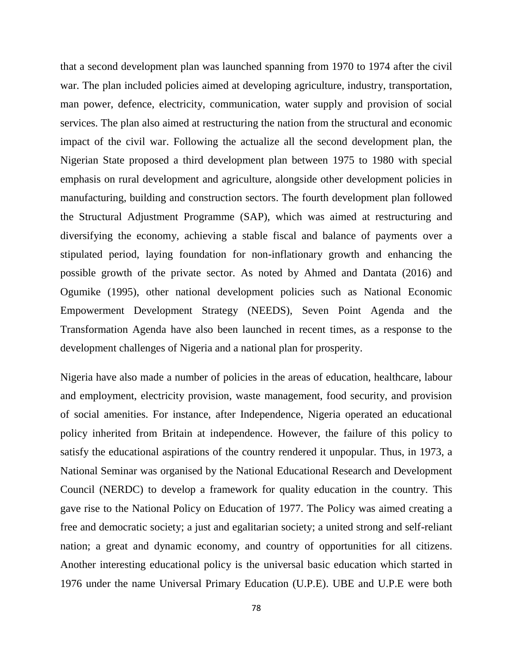that a second development plan was launched spanning from 1970 to 1974 after the civil war. The plan included policies aimed at developing agriculture, industry, transportation, man power, defence, electricity, communication, water supply and provision of social services. The plan also aimed at restructuring the nation from the structural and economic impact of the civil war. Following the actualize all the second development plan, the Nigerian State proposed a third development plan between 1975 to 1980 with special emphasis on rural development and agriculture, alongside other development policies in manufacturing, building and construction sectors. The fourth development plan followed the Structural Adjustment Programme (SAP), which was aimed at restructuring and diversifying the economy, achieving a stable fiscal and balance of payments over a stipulated period, laying foundation for non-inflationary growth and enhancing the possible growth of the private sector. As noted by Ahmed and Dantata (2016) and Ogumike (1995), other national development policies such as National Economic Empowerment Development Strategy (NEEDS), Seven Point Agenda and the Transformation Agenda have also been launched in recent times, as a response to the development challenges of Nigeria and a national plan for prosperity.

Nigeria have also made a number of policies in the areas of education, healthcare, labour and employment, electricity provision, waste management, food security, and provision of social amenities. For instance, after Independence, Nigeria operated an educational policy inherited from Britain at independence. However, the failure of this policy to satisfy the educational aspirations of the country rendered it unpopular. Thus, in 1973, a National Seminar was organised by the National Educational Research and Development Council (NERDC) to develop a framework for quality education in the country. This gave rise to the National Policy on Education of 1977. The Policy was aimed creating a free and democratic society; a just and egalitarian society; a united strong and self-reliant nation; a great and dynamic economy, and country of opportunities for all citizens. Another interesting educational policy is the universal basic education which started in 1976 under the name Universal Primary Education (U.P.E). UBE and U.P.E were both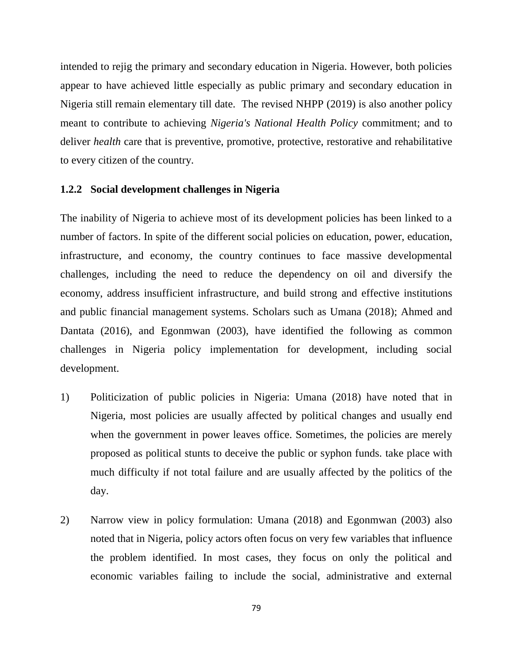intended to rejig the primary and secondary education in Nigeria. However, both policies appear to have achieved little especially as public primary and secondary education in Nigeria still remain elementary till date. The revised NHPP (2019) is also another policy meant to contribute to achieving *Nigeria's National Health Policy* commitment; and to deliver *health* care that is preventive, promotive, protective, restorative and rehabilitative to every citizen of the country.

#### **1.2.2 Social development challenges in Nigeria**

The inability of Nigeria to achieve most of its development policies has been linked to a number of factors. In spite of the different social policies on education, power, education, infrastructure, and economy, the country continues to face massive developmental challenges, including the need to reduce the dependency on oil and diversify the economy, address insufficient infrastructure, and build strong and effective institutions and public financial management systems. Scholars such as Umana (2018); Ahmed and Dantata (2016), and Egonmwan (2003), have identified the following as common challenges in Nigeria policy implementation for development, including social development.

- 1) Politicization of public policies in Nigeria: Umana (2018) have noted that in Nigeria, most policies are usually affected by political changes and usually end when the government in power leaves office. Sometimes, the policies are merely proposed as political stunts to deceive the public or syphon funds. take place with much difficulty if not total failure and are usually affected by the politics of the day.
- 2) Narrow view in policy formulation: Umana (2018) and Egonmwan (2003) also noted that in Nigeria, policy actors often focus on very few variables that influence the problem identified. In most cases, they focus on only the political and economic variables failing to include the social, administrative and external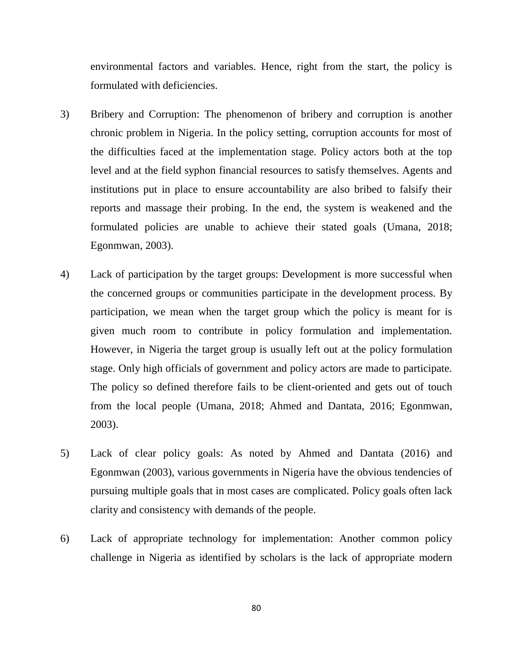environmental factors and variables. Hence, right from the start, the policy is formulated with deficiencies.

- 3) Bribery and Corruption: The phenomenon of bribery and corruption is another chronic problem in Nigeria. In the policy setting, corruption accounts for most of the difficulties faced at the implementation stage. Policy actors both at the top level and at the field syphon financial resources to satisfy themselves. Agents and institutions put in place to ensure accountability are also bribed to falsify their reports and massage their probing. In the end, the system is weakened and the formulated policies are unable to achieve their stated goals (Umana, 2018; Egonmwan, 2003).
- 4) Lack of participation by the target groups: Development is more successful when the concerned groups or communities participate in the development process. By participation, we mean when the target group which the policy is meant for is given much room to contribute in policy formulation and implementation. However, in Nigeria the target group is usually left out at the policy formulation stage. Only high officials of government and policy actors are made to participate. The policy so defined therefore fails to be client-oriented and gets out of touch from the local people (Umana, 2018; Ahmed and Dantata, 2016; Egonmwan, 2003).
- 5) Lack of clear policy goals: As noted by Ahmed and Dantata (2016) and Egonmwan (2003), various governments in Nigeria have the obvious tendencies of pursuing multiple goals that in most cases are complicated. Policy goals often lack clarity and consistency with demands of the people.
- 6) Lack of appropriate technology for implementation: Another common policy challenge in Nigeria as identified by scholars is the lack of appropriate modern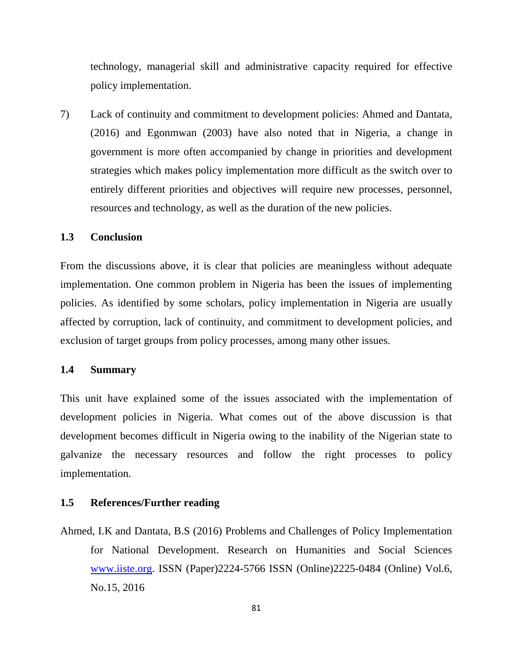technology, managerial skill and administrative capacity required for effective policy implementation.

7) Lack of continuity and commitment to development policies: Ahmed and Dantata, (2016) and Egonmwan (2003) have also noted that in Nigeria, a change in government is more often accompanied by change in priorities and development strategies which makes policy implementation more difficult as the switch over to entirely different priorities and objectives will require new processes, personnel, resources and technology, as well as the duration of the new policies.

#### **1.3 Conclusion**

From the discussions above, it is clear that policies are meaningless without adequate implementation. One common problem in Nigeria has been the issues of implementing policies. As identified by some scholars, policy implementation in Nigeria are usually affected by corruption, lack of continuity, and commitment to development policies, and exclusion of target groups from policy processes, among many other issues.

#### **1.4 Summary**

This unit have explained some of the issues associated with the implementation of development policies in Nigeria. What comes out of the above discussion is that development becomes difficult in Nigeria owing to the inability of the Nigerian state to galvanize the necessary resources and follow the right processes to policy implementation.

#### **1.5 References/Further reading**

Ahmed, I.K and Dantata, B.S (2016) Problems and Challenges of Policy Implementation for National Development. Research on Humanities and Social Sciences [www.iiste.org.](http://www.iiste.org/) ISSN (Paper)2224-5766 ISSN (Online)2225-0484 (Online) Vol.6, No.15, 2016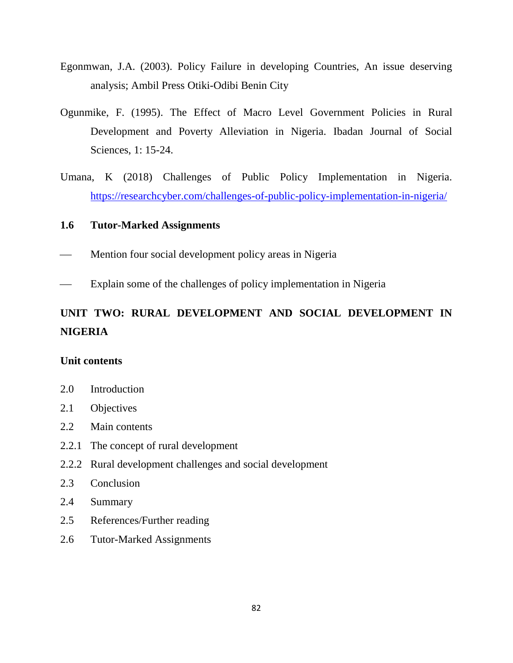- Egonmwan, J.A. (2003). Policy Failure in developing Countries, An issue deserving analysis; Ambil Press Otiki-Odibi Benin City
- Ogunmike, F. (1995). The Effect of Macro Level Government Policies in Rural Development and Poverty Alleviation in Nigeria. Ibadan Journal of Social Sciences, 1: 15-24.
- Umana, K (2018) Challenges of Public Policy Implementation in Nigeria. <https://researchcyber.com/challenges-of-public-policy-implementation-in-nigeria/>

#### **1.6 Tutor-Marked Assignments**

- Mention four social development policy areas in Nigeria
- Explain some of the challenges of policy implementation in Nigeria

# **UNIT TWO: RURAL DEVELOPMENT AND SOCIAL DEVELOPMENT IN NIGERIA**

#### **Unit contents**

- 2.0 Introduction
- 2.1 Objectives
- 2.2 Main contents
- 2.2.1 The concept of rural development
- 2.2.2 Rural development challenges and social development
- 2.3 Conclusion
- 2.4 Summary
- 2.5 References/Further reading
- 2.6 Tutor-Marked Assignments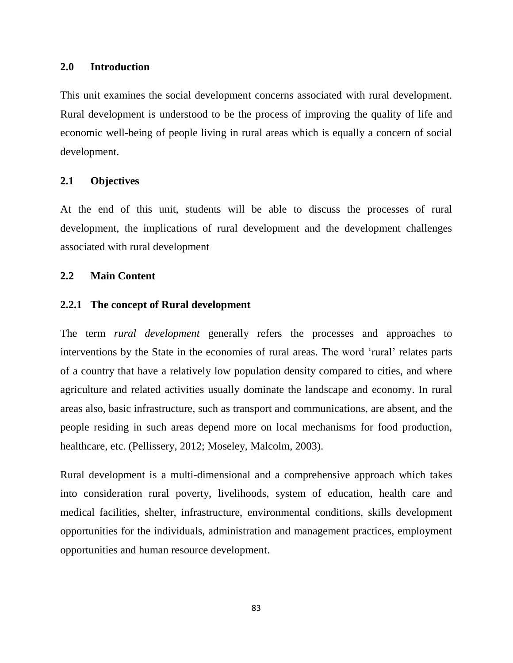#### **2.0 Introduction**

This unit examines the social development concerns associated with rural development. Rural development is understood to be the process of improving the quality of life and economic well-being of people living in rural areas which is equally a concern of social development.

#### **2.1 Objectives**

At the end of this unit, students will be able to discuss the processes of rural development, the implications of rural development and the development challenges associated with rural development

## **2.2 Main Content**

#### **2.2.1 The concept of Rural development**

The term *rural development* generally refers the processes and approaches to interventions by the State in the economies of rural areas. The word 'rural' relates parts of a country that have a relatively low population density compared to cities, and where agriculture and related activities usually dominate the landscape and economy. In rural areas also, basic infrastructure, such as transport and communications, are absent, and the people residing in such areas depend more on local mechanisms for food production, healthcare, etc. (Pellissery, 2012; Moseley, Malcolm, 2003).

Rural development is a multi-dimensional and a comprehensive approach which takes into consideration rural poverty, livelihoods, system of education, health care and medical facilities, shelter, infrastructure, environmental conditions, skills development opportunities for the individuals, administration and management practices, employment opportunities and human resource development.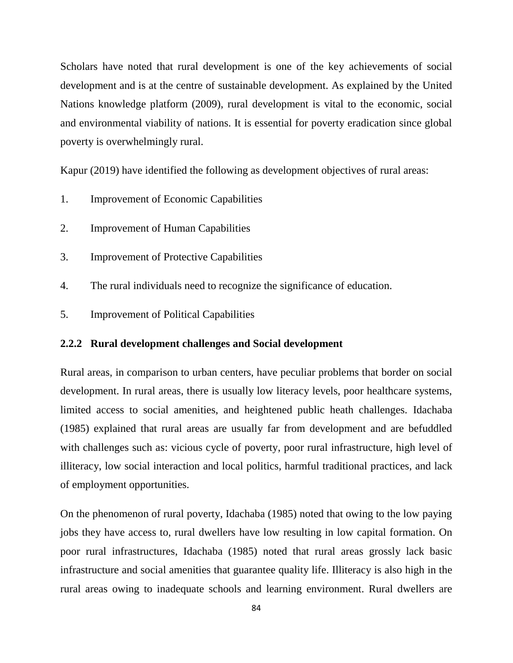Scholars have noted that rural development is one of the key achievements of social development and is at the centre of sustainable development. As explained by the United Nations knowledge platform (2009), rural development is vital to the economic, social and environmental viability of nations. It is essential for poverty eradication since global poverty is overwhelmingly rural.

Kapur (2019) have identified the following as development objectives of rural areas:

- 1. Improvement of Economic Capabilities
- 2. Improvement of Human Capabilities
- 3. Improvement of Protective Capabilities
- 4. The rural individuals need to recognize the significance of education.
- 5. Improvement of Political Capabilities

#### **2.2.2 Rural development challenges and Social development**

Rural areas, in comparison to urban centers, have peculiar problems that border on social development. In rural areas, there is usually low literacy levels, poor healthcare systems, limited access to social amenities, and heightened public heath challenges. Idachaba (1985) explained that rural areas are usually far from development and are befuddled with challenges such as: vicious cycle of poverty, poor rural infrastructure, high level of illiteracy, low social interaction and local politics, harmful traditional practices, and lack of employment opportunities.

On the phenomenon of rural poverty, Idachaba (1985) noted that owing to the low paying jobs they have access to, rural dwellers have low resulting in low capital formation. On poor rural infrastructures, Idachaba (1985) noted that rural areas grossly lack basic infrastructure and social amenities that guarantee quality life. Illiteracy is also high in the rural areas owing to inadequate schools and learning environment. Rural dwellers are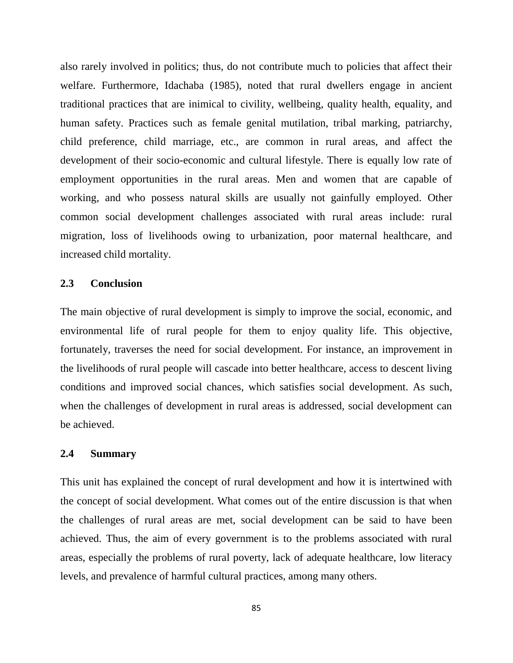also rarely involved in politics; thus, do not contribute much to policies that affect their welfare. Furthermore, Idachaba (1985), noted that rural dwellers engage in ancient traditional practices that are inimical to civility, wellbeing, quality health, equality, and human safety. Practices such as female genital mutilation, tribal marking, patriarchy, child preference, child marriage, etc., are common in rural areas, and affect the development of their socio-economic and cultural lifestyle. There is equally low rate of employment opportunities in the rural areas. Men and women that are capable of working, and who possess natural skills are usually not gainfully employed. Other common social development challenges associated with rural areas include: rural migration, loss of livelihoods owing to urbanization, poor maternal healthcare, and increased child mortality.

#### **2.3 Conclusion**

The main objective of rural development is simply to improve the social, economic, and environmental life of rural people for them to enjoy quality life. This objective, fortunately, traverses the need for social development. For instance, an improvement in the livelihoods of rural people will cascade into better healthcare, access to descent living conditions and improved social chances, which satisfies social development. As such, when the challenges of development in rural areas is addressed, social development can be achieved.

#### **2.4 Summary**

This unit has explained the concept of rural development and how it is intertwined with the concept of social development. What comes out of the entire discussion is that when the challenges of rural areas are met, social development can be said to have been achieved. Thus, the aim of every government is to the problems associated with rural areas, especially the problems of rural poverty, lack of adequate healthcare, low literacy levels, and prevalence of harmful cultural practices, among many others.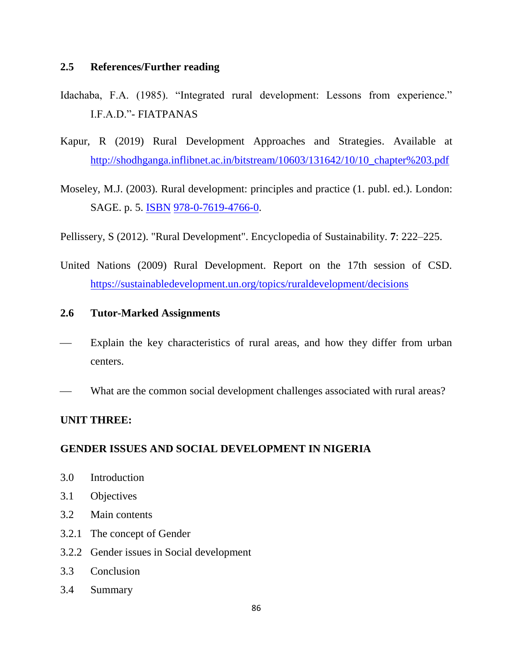# **2.5 References/Further reading**

- Idachaba, F.A. (1985). "Integrated rural development: Lessons from experience." I.F.A.D."- FIATPANAS
- Kapur, R (2019) Rural Development Approaches and Strategies. Available at [http://shodhganga.inflibnet.ac.in/bitstream/10603/131642/10/10\\_chapter%203.pdf](http://shodhganga.inflibnet.ac.in/bitstream/10603/131642/10/10_chapter%203.pdf)
- Moseley, M.J. (2003). Rural development: principles and practice (1. publ. ed.). London: SAGE. p. 5. [ISBN](https://en.wikipedia.org/wiki/ISBN_(identifier)) [978-0-7619-4766-0.](https://en.wikipedia.org/wiki/Special:BookSources/978-0-7619-4766-0)
- Pellissery, S (2012). "Rural Development". Encyclopedia of Sustainability. **7**: 222–225.
- United Nations (2009) Rural Development. Report on the 17th session of CSD. <https://sustainabledevelopment.un.org/topics/ruraldevelopment/decisions>

# **2.6 Tutor-Marked Assignments**

- Explain the key characteristics of rural areas, and how they differ from urban centers.
- What are the common social development challenges associated with rural areas?

# **UNIT THREE:**

#### **GENDER ISSUES AND SOCIAL DEVELOPMENT IN NIGERIA**

- 3.0 Introduction
- 3.1 Objectives
- 3.2 Main contents
- 3.2.1 The concept of Gender
- 3.2.2 Gender issues in Social development
- 3.3 Conclusion
- 3.4 Summary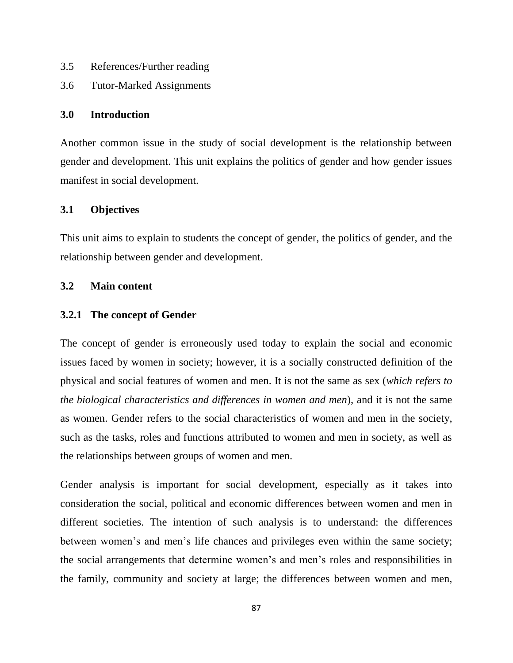- 3.5 References/Further reading
- 3.6 Tutor-Marked Assignments

# **3.0 Introduction**

Another common issue in the study of social development is the relationship between gender and development. This unit explains the politics of gender and how gender issues manifest in social development.

# **3.1 Objectives**

This unit aims to explain to students the concept of gender, the politics of gender, and the relationship between gender and development.

# **3.2 Main content**

# **3.2.1 The concept of Gender**

The concept of gender is erroneously used today to explain the social and economic issues faced by women in society; however, it is a socially constructed definition of the physical and social features of women and men. It is not the same as sex (*which refers to the biological characteristics and differences in women and men*), and it is not the same as women. Gender refers to the social characteristics of women and men in the society, such as the tasks, roles and functions attributed to women and men in society, as well as the relationships between groups of women and men.

Gender analysis is important for social development, especially as it takes into consideration the social, political and economic differences between women and men in different societies. The intention of such analysis is to understand: the differences between women's and men's life chances and privileges even within the same society; the social arrangements that determine women's and men's roles and responsibilities in the family, community and society at large; the differences between women and men,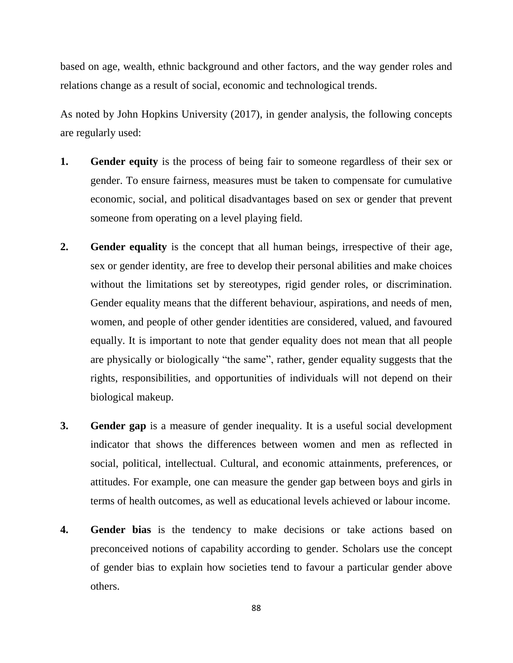based on age, wealth, ethnic background and other factors, and the way gender roles and relations change as a result of social, economic and technological trends.

As noted by John Hopkins University (2017), in gender analysis, the following concepts are regularly used:

- **1. Gender equity** is the process of being fair to someone regardless of their sex or gender. To ensure fairness, measures must be taken to compensate for cumulative economic, social, and political disadvantages based on sex or gender that prevent someone from operating on a level playing field.
- **2. Gender equality** is the concept that all human beings, irrespective of their age, sex or gender identity, are free to develop their personal abilities and make choices without the limitations set by stereotypes, rigid gender roles, or discrimination. Gender equality means that the different behaviour, aspirations, and needs of men, women, and people of other gender identities are considered, valued, and favoured equally. It is important to note that gender equality does not mean that all people are physically or biologically "the same", rather, gender equality suggests that the rights, responsibilities, and opportunities of individuals will not depend on their biological makeup.
- **3. Gender gap** is a measure of gender inequality. It is a useful social development indicator that shows the differences between women and men as reflected in social, political, intellectual. Cultural, and economic attainments, preferences, or attitudes. For example, one can measure the gender gap between boys and girls in terms of health outcomes, as well as educational levels achieved or labour income.
- **4. Gender bias** is the tendency to make decisions or take actions based on preconceived notions of capability according to gender. Scholars use the concept of gender bias to explain how societies tend to favour a particular gender above others.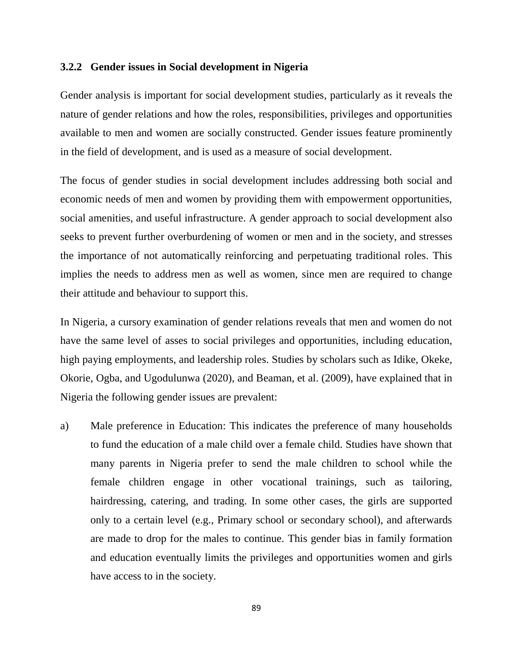#### **3.2.2 Gender issues in Social development in Nigeria**

Gender analysis is important for social development studies, particularly as it reveals the nature of gender relations and how the roles, responsibilities, privileges and opportunities available to men and women are socially constructed. Gender issues feature prominently in the field of development, and is used as a measure of social development.

The focus of gender studies in social development includes addressing both social and economic needs of men and women by providing them with empowerment opportunities, social amenities, and useful infrastructure. A gender approach to social development also seeks to prevent further overburdening of women or men and in the society, and stresses the importance of not automatically reinforcing and perpetuating traditional roles. This implies the needs to address men as well as women, since men are required to change their attitude and behaviour to support this.

In Nigeria, a cursory examination of gender relations reveals that men and women do not have the same level of asses to social privileges and opportunities, including education, high paying employments, and leadership roles. Studies by scholars such as Idike, Okeke, Okorie, Ogba, and Ugodulunwa (2020), and Beaman, et al. (2009), have explained that in Nigeria the following gender issues are prevalent:

a) Male preference in Education: This indicates the preference of many households to fund the education of a male child over a female child. Studies have shown that many parents in Nigeria prefer to send the male children to school while the female children engage in other vocational trainings, such as tailoring, hairdressing, catering, and trading. In some other cases, the girls are supported only to a certain level (e.g., Primary school or secondary school), and afterwards are made to drop for the males to continue. This gender bias in family formation and education eventually limits the privileges and opportunities women and girls have access to in the society.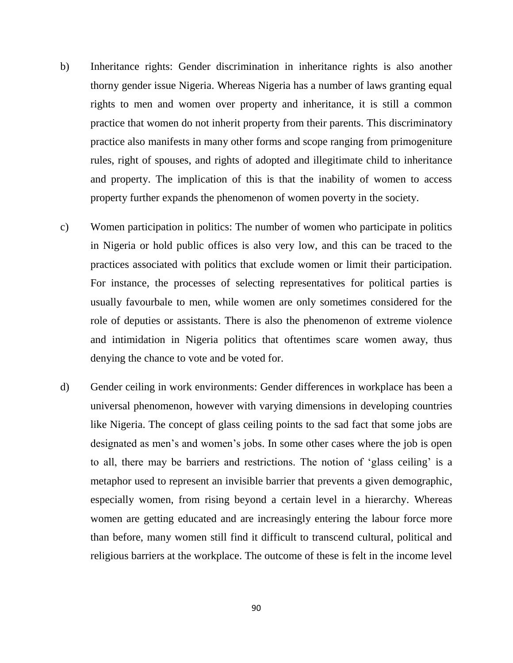- b) Inheritance rights: Gender discrimination in inheritance rights is also another thorny gender issue Nigeria. Whereas Nigeria has a number of laws granting equal rights to men and women over property and inheritance, it is still a common practice that women do not inherit property from their parents. This discriminatory practice also manifests in many other forms and scope ranging from primogeniture rules, right of spouses, and rights of adopted and illegitimate child to inheritance and property. The implication of this is that the inability of women to access property further expands the phenomenon of women poverty in the society.
- c) Women participation in politics: The number of women who participate in politics in Nigeria or hold public offices is also very low, and this can be traced to the practices associated with politics that exclude women or limit their participation. For instance, the processes of selecting representatives for political parties is usually favourbale to men, while women are only sometimes considered for the role of deputies or assistants. There is also the phenomenon of extreme violence and intimidation in Nigeria politics that oftentimes scare women away, thus denying the chance to vote and be voted for.
- d) Gender ceiling in work environments: Gender differences in workplace has been a universal phenomenon, however with varying dimensions in developing countries like Nigeria. The concept of glass ceiling points to the sad fact that some jobs are designated as men's and women's jobs. In some other cases where the job is open to all, there may be barriers and restrictions. The notion of 'glass ceiling' is a metaphor used to represent an invisible barrier that prevents a given demographic, especially women, from rising beyond a certain level in a hierarchy. Whereas women are getting educated and are increasingly entering the labour force more than before, many women still find it difficult to transcend cultural, political and religious barriers at the workplace. The outcome of these is felt in the income level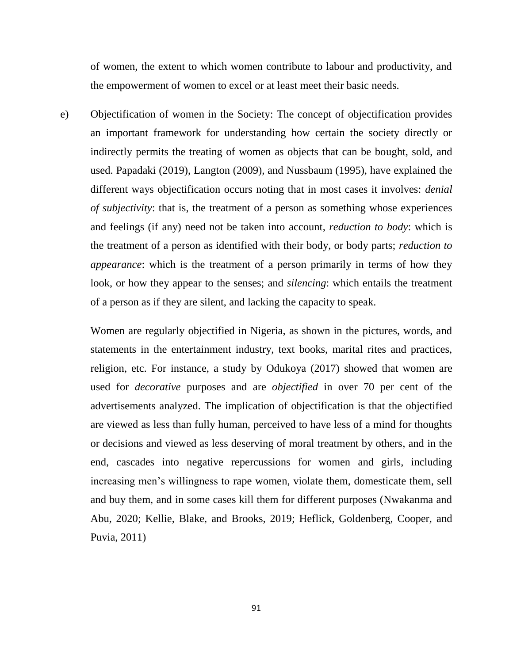of women, the extent to which women contribute to labour and productivity, and the empowerment of women to excel or at least meet their basic needs.

e) Objectification of women in the Society: The concept of objectification provides an important framework for understanding how certain the society directly or indirectly permits the treating of women as objects that can be bought, sold, and used. Papadaki (2019), Langton (2009), and Nussbaum (1995), have explained the different ways objectification occurs noting that in most cases it involves: *denial of subjectivity*: that is, the treatment of a person as something whose experiences and feelings (if any) need not be taken into account, *reduction to body*: which is the treatment of a person as identified with their body, or body parts; *reduction to appearance*: which is the treatment of a person primarily in terms of how they look, or how they appear to the senses; and *silencing*: which entails the treatment of a person as if they are silent, and lacking the capacity to speak.

Women are regularly objectified in Nigeria, as shown in the pictures, words, and statements in the entertainment industry, text books, marital rites and practices, religion, etc. For instance, a study by Odukoya (2017) showed that women are used for *decorative* purposes and are *objectified* in over 70 per cent of the advertisements analyzed. The implication of objectification is that the objectified are viewed as less than fully human, perceived to have less of a mind for thoughts or decisions and viewed as less deserving of moral treatment by others, and in the end, cascades into negative repercussions for women and girls, including increasing men's willingness to rape women, violate them, domesticate them, sell and buy them, and in some cases kill them for different purposes (Nwakanma and Abu, 2020; Kellie, Blake, and Brooks, 2019; Heflick, Goldenberg, Cooper, and Puvia, 2011)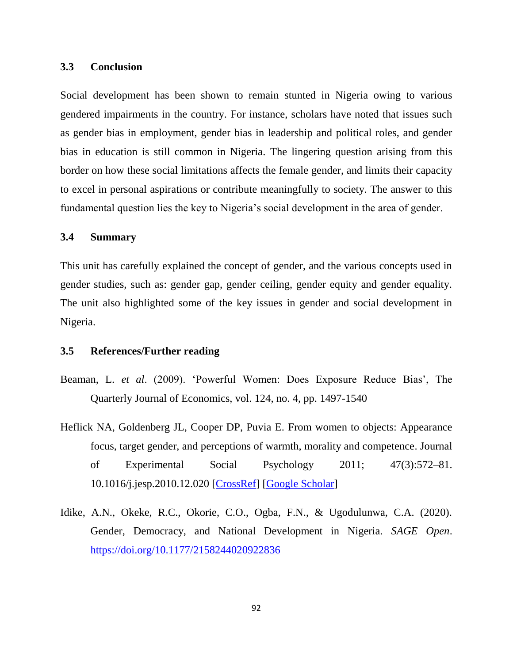#### **3.3 Conclusion**

Social development has been shown to remain stunted in Nigeria owing to various gendered impairments in the country. For instance, scholars have noted that issues such as gender bias in employment, gender bias in leadership and political roles, and gender bias in education is still common in Nigeria. The lingering question arising from this border on how these social limitations affects the female gender, and limits their capacity to excel in personal aspirations or contribute meaningfully to society. The answer to this fundamental question lies the key to Nigeria's social development in the area of gender.

## **3.4 Summary**

This unit has carefully explained the concept of gender, and the various concepts used in gender studies, such as: gender gap, gender ceiling, gender equity and gender equality. The unit also highlighted some of the key issues in gender and social development in Nigeria.

#### **3.5 References/Further reading**

- Beaman, L. *et al*. (2009). 'Powerful Women: Does Exposure Reduce Bias', The Quarterly Journal of Economics, vol. 124, no. 4, pp. 1497-1540
- Heflick NA, Goldenberg JL, Cooper DP, Puvia E. From women to objects: Appearance focus, target gender, and perceptions of warmth, morality and competence. Journal of Experimental Social Psychology 2011; 47(3):572–81. 10.1016/j.jesp.2010.12.020 [\[CrossRef\]](https://dx.doi.org/10.1016%2Fj.jesp.2010.12.020) [\[Google Scholar\]](https://scholar.google.com/scholar_lookup?journal=Journal+of+Experimental+Social+Psychology&title=From+women+to+objects:+Appearance+focus,+target+gender,+and+perceptions+of+warmth,+morality+and+competence&author=NA+Heflick&author=JL+Goldenberg&author=DP+Cooper&author=E+Puvia&volume=47&issue=3&publication_year=2011&pages=572-81&doi=10.1016/j.jesp.2010.12.020&)
- Idike, A.N., Okeke, R.C., Okorie, C.O., Ogba, F.N., & Ugodulunwa, C.A. (2020). Gender, Democracy, and National Development in Nigeria. *SAGE Open*. <https://doi.org/10.1177/2158244020922836>